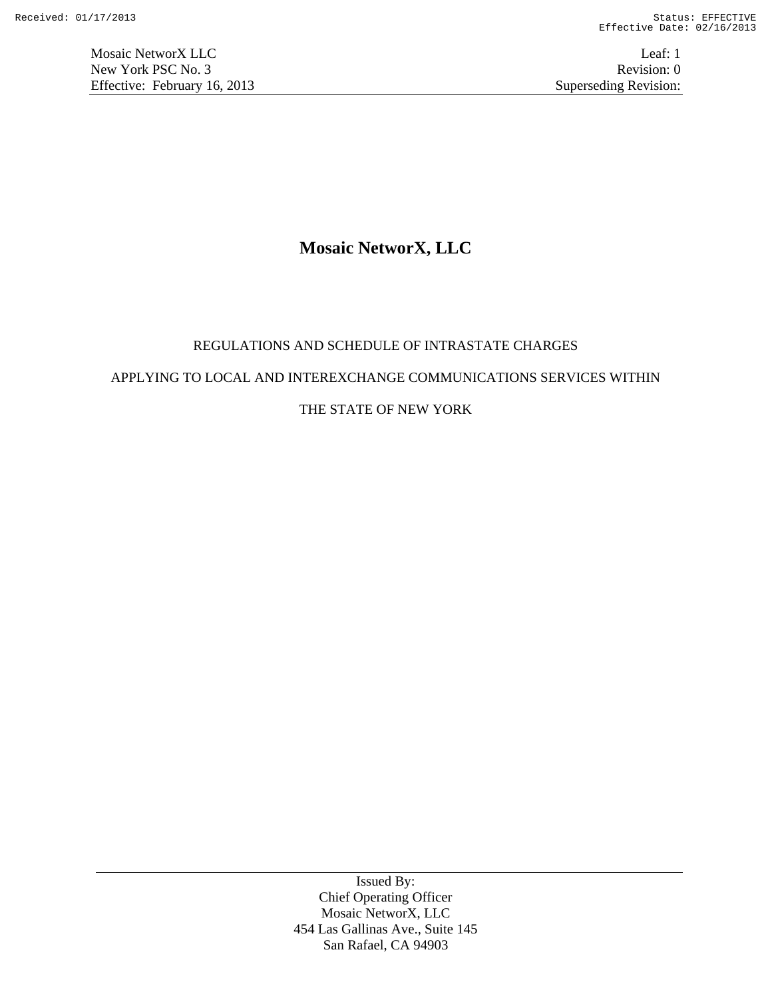# **Mosaic NetworX, LLC**

# REGULATIONS AND SCHEDULE OF INTRASTATE CHARGES

# APPLYING TO LOCAL AND INTEREXCHANGE COMMUNICATIONS SERVICES WITHIN

# THE STATE OF NEW YORK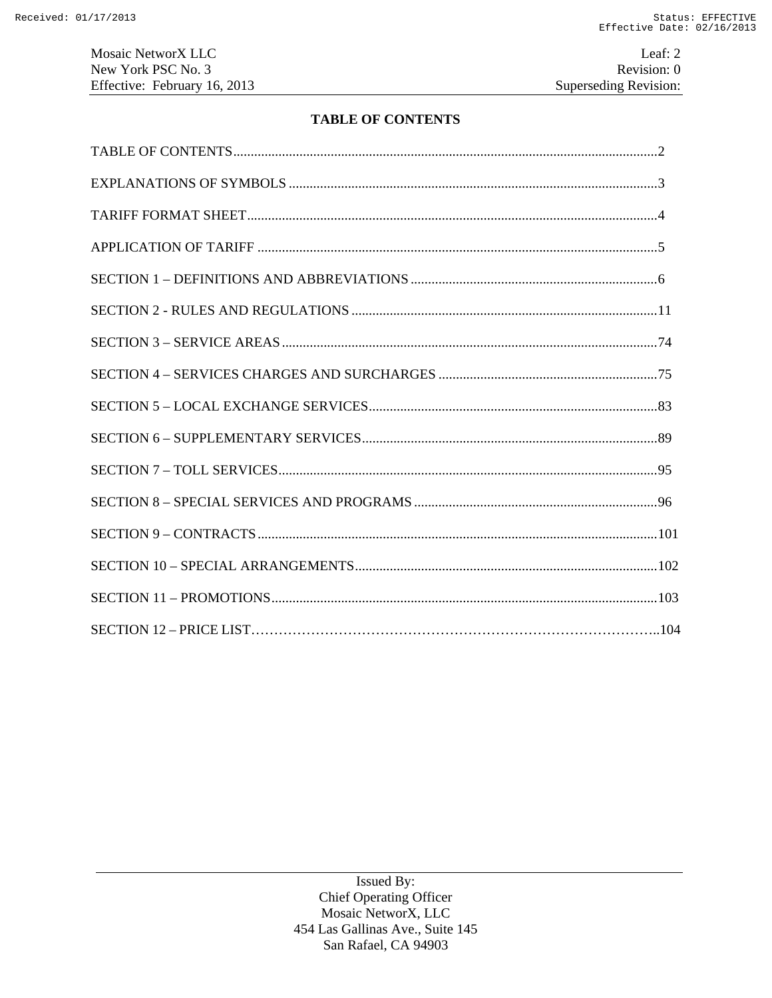Mosaic NetworX LLC Leaf: 2 New York PSC No. 3 Revision: 0<br>Effective: February 16, 2013 Superseding Revision: 0 Effective: February 16, 2013

# **TABLE OF CONTENTS**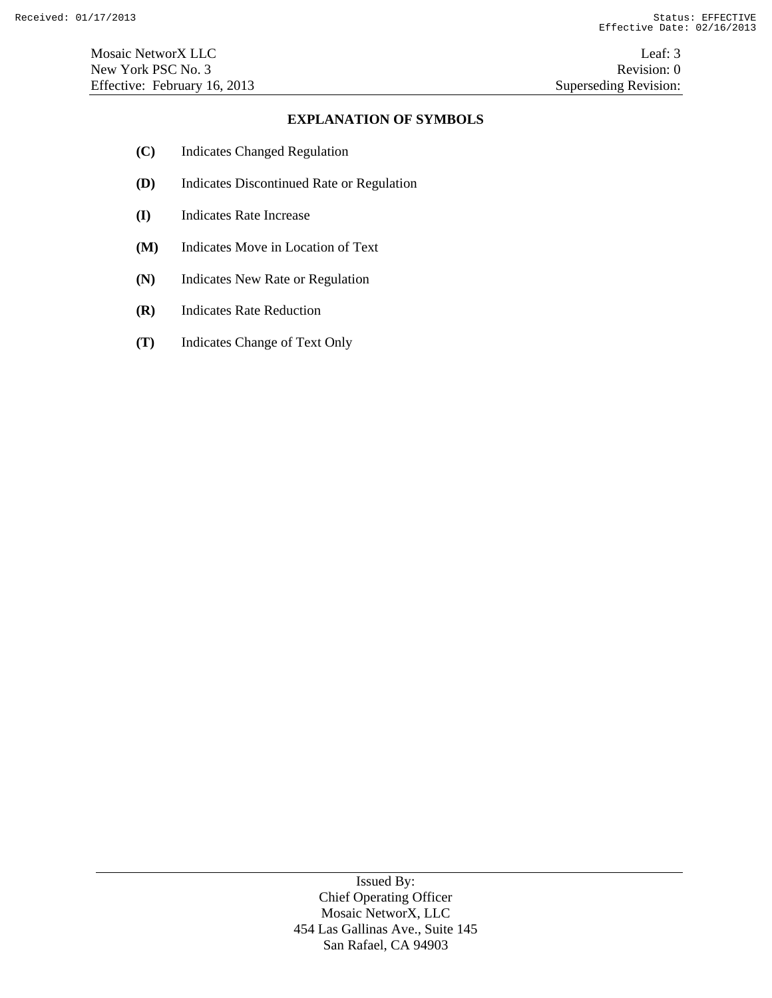### **EXPLANATION OF SYMBOLS**

- **(C)** Indicates Changed Regulation
- **(D)** Indicates Discontinued Rate or Regulation
- **(I)** Indicates Rate Increase
- **(M)** Indicates Move in Location of Text
- **(N)** Indicates New Rate or Regulation
- **(R)** Indicates Rate Reduction
- **(T)** Indicates Change of Text Only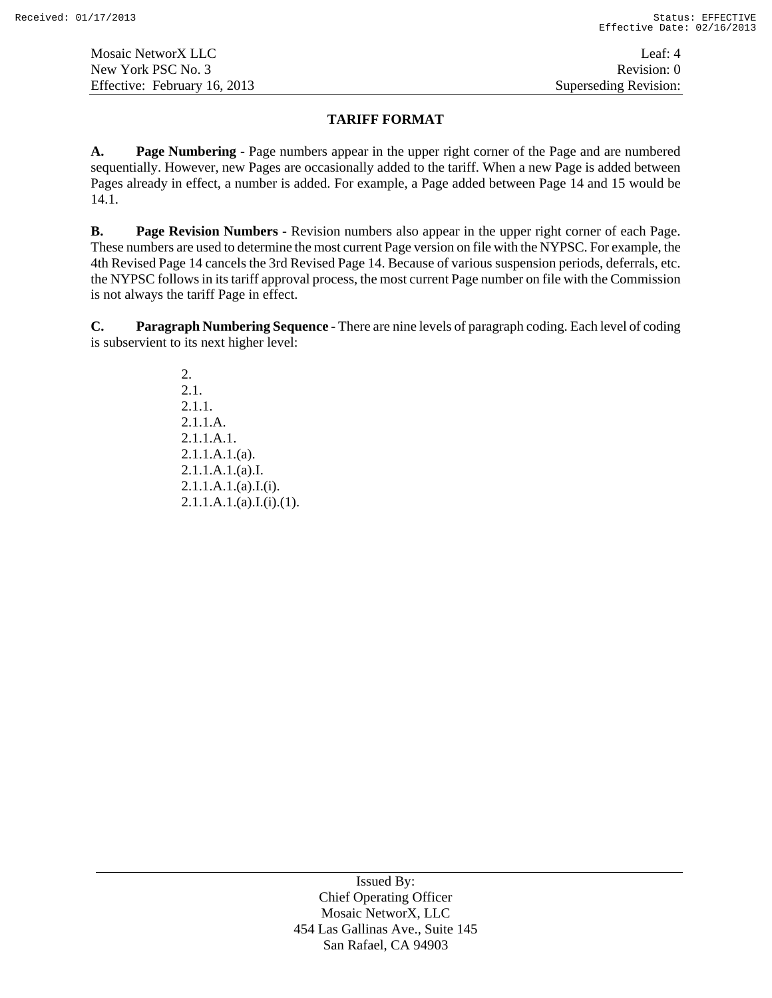# **TARIFF FORMAT**

**A. Page Numbering** - Page numbers appear in the upper right corner of the Page and are numbered sequentially. However, new Pages are occasionally added to the tariff. When a new Page is added between Pages already in effect, a number is added. For example, a Page added between Page 14 and 15 would be 14.1.

**B. Page Revision Numbers** - Revision numbers also appear in the upper right corner of each Page. These numbers are used to determine the most current Page version on file with the NYPSC. For example, the 4th Revised Page 14 cancels the 3rd Revised Page 14. Because of various suspension periods, deferrals, etc. the NYPSC follows in its tariff approval process, the most current Page number on file with the Commission is not always the tariff Page in effect.

**C. Paragraph Numbering Sequence** - There are nine levels of paragraph coding. Each level of coding is subservient to its next higher level:

> 2. 2.1. 2.1.1. 2.1.1.A. 2.1.1.A.1.  $2.1.1.A.1.(a)$ . 2.1.1.A.1.(a).I.  $2.1.1.A.1.(a).I.(i).$  $2.1.1.A.1.(a).I.(i).(1).$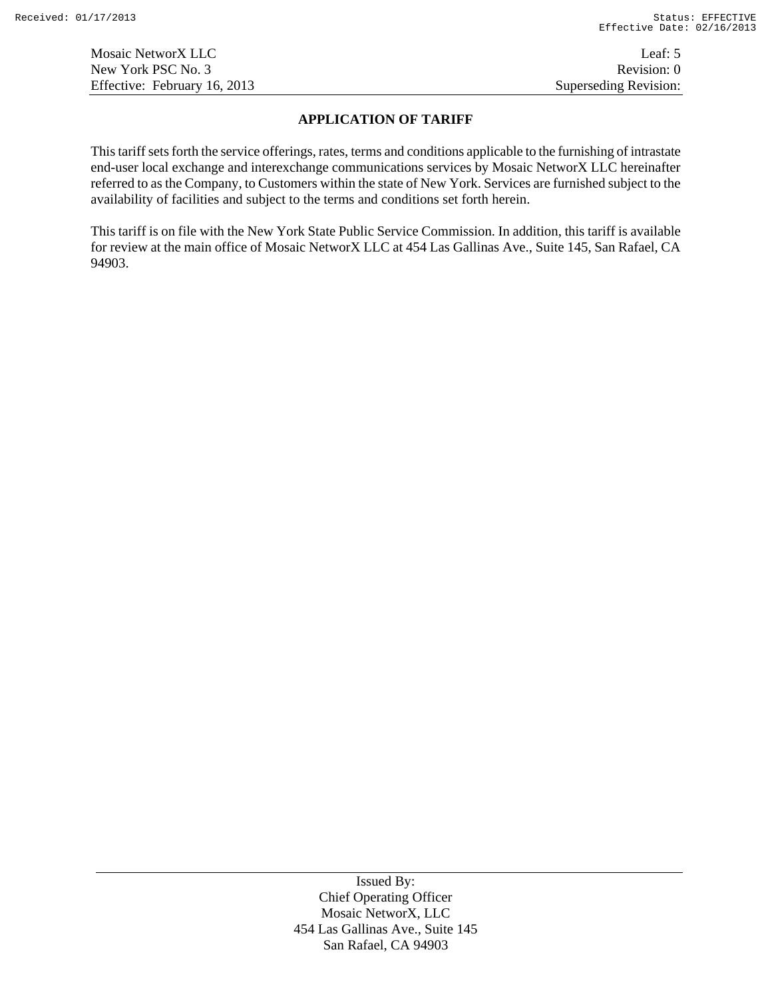Mosaic NetworX LLC Leaf: 5 New York PSC No. 3 Revision: 0 Effective: February 16, 2013 Superseding Revision:

# **APPLICATION OF TARIFF**

This tariff sets forth the service offerings, rates, terms and conditions applicable to the furnishing of intrastate end-user local exchange and interexchange communications services by Mosaic NetworX LLC hereinafter referred to as the Company, to Customers within the state of New York. Services are furnished subject to the availability of facilities and subject to the terms and conditions set forth herein.

This tariff is on file with the New York State Public Service Commission. In addition, this tariff is available for review at the main office of Mosaic NetworX LLC at 454 Las Gallinas Ave., Suite 145, San Rafael, CA 94903.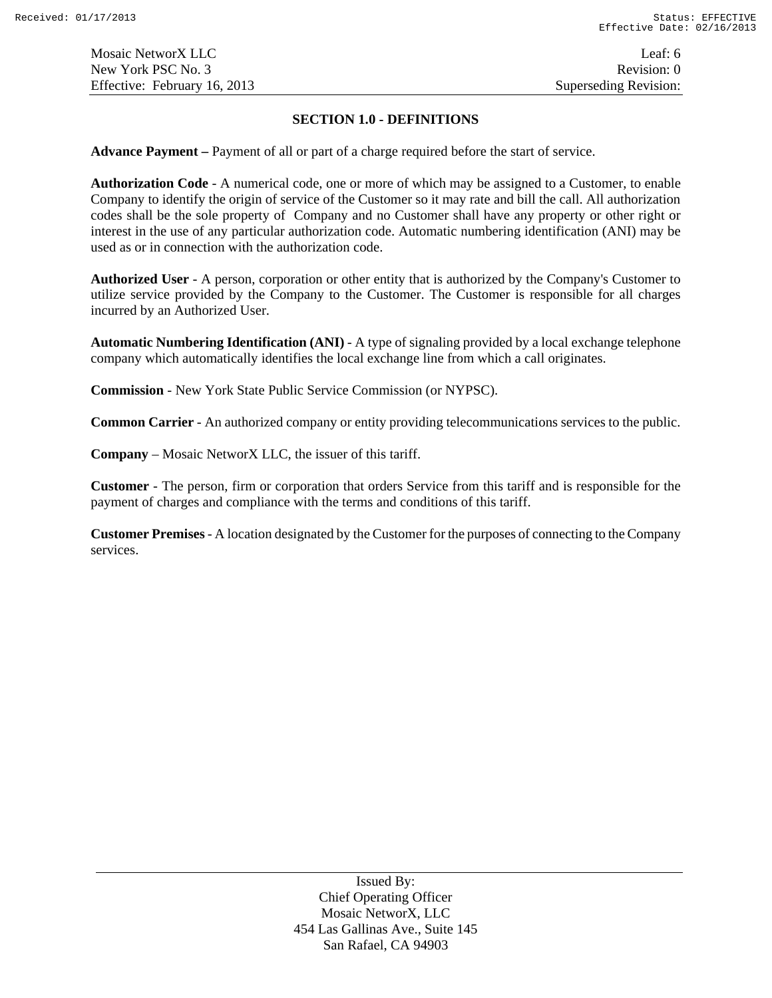#### **SECTION 1.0 - DEFINITIONS**

**Advance Payment –** Payment of all or part of a charge required before the start of service.

**Authorization Code** - A numerical code, one or more of which may be assigned to a Customer, to enable Company to identify the origin of service of the Customer so it may rate and bill the call. All authorization codes shall be the sole property of Company and no Customer shall have any property or other right or interest in the use of any particular authorization code. Automatic numbering identification (ANI) may be used as or in connection with the authorization code.

**Authorized User** - A person, corporation or other entity that is authorized by the Company's Customer to utilize service provided by the Company to the Customer. The Customer is responsible for all charges incurred by an Authorized User.

**Automatic Numbering Identification (ANI)** - A type of signaling provided by a local exchange telephone company which automatically identifies the local exchange line from which a call originates.

**Commission** - New York State Public Service Commission (or NYPSC).

**Common Carrier** - An authorized company or entity providing telecommunications services to the public.

**Company** – Mosaic NetworX LLC, the issuer of this tariff.

**Customer** - The person, firm or corporation that orders Service from this tariff and is responsible for the payment of charges and compliance with the terms and conditions of this tariff.

**Customer Premises** - A location designated by the Customer for the purposes of connecting to the Company services.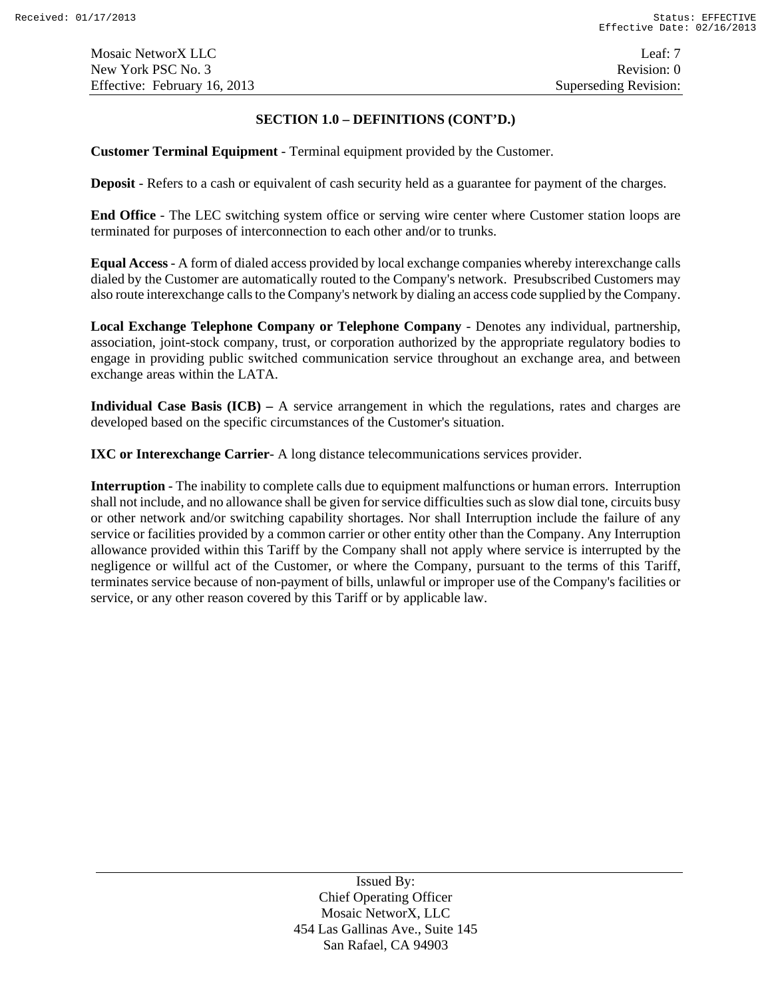### **SECTION 1.0 – DEFINITIONS (CONT'D.)**

**Customer Terminal Equipment** - Terminal equipment provided by the Customer.

**Deposit** - Refers to a cash or equivalent of cash security held as a guarantee for payment of the charges.

**End Office** - The LEC switching system office or serving wire center where Customer station loops are terminated for purposes of interconnection to each other and/or to trunks.

**Equal Access** - A form of dialed access provided by local exchange companies whereby interexchange calls dialed by the Customer are automatically routed to the Company's network. Presubscribed Customers may also route interexchange calls to the Company's network by dialing an access code supplied by the Company.

**Local Exchange Telephone Company or Telephone Company** - Denotes any individual, partnership, association, joint-stock company, trust, or corporation authorized by the appropriate regulatory bodies to engage in providing public switched communication service throughout an exchange area, and between exchange areas within the LATA.

**Individual Case Basis (ICB) –** A service arrangement in which the regulations, rates and charges are developed based on the specific circumstances of the Customer's situation.

**IXC or Interexchange Carrier**- A long distance telecommunications services provider.

**Interruption** - The inability to complete calls due to equipment malfunctions or human errors. Interruption shall not include, and no allowance shall be given for service difficulties such as slow dial tone, circuits busy or other network and/or switching capability shortages. Nor shall Interruption include the failure of any service or facilities provided by a common carrier or other entity other than the Company. Any Interruption allowance provided within this Tariff by the Company shall not apply where service is interrupted by the negligence or willful act of the Customer, or where the Company, pursuant to the terms of this Tariff, terminates service because of non-payment of bills, unlawful or improper use of the Company's facilities or service, or any other reason covered by this Tariff or by applicable law.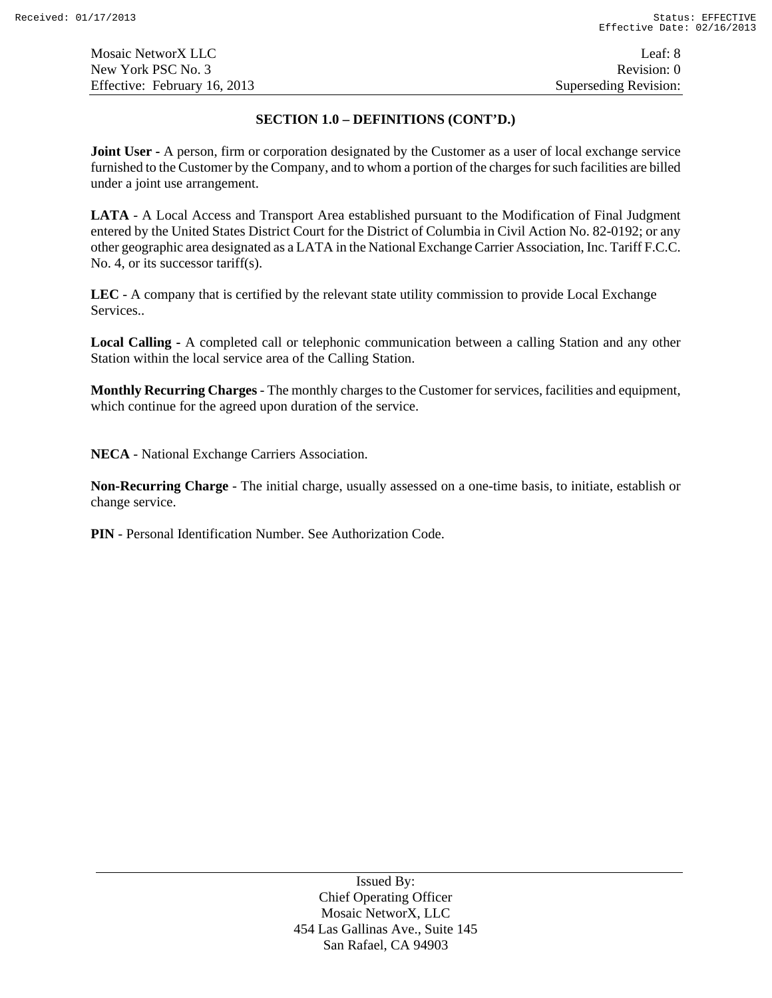#### **SECTION 1.0 – DEFINITIONS (CONT'D.)**

**Joint User -** A person, firm or corporation designated by the Customer as a user of local exchange service furnished to the Customer by the Company, and to whom a portion of the charges for such facilities are billed under a joint use arrangement.

**LATA** - A Local Access and Transport Area established pursuant to the Modification of Final Judgment entered by the United States District Court for the District of Columbia in Civil Action No. 82-0192; or any other geographic area designated as a LATA in the National Exchange Carrier Association, Inc. Tariff F.C.C. No. 4, or its successor tariff(s).

**LEC** - A company that is certified by the relevant state utility commission to provide Local Exchange Services..

**Local Calling -** A completed call or telephonic communication between a calling Station and any other Station within the local service area of the Calling Station.

**Monthly Recurring Charges** - The monthly charges to the Customer for services, facilities and equipment, which continue for the agreed upon duration of the service.

**NECA** - National Exchange Carriers Association.

**Non-Recurring Charge** - The initial charge, usually assessed on a one-time basis, to initiate, establish or change service.

**PIN** - Personal Identification Number. See Authorization Code.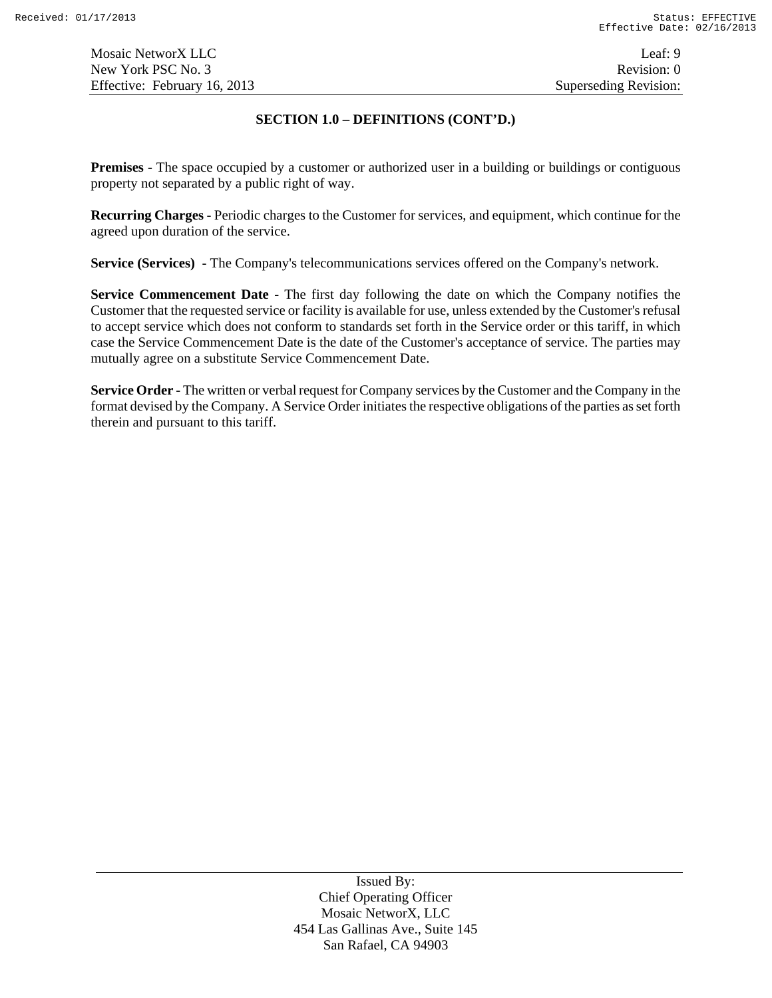Mosaic NetworX LLC Leaf: 9 New York PSC No. 3 Revision: 0 Effective: February 16, 2013 Superseding Revision:

### **SECTION 1.0 – DEFINITIONS (CONT'D.)**

**Premises** - The space occupied by a customer or authorized user in a building or buildings or contiguous property not separated by a public right of way.

**Recurring Charges** - Periodic charges to the Customer for services, and equipment, which continue for the agreed upon duration of the service.

**Service (Services)** - The Company's telecommunications services offered on the Company's network.

**Service Commencement Date -** The first day following the date on which the Company notifies the Customer that the requested service or facility is available for use, unless extended by the Customer's refusal to accept service which does not conform to standards set forth in the Service order or this tariff, in which case the Service Commencement Date is the date of the Customer's acceptance of service. The parties may mutually agree on a substitute Service Commencement Date.

**Service Order** - The written or verbal request for Company services by the Customer and the Company in the format devised by the Company. A Service Order initiates the respective obligations of the parties as set forth therein and pursuant to this tariff.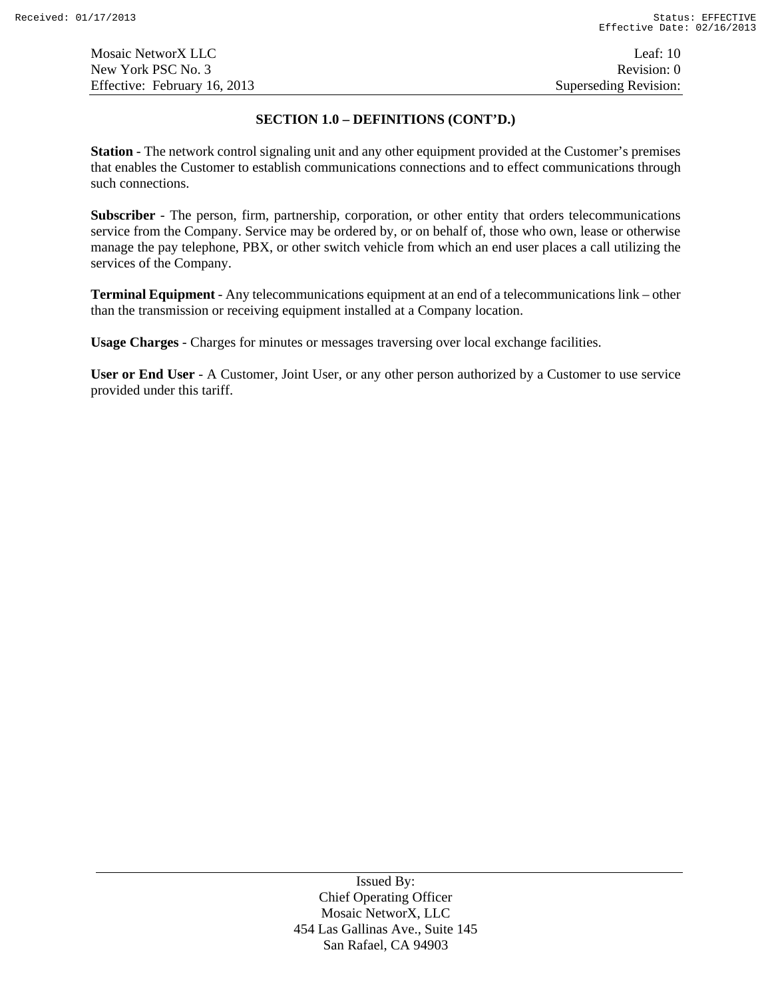#### **SECTION 1.0 – DEFINITIONS (CONT'D.)**

**Station** - The network control signaling unit and any other equipment provided at the Customer's premises that enables the Customer to establish communications connections and to effect communications through such connections.

**Subscriber** - The person, firm, partnership, corporation, or other entity that orders telecommunications service from the Company. Service may be ordered by, or on behalf of, those who own, lease or otherwise manage the pay telephone, PBX, or other switch vehicle from which an end user places a call utilizing the services of the Company.

**Terminal Equipment** - Any telecommunications equipment at an end of a telecommunications link – other than the transmission or receiving equipment installed at a Company location.

**Usage Charges** - Charges for minutes or messages traversing over local exchange facilities.

**User or End User** - A Customer, Joint User, or any other person authorized by a Customer to use service provided under this tariff.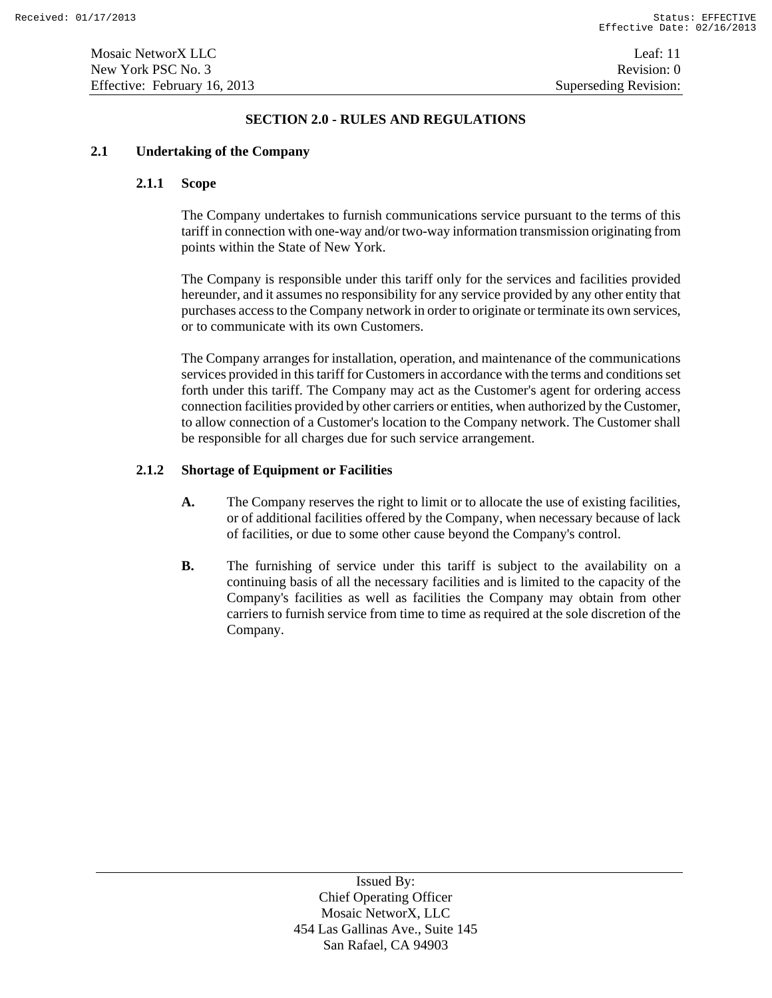### **SECTION 2.0 - RULES AND REGULATIONS**

# **2.1 Undertaking of the Company**

### **2.1.1 Scope**

The Company undertakes to furnish communications service pursuant to the terms of this tariff in connection with one-way and/or two-way information transmission originating from points within the State of New York.

The Company is responsible under this tariff only for the services and facilities provided hereunder, and it assumes no responsibility for any service provided by any other entity that purchases access to the Company network in order to originate or terminate its own services, or to communicate with its own Customers.

The Company arranges for installation, operation, and maintenance of the communications services provided in this tariff for Customers in accordance with the terms and conditions set forth under this tariff. The Company may act as the Customer's agent for ordering access connection facilities provided by other carriers or entities, when authorized by the Customer, to allow connection of a Customer's location to the Company network. The Customer shall be responsible for all charges due for such service arrangement.

### **2.1.2 Shortage of Equipment or Facilities**

- **A.** The Company reserves the right to limit or to allocate the use of existing facilities, or of additional facilities offered by the Company, when necessary because of lack of facilities, or due to some other cause beyond the Company's control.
- **B.** The furnishing of service under this tariff is subject to the availability on a continuing basis of all the necessary facilities and is limited to the capacity of the Company's facilities as well as facilities the Company may obtain from other carriers to furnish service from time to time as required at the sole discretion of the Company.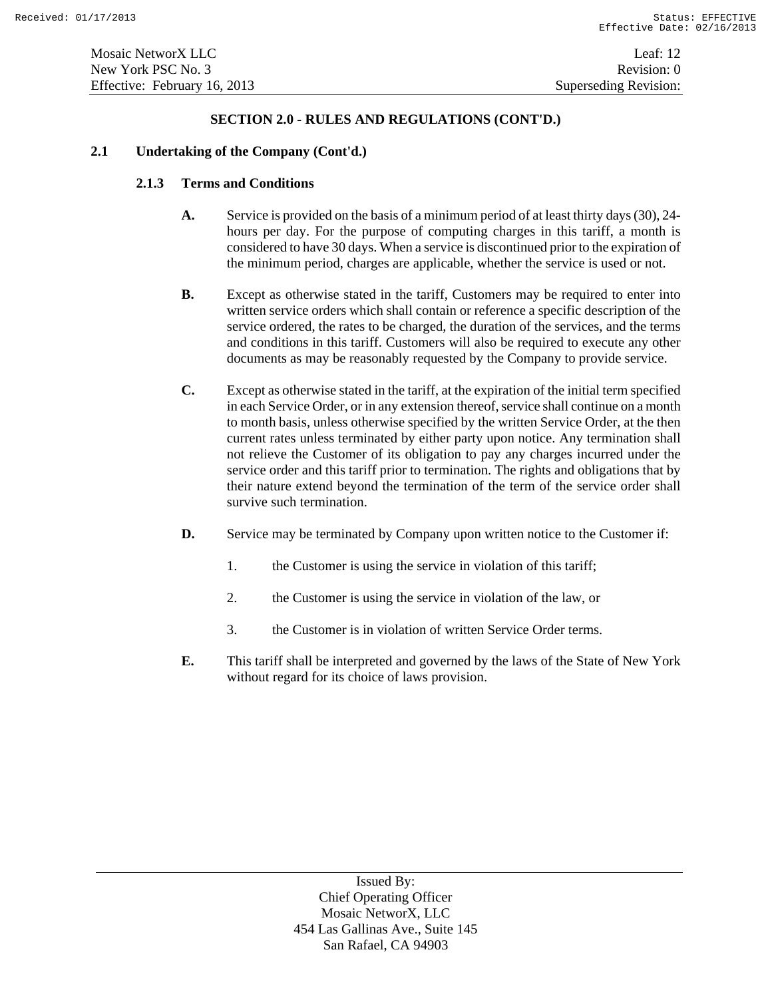### **2.1 Undertaking of the Company (Cont'd.)**

# **2.1.3 Terms and Conditions**

- **A.** Service is provided on the basis of a minimum period of at least thirty days (30), 24 hours per day. For the purpose of computing charges in this tariff, a month is considered to have 30 days. When a service is discontinued prior to the expiration of the minimum period, charges are applicable, whether the service is used or not.
- **B.** Except as otherwise stated in the tariff, Customers may be required to enter into written service orders which shall contain or reference a specific description of the service ordered, the rates to be charged, the duration of the services, and the terms and conditions in this tariff. Customers will also be required to execute any other documents as may be reasonably requested by the Company to provide service.
- **C.** Except as otherwise stated in the tariff, at the expiration of the initial term specified in each Service Order, or in any extension thereof, service shall continue on a month to month basis, unless otherwise specified by the written Service Order, at the then current rates unless terminated by either party upon notice. Any termination shall not relieve the Customer of its obligation to pay any charges incurred under the service order and this tariff prior to termination. The rights and obligations that by their nature extend beyond the termination of the term of the service order shall survive such termination.
- **D.** Service may be terminated by Company upon written notice to the Customer if:
	- 1. the Customer is using the service in violation of this tariff;
	- 2. the Customer is using the service in violation of the law, or
	- 3. the Customer is in violation of written Service Order terms.
- **E.** This tariff shall be interpreted and governed by the laws of the State of New York without regard for its choice of laws provision.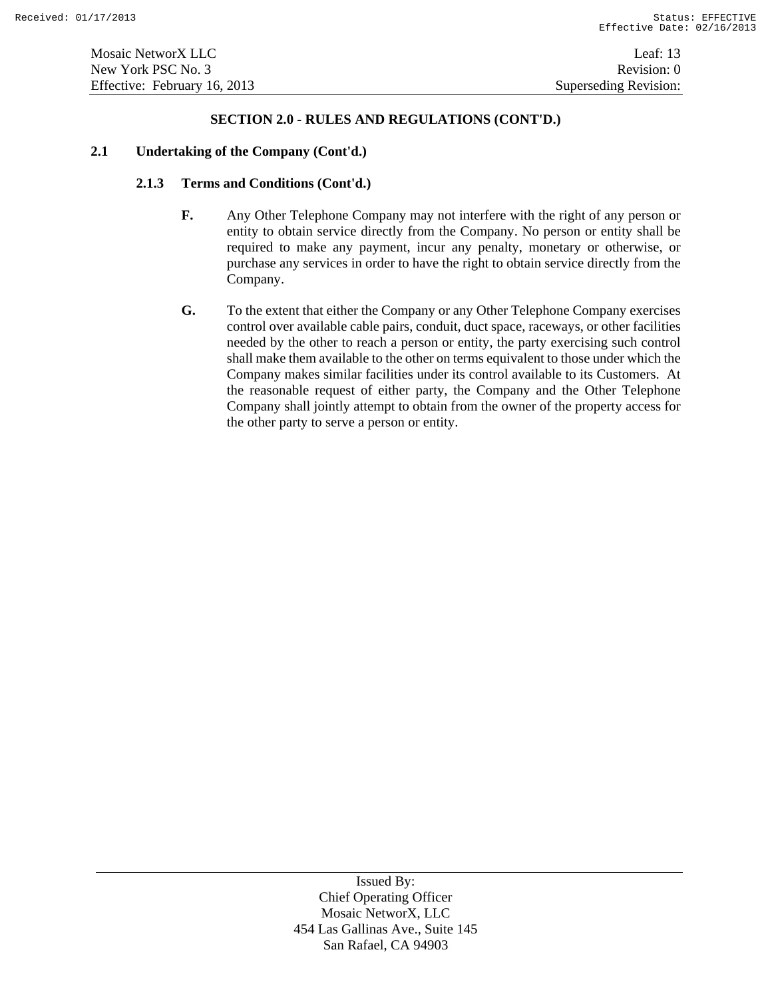### **2.1 Undertaking of the Company (Cont'd.)**

### **2.1.3 Terms and Conditions (Cont'd.)**

- **F.** Any Other Telephone Company may not interfere with the right of any person or entity to obtain service directly from the Company. No person or entity shall be required to make any payment, incur any penalty, monetary or otherwise, or purchase any services in order to have the right to obtain service directly from the Company.
- **G.** To the extent that either the Company or any Other Telephone Company exercises control over available cable pairs, conduit, duct space, raceways, or other facilities needed by the other to reach a person or entity, the party exercising such control shall make them available to the other on terms equivalent to those under which the Company makes similar facilities under its control available to its Customers. At the reasonable request of either party, the Company and the Other Telephone Company shall jointly attempt to obtain from the owner of the property access for the other party to serve a person or entity.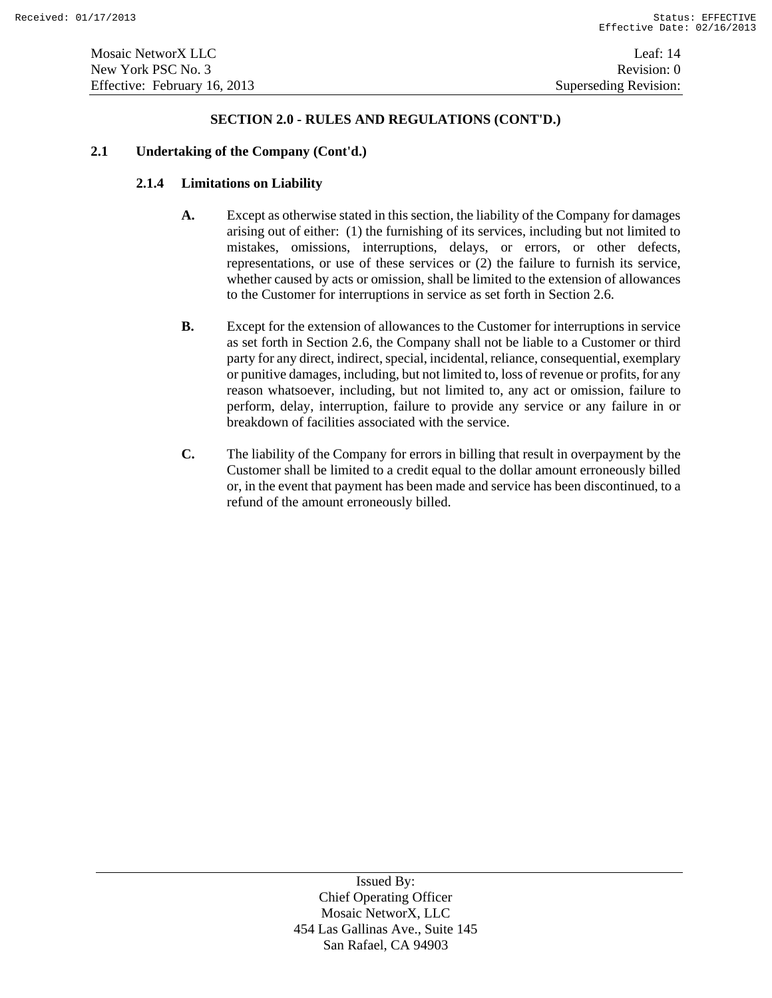### **2.1 Undertaking of the Company (Cont'd.)**

# **2.1.4 Limitations on Liability**

- **A.** Except as otherwise stated in this section, the liability of the Company for damages arising out of either: (1) the furnishing of its services, including but not limited to mistakes, omissions, interruptions, delays, or errors, or other defects, representations, or use of these services or (2) the failure to furnish its service, whether caused by acts or omission, shall be limited to the extension of allowances to the Customer for interruptions in service as set forth in Section 2.6.
- **B.** Except for the extension of allowances to the Customer for interruptions in service as set forth in Section 2.6, the Company shall not be liable to a Customer or third party for any direct, indirect, special, incidental, reliance, consequential, exemplary or punitive damages, including, but not limited to, loss of revenue or profits, for any reason whatsoever, including, but not limited to, any act or omission, failure to perform, delay, interruption, failure to provide any service or any failure in or breakdown of facilities associated with the service.
- **C.** The liability of the Company for errors in billing that result in overpayment by the Customer shall be limited to a credit equal to the dollar amount erroneously billed or, in the event that payment has been made and service has been discontinued, to a refund of the amount erroneously billed.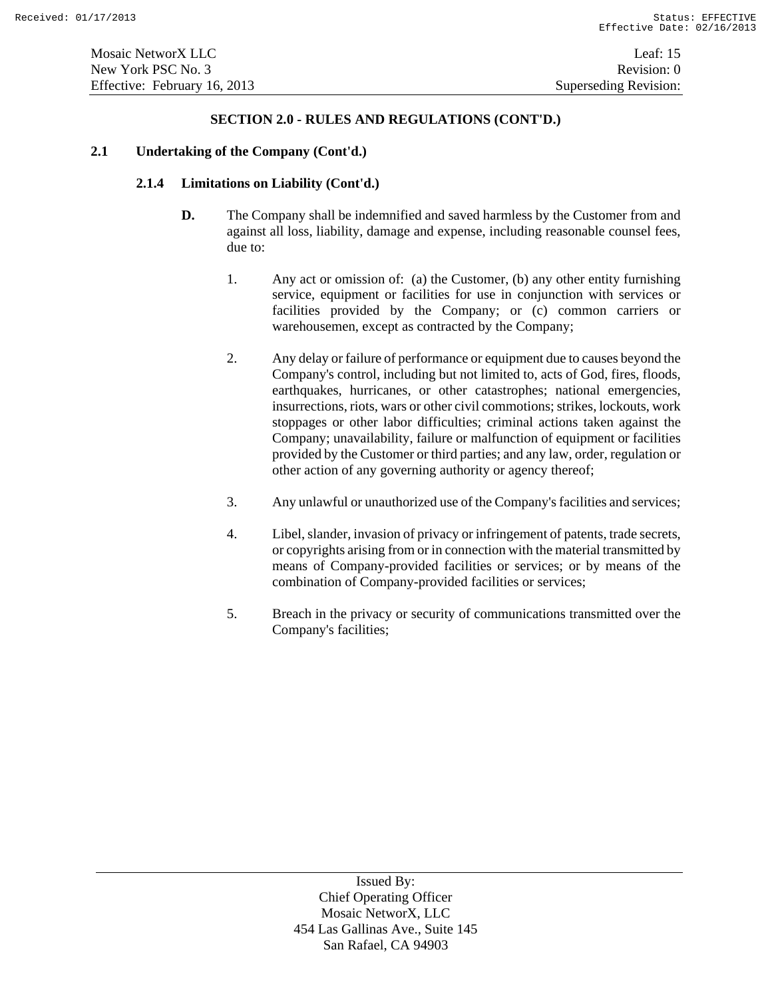#### **2.1 Undertaking of the Company (Cont'd.)**

# **2.1.4 Limitations on Liability (Cont'd.)**

- **D.** The Company shall be indemnified and saved harmless by the Customer from and against all loss, liability, damage and expense, including reasonable counsel fees, due to:
	- 1. Any act or omission of: (a) the Customer, (b) any other entity furnishing service, equipment or facilities for use in conjunction with services or facilities provided by the Company; or (c) common carriers or warehousemen, except as contracted by the Company;
	- 2. Any delay or failure of performance or equipment due to causes beyond the Company's control, including but not limited to, acts of God, fires, floods, earthquakes, hurricanes, or other catastrophes; national emergencies, insurrections, riots, wars or other civil commotions; strikes, lockouts, work stoppages or other labor difficulties; criminal actions taken against the Company; unavailability, failure or malfunction of equipment or facilities provided by the Customer or third parties; and any law, order, regulation or other action of any governing authority or agency thereof;
	- 3. Any unlawful or unauthorized use of the Company's facilities and services;
	- 4. Libel, slander, invasion of privacy or infringement of patents, trade secrets, or copyrights arising from or in connection with the material transmitted by means of Company-provided facilities or services; or by means of the combination of Company-provided facilities or services;
	- 5. Breach in the privacy or security of communications transmitted over the Company's facilities;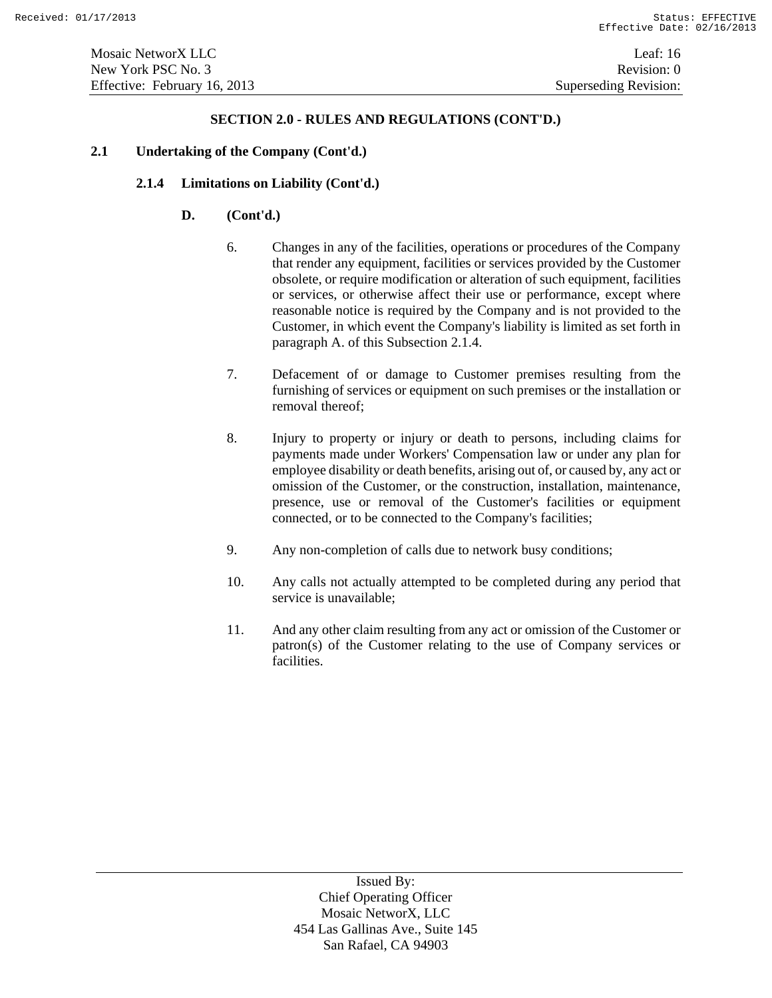### **2.1 Undertaking of the Company (Cont'd.)**

# **2.1.4 Limitations on Liability (Cont'd.)**

# **D. (Cont'd.)**

- 6. Changes in any of the facilities, operations or procedures of the Company that render any equipment, facilities or services provided by the Customer obsolete, or require modification or alteration of such equipment, facilities or services, or otherwise affect their use or performance, except where reasonable notice is required by the Company and is not provided to the Customer, in which event the Company's liability is limited as set forth in paragraph A. of this Subsection 2.1.4.
- 7. Defacement of or damage to Customer premises resulting from the furnishing of services or equipment on such premises or the installation or removal thereof;
- 8. Injury to property or injury or death to persons, including claims for payments made under Workers' Compensation law or under any plan for employee disability or death benefits, arising out of, or caused by, any act or omission of the Customer, or the construction, installation, maintenance, presence, use or removal of the Customer's facilities or equipment connected, or to be connected to the Company's facilities;
- 9. Any non-completion of calls due to network busy conditions;
- 10. Any calls not actually attempted to be completed during any period that service is unavailable;
- 11. And any other claim resulting from any act or omission of the Customer or patron(s) of the Customer relating to the use of Company services or facilities.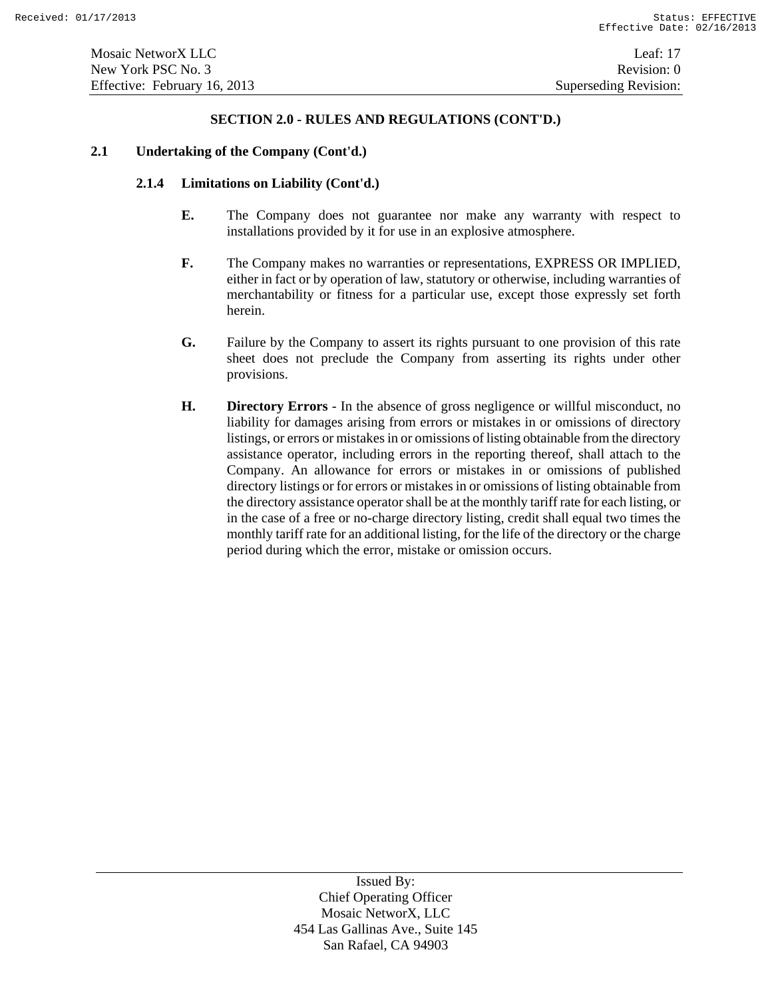#### **2.1 Undertaking of the Company (Cont'd.)**

### **2.1.4 Limitations on Liability (Cont'd.)**

- **E.** The Company does not guarantee nor make any warranty with respect to installations provided by it for use in an explosive atmosphere.
- **F.** The Company makes no warranties or representations, EXPRESS OR IMPLIED, either in fact or by operation of law, statutory or otherwise, including warranties of merchantability or fitness for a particular use, except those expressly set forth herein.
- **G.** Failure by the Company to assert its rights pursuant to one provision of this rate sheet does not preclude the Company from asserting its rights under other provisions.
- **H. Directory Errors** In the absence of gross negligence or willful misconduct, no liability for damages arising from errors or mistakes in or omissions of directory listings, or errors or mistakes in or omissions of listing obtainable from the directory assistance operator, including errors in the reporting thereof, shall attach to the Company. An allowance for errors or mistakes in or omissions of published directory listings or for errors or mistakes in or omissions of listing obtainable from the directory assistance operator shall be at the monthly tariff rate for each listing, or in the case of a free or no-charge directory listing, credit shall equal two times the monthly tariff rate for an additional listing, for the life of the directory or the charge period during which the error, mistake or omission occurs.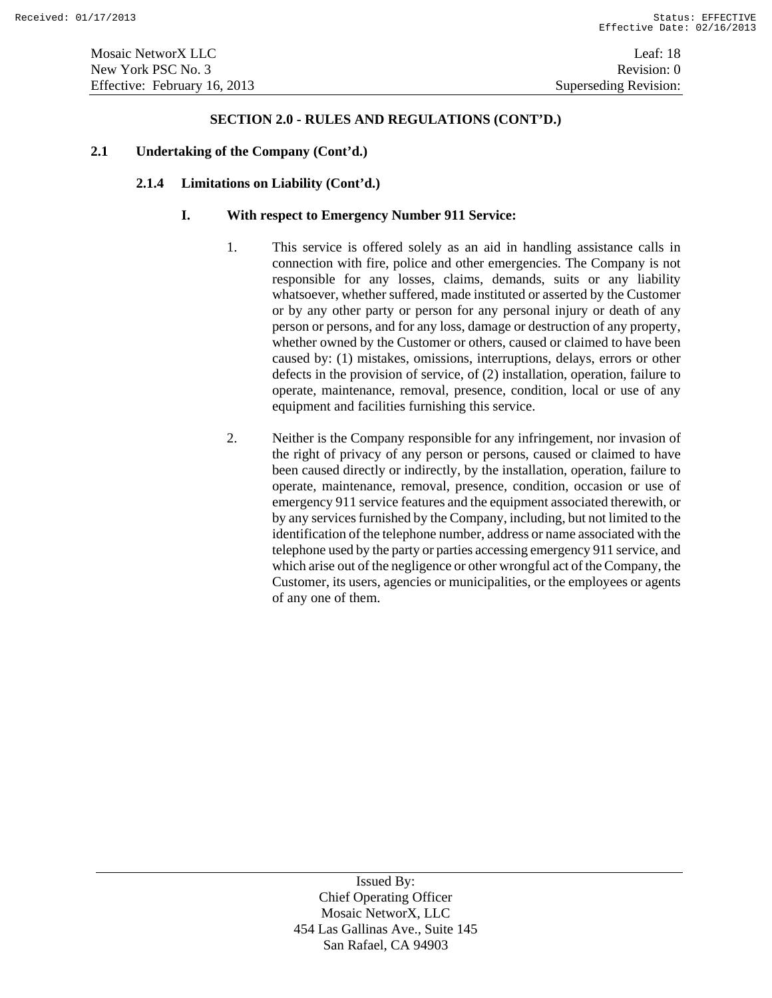#### **2.1 Undertaking of the Company (Cont'd.)**

### **2.1.4 Limitations on Liability (Cont'd.)**

#### **I. With respect to Emergency Number 911 Service:**

- 1. This service is offered solely as an aid in handling assistance calls in connection with fire, police and other emergencies. The Company is not responsible for any losses, claims, demands, suits or any liability whatsoever, whether suffered, made instituted or asserted by the Customer or by any other party or person for any personal injury or death of any person or persons, and for any loss, damage or destruction of any property, whether owned by the Customer or others, caused or claimed to have been caused by: (1) mistakes, omissions, interruptions, delays, errors or other defects in the provision of service, of (2) installation, operation, failure to operate, maintenance, removal, presence, condition, local or use of any equipment and facilities furnishing this service.
- 2. Neither is the Company responsible for any infringement, nor invasion of the right of privacy of any person or persons, caused or claimed to have been caused directly or indirectly, by the installation, operation, failure to operate, maintenance, removal, presence, condition, occasion or use of emergency 911 service features and the equipment associated therewith, or by any services furnished by the Company, including, but not limited to the identification of the telephone number, address or name associated with the telephone used by the party or parties accessing emergency 911 service, and which arise out of the negligence or other wrongful act of the Company, the Customer, its users, agencies or municipalities, or the employees or agents of any one of them.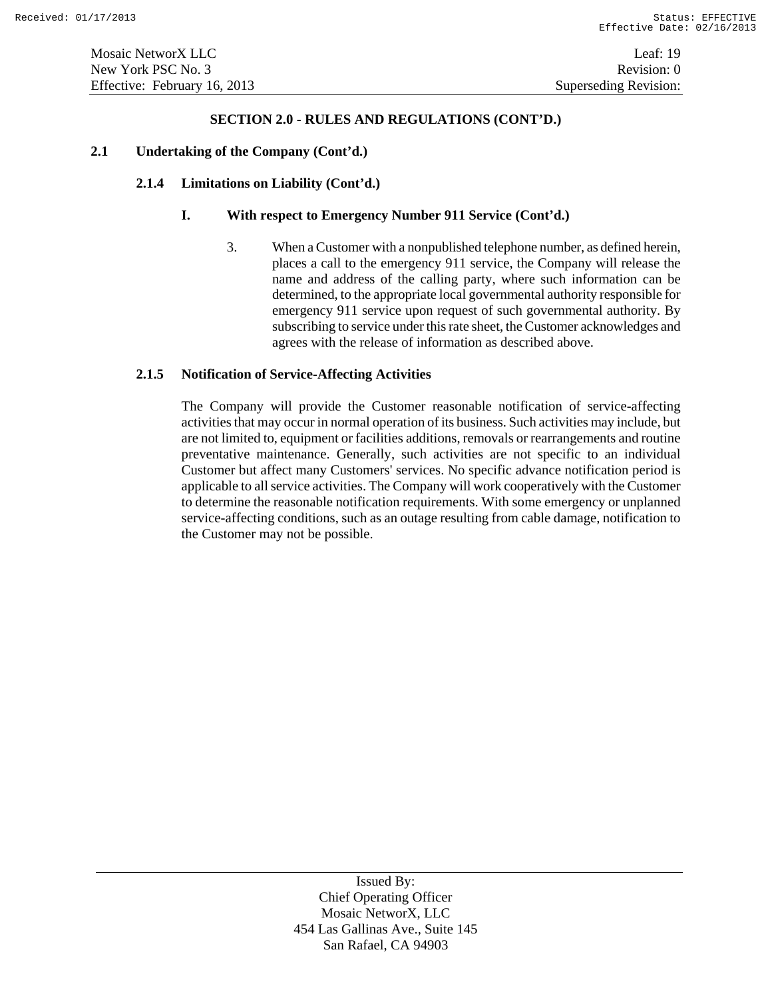#### **2.1 Undertaking of the Company (Cont'd.)**

### **2.1.4 Limitations on Liability (Cont'd.)**

### **I. With respect to Emergency Number 911 Service (Cont'd.)**

3. When a Customer with a nonpublished telephone number, as defined herein, places a call to the emergency 911 service, the Company will release the name and address of the calling party, where such information can be determined, to the appropriate local governmental authority responsible for emergency 911 service upon request of such governmental authority. By subscribing to service under this rate sheet, the Customer acknowledges and agrees with the release of information as described above.

### **2.1.5 Notification of Service-Affecting Activities**

The Company will provide the Customer reasonable notification of service-affecting activities that may occur in normal operation of its business. Such activities may include, but are not limited to, equipment or facilities additions, removals or rearrangements and routine preventative maintenance. Generally, such activities are not specific to an individual Customer but affect many Customers' services. No specific advance notification period is applicable to all service activities. The Company will work cooperatively with the Customer to determine the reasonable notification requirements. With some emergency or unplanned service-affecting conditions, such as an outage resulting from cable damage, notification to the Customer may not be possible.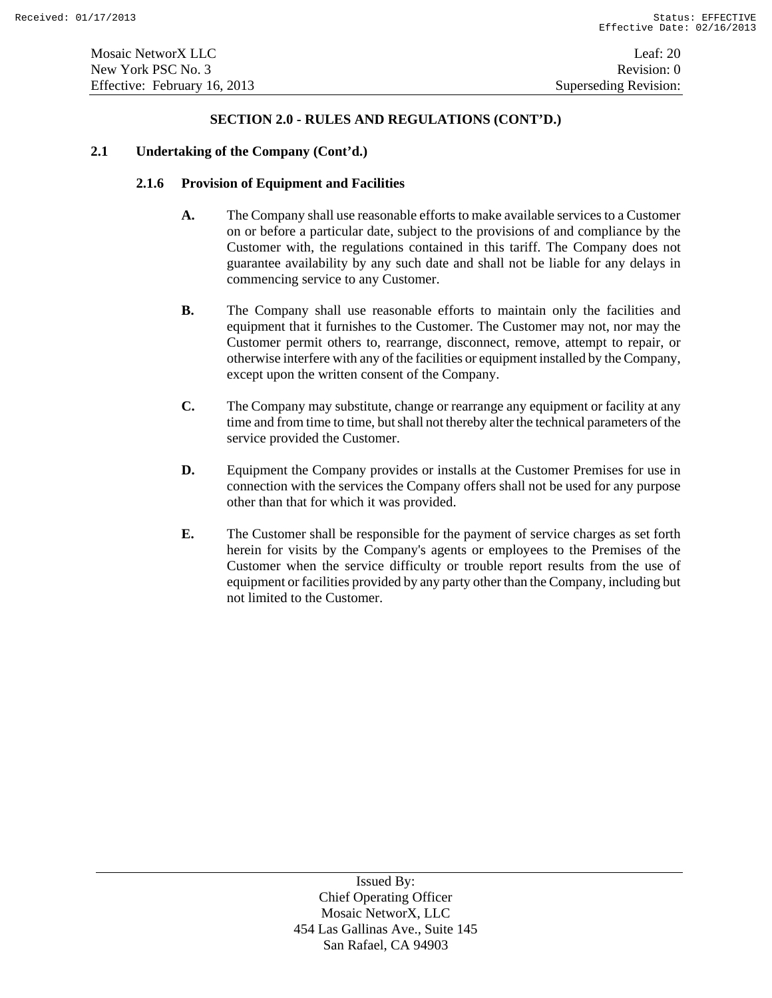#### **2.1 Undertaking of the Company (Cont'd.)**

# **2.1.6 Provision of Equipment and Facilities**

- **A.** The Company shall use reasonable efforts to make available services to a Customer on or before a particular date, subject to the provisions of and compliance by the Customer with, the regulations contained in this tariff. The Company does not guarantee availability by any such date and shall not be liable for any delays in commencing service to any Customer.
- **B.** The Company shall use reasonable efforts to maintain only the facilities and equipment that it furnishes to the Customer. The Customer may not, nor may the Customer permit others to, rearrange, disconnect, remove, attempt to repair, or otherwise interfere with any of the facilities or equipment installed by the Company, except upon the written consent of the Company.
- **C.** The Company may substitute, change or rearrange any equipment or facility at any time and from time to time, but shall not thereby alter the technical parameters of the service provided the Customer.
- **D.** Equipment the Company provides or installs at the Customer Premises for use in connection with the services the Company offers shall not be used for any purpose other than that for which it was provided.
- **E.** The Customer shall be responsible for the payment of service charges as set forth herein for visits by the Company's agents or employees to the Premises of the Customer when the service difficulty or trouble report results from the use of equipment or facilities provided by any party other than the Company, including but not limited to the Customer.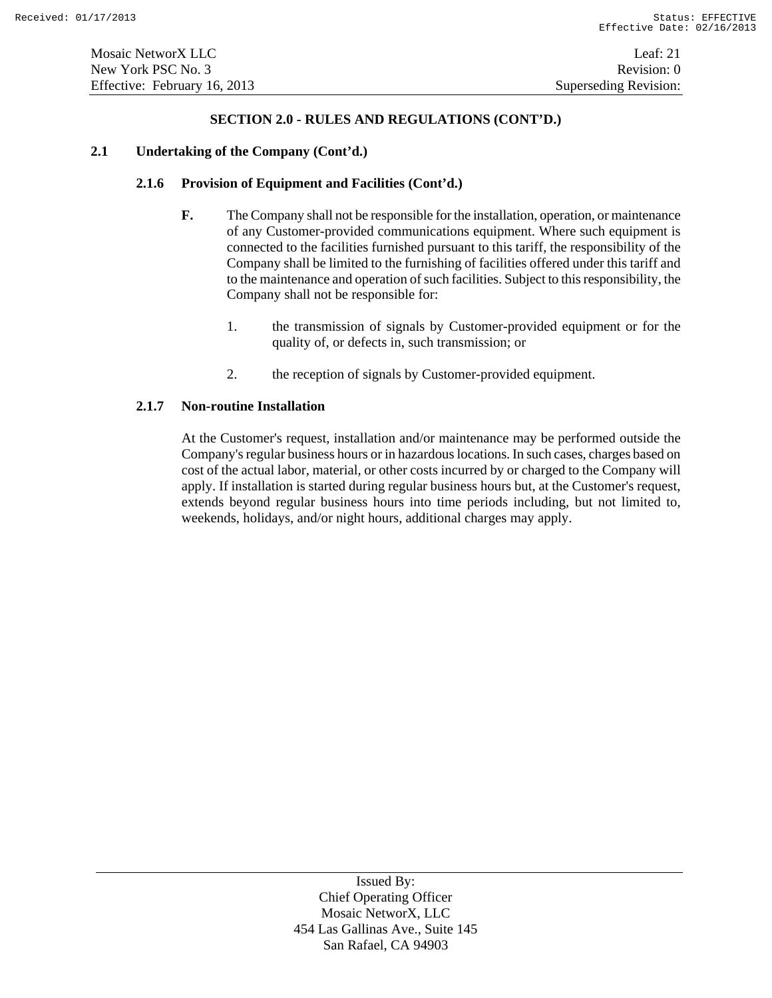#### **2.1 Undertaking of the Company (Cont'd.)**

#### **2.1.6 Provision of Equipment and Facilities (Cont'd.)**

- **F.** The Company shall not be responsible for the installation, operation, or maintenance of any Customer-provided communications equipment. Where such equipment is connected to the facilities furnished pursuant to this tariff, the responsibility of the Company shall be limited to the furnishing of facilities offered under this tariff and to the maintenance and operation of such facilities. Subject to this responsibility, the Company shall not be responsible for:
	- 1. the transmission of signals by Customer-provided equipment or for the quality of, or defects in, such transmission; or
	- 2. the reception of signals by Customer-provided equipment.

#### **2.1.7 Non-routine Installation**

At the Customer's request, installation and/or maintenance may be performed outside the Company's regular business hours or in hazardous locations. In such cases, charges based on cost of the actual labor, material, or other costs incurred by or charged to the Company will apply. If installation is started during regular business hours but, at the Customer's request, extends beyond regular business hours into time periods including, but not limited to, weekends, holidays, and/or night hours, additional charges may apply.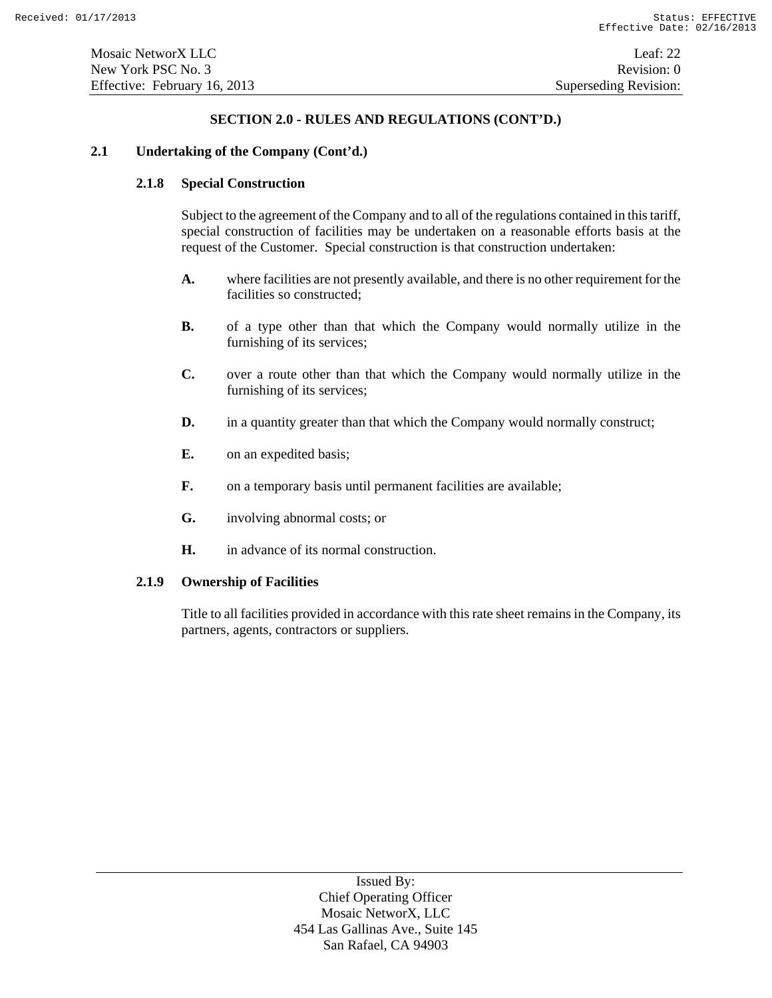#### **2.1 Undertaking of the Company (Cont'd.)**

### **2.1.8 Special Construction**

Subject to the agreement of the Company and to all of the regulations contained in this tariff, special construction of facilities may be undertaken on a reasonable efforts basis at the request of the Customer. Special construction is that construction undertaken:

- **A.** where facilities are not presently available, and there is no other requirement for the facilities so constructed;
- **B.** of a type other than that which the Company would normally utilize in the furnishing of its services;
- **C.** over a route other than that which the Company would normally utilize in the furnishing of its services;
- **D.** in a quantity greater than that which the Company would normally construct;
- **E.** on an expedited basis;
- **F.** on a temporary basis until permanent facilities are available;
- **G.** involving abnormal costs; or
- **H.** in advance of its normal construction.

#### **2.1.9 Ownership of Facilities**

Title to all facilities provided in accordance with this rate sheet remains in the Company, its partners, agents, contractors or suppliers.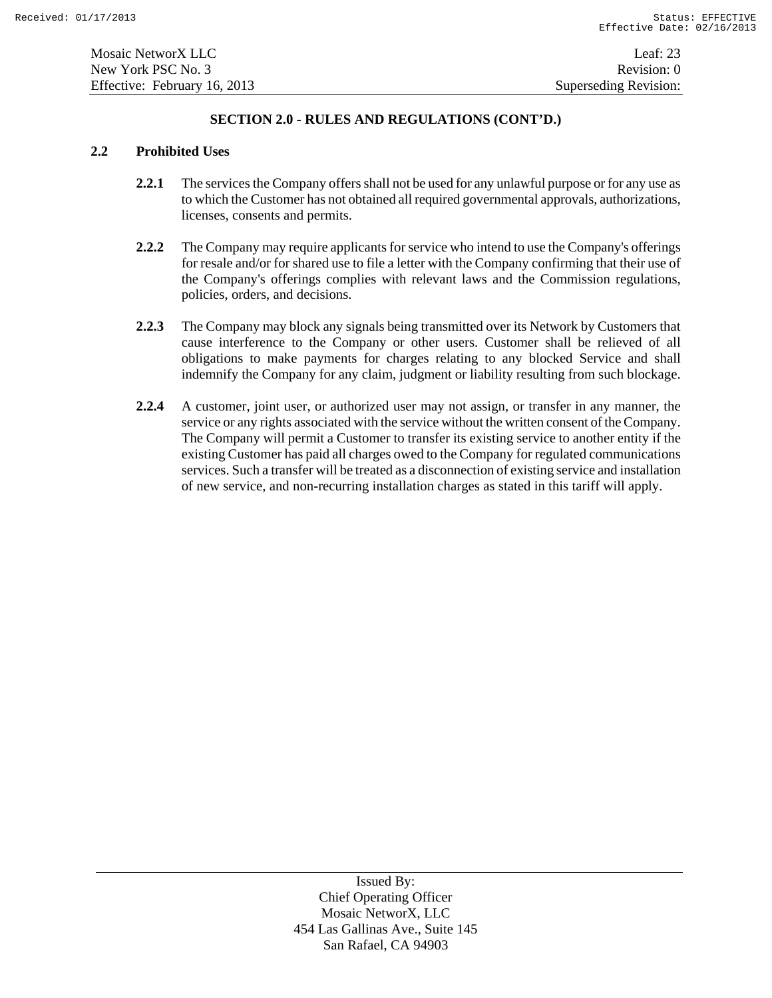#### **2.2 Prohibited Uses**

- **2.2.1** The services the Company offers shall not be used for any unlawful purpose or for any use as to which the Customer has not obtained all required governmental approvals, authorizations, licenses, consents and permits.
- **2.2.2** The Company may require applicants for service who intend to use the Company's offerings for resale and/or for shared use to file a letter with the Company confirming that their use of the Company's offerings complies with relevant laws and the Commission regulations, policies, orders, and decisions.
- **2.2.3** The Company may block any signals being transmitted over its Network by Customers that cause interference to the Company or other users. Customer shall be relieved of all obligations to make payments for charges relating to any blocked Service and shall indemnify the Company for any claim, judgment or liability resulting from such blockage.
- **2.2.4** A customer, joint user, or authorized user may not assign, or transfer in any manner, the service or any rights associated with the service without the written consent of the Company. The Company will permit a Customer to transfer its existing service to another entity if the existing Customer has paid all charges owed to the Company for regulated communications services. Such a transfer will be treated as a disconnection of existing service and installation of new service, and non-recurring installation charges as stated in this tariff will apply.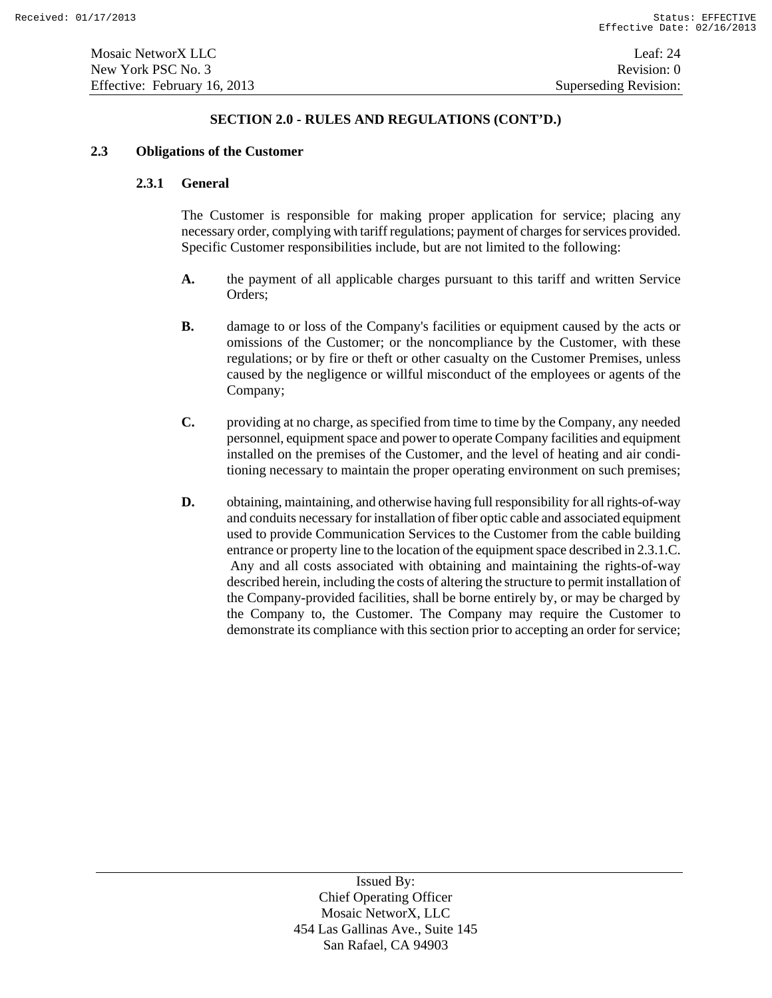#### **2.3 Obligations of the Customer**

#### **2.3.1 General**

The Customer is responsible for making proper application for service; placing any necessary order, complying with tariff regulations; payment of charges for services provided. Specific Customer responsibilities include, but are not limited to the following:

- **A.** the payment of all applicable charges pursuant to this tariff and written Service Orders;
- **B.** damage to or loss of the Company's facilities or equipment caused by the acts or omissions of the Customer; or the noncompliance by the Customer, with these regulations; or by fire or theft or other casualty on the Customer Premises, unless caused by the negligence or willful misconduct of the employees or agents of the Company;
- **C.** providing at no charge, as specified from time to time by the Company, any needed personnel, equipment space and power to operate Company facilities and equipment installed on the premises of the Customer, and the level of heating and air conditioning necessary to maintain the proper operating environment on such premises;
- **D.** obtaining, maintaining, and otherwise having full responsibility for all rights-of-way and conduits necessary for installation of fiber optic cable and associated equipment used to provide Communication Services to the Customer from the cable building entrance or property line to the location of the equipment space described in 2.3.1.C. Any and all costs associated with obtaining and maintaining the rights-of-way described herein, including the costs of altering the structure to permit installation of the Company-provided facilities, shall be borne entirely by, or may be charged by the Company to, the Customer. The Company may require the Customer to demonstrate its compliance with this section prior to accepting an order for service;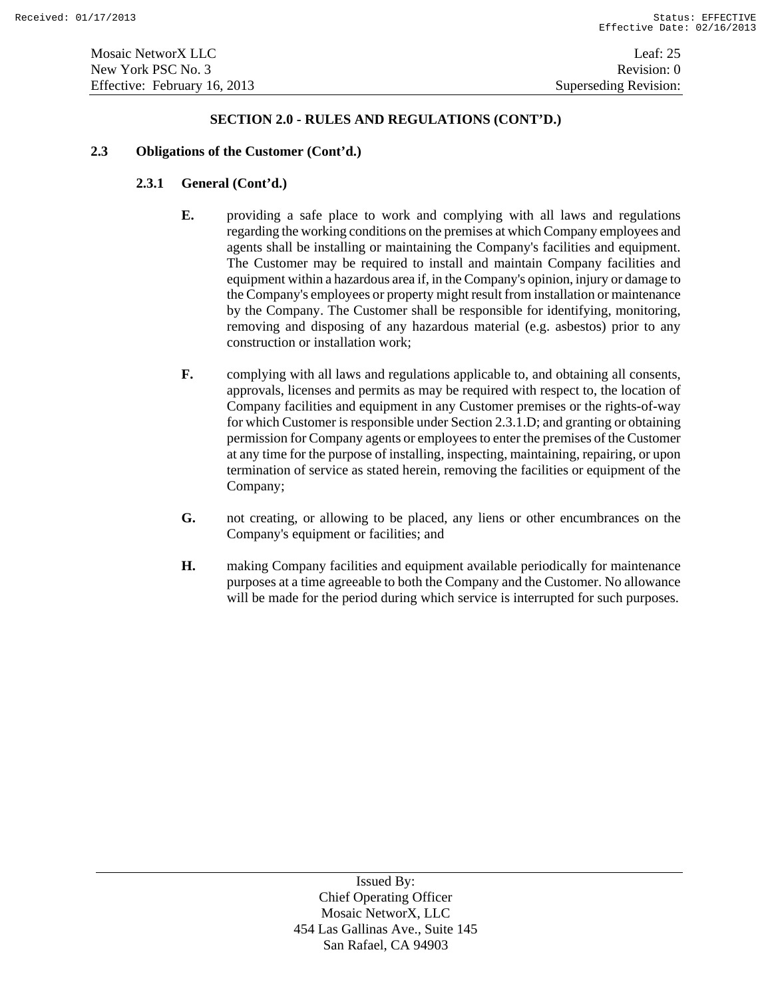#### **2.3 Obligations of the Customer (Cont'd.)**

# **2.3.1 General (Cont'd.)**

- **E.** providing a safe place to work and complying with all laws and regulations regarding the working conditions on the premises at which Company employees and agents shall be installing or maintaining the Company's facilities and equipment. The Customer may be required to install and maintain Company facilities and equipment within a hazardous area if, in the Company's opinion, injury or damage to the Company's employees or property might result from installation or maintenance by the Company. The Customer shall be responsible for identifying, monitoring, removing and disposing of any hazardous material (e.g. asbestos) prior to any construction or installation work;
- **F.** complying with all laws and regulations applicable to, and obtaining all consents, approvals, licenses and permits as may be required with respect to, the location of Company facilities and equipment in any Customer premises or the rights-of-way for which Customer is responsible under Section 2.3.1.D; and granting or obtaining permission for Company agents or employees to enter the premises of the Customer at any time for the purpose of installing, inspecting, maintaining, repairing, or upon termination of service as stated herein, removing the facilities or equipment of the Company;
- **G.** not creating, or allowing to be placed, any liens or other encumbrances on the Company's equipment or facilities; and
- **H.** making Company facilities and equipment available periodically for maintenance purposes at a time agreeable to both the Company and the Customer. No allowance will be made for the period during which service is interrupted for such purposes.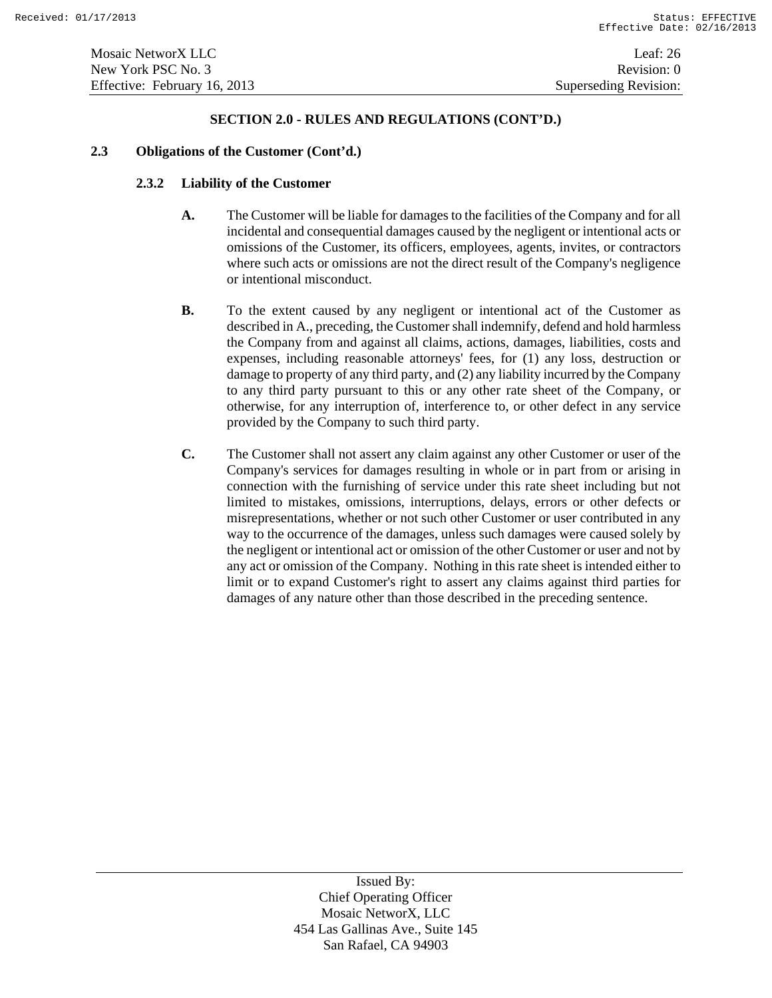#### **2.3 Obligations of the Customer (Cont'd.)**

### **2.3.2 Liability of the Customer**

- **A.** The Customer will be liable for damages to the facilities of the Company and for all incidental and consequential damages caused by the negligent or intentional acts or omissions of the Customer, its officers, employees, agents, invites, or contractors where such acts or omissions are not the direct result of the Company's negligence or intentional misconduct.
- **B.** To the extent caused by any negligent or intentional act of the Customer as described in A., preceding, the Customer shall indemnify, defend and hold harmless the Company from and against all claims, actions, damages, liabilities, costs and expenses, including reasonable attorneys' fees, for (1) any loss, destruction or damage to property of any third party, and (2) any liability incurred by the Company to any third party pursuant to this or any other rate sheet of the Company, or otherwise, for any interruption of, interference to, or other defect in any service provided by the Company to such third party.
- **C.** The Customer shall not assert any claim against any other Customer or user of the Company's services for damages resulting in whole or in part from or arising in connection with the furnishing of service under this rate sheet including but not limited to mistakes, omissions, interruptions, delays, errors or other defects or misrepresentations, whether or not such other Customer or user contributed in any way to the occurrence of the damages, unless such damages were caused solely by the negligent or intentional act or omission of the other Customer or user and not by any act or omission of the Company. Nothing in this rate sheet is intended either to limit or to expand Customer's right to assert any claims against third parties for damages of any nature other than those described in the preceding sentence.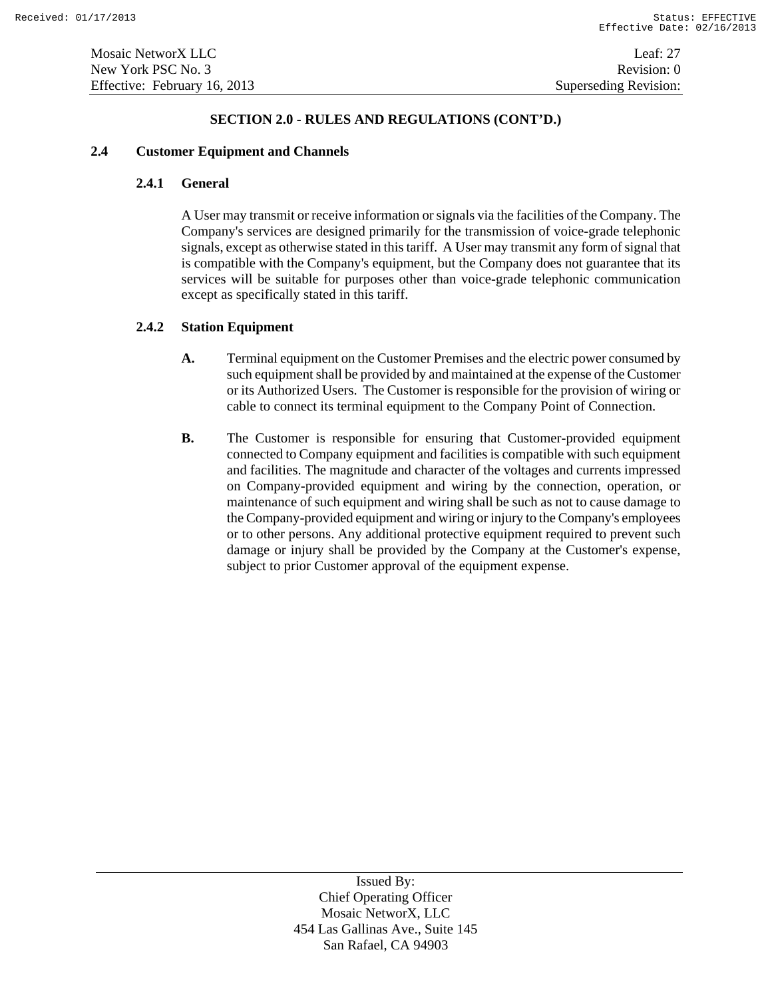### **2.4 Customer Equipment and Channels**

### **2.4.1 General**

A User may transmit or receive information or signals via the facilities of the Company. The Company's services are designed primarily for the transmission of voice-grade telephonic signals, except as otherwise stated in this tariff. A User may transmit any form of signal that is compatible with the Company's equipment, but the Company does not guarantee that its services will be suitable for purposes other than voice-grade telephonic communication except as specifically stated in this tariff.

### **2.4.2 Station Equipment**

- **A.** Terminal equipment on the Customer Premises and the electric power consumed by such equipment shall be provided by and maintained at the expense of the Customer or its Authorized Users. The Customer is responsible for the provision of wiring or cable to connect its terminal equipment to the Company Point of Connection.
- **B.** The Customer is responsible for ensuring that Customer-provided equipment connected to Company equipment and facilities is compatible with such equipment and facilities. The magnitude and character of the voltages and currents impressed on Company-provided equipment and wiring by the connection, operation, or maintenance of such equipment and wiring shall be such as not to cause damage to the Company-provided equipment and wiring or injury to the Company's employees or to other persons. Any additional protective equipment required to prevent such damage or injury shall be provided by the Company at the Customer's expense, subject to prior Customer approval of the equipment expense.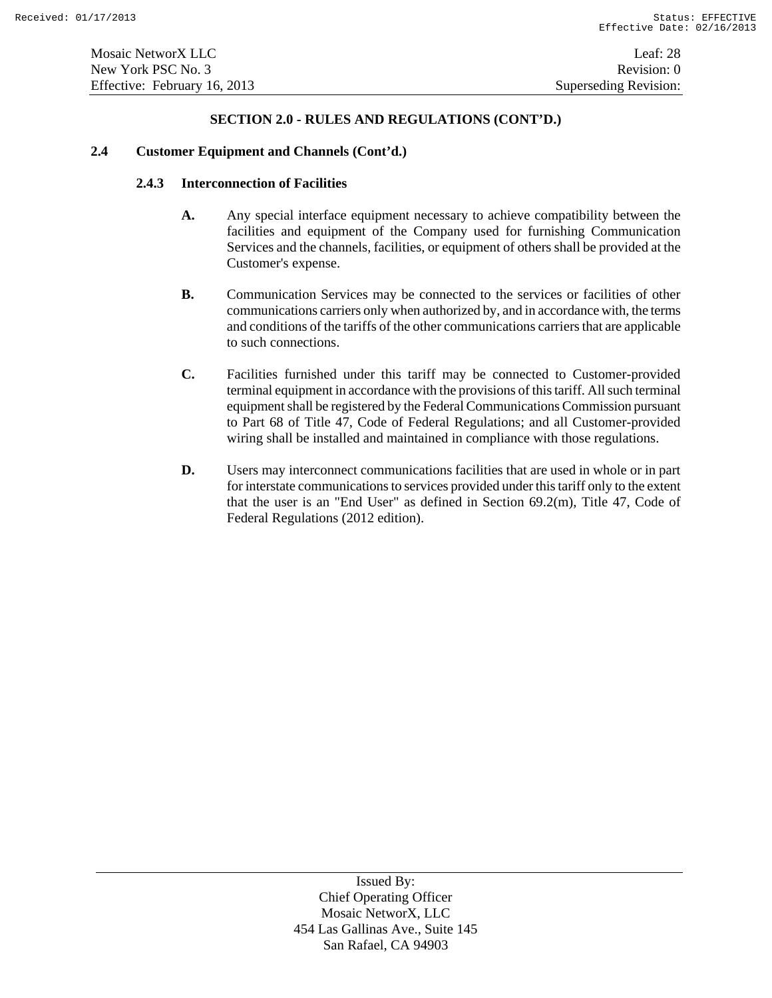### **2.4 Customer Equipment and Channels (Cont'd.)**

#### **2.4.3 Interconnection of Facilities**

- **A.** Any special interface equipment necessary to achieve compatibility between the facilities and equipment of the Company used for furnishing Communication Services and the channels, facilities, or equipment of others shall be provided at the Customer's expense.
- **B.** Communication Services may be connected to the services or facilities of other communications carriers only when authorized by, and in accordance with, the terms and conditions of the tariffs of the other communications carriers that are applicable to such connections.
- **C.** Facilities furnished under this tariff may be connected to Customer-provided terminal equipment in accordance with the provisions of this tariff. All such terminal equipment shall be registered by the Federal Communications Commission pursuant to Part 68 of Title 47, Code of Federal Regulations; and all Customer-provided wiring shall be installed and maintained in compliance with those regulations.
- **D.** Users may interconnect communications facilities that are used in whole or in part for interstate communications to services provided under this tariff only to the extent that the user is an "End User" as defined in Section 69.2(m), Title 47, Code of Federal Regulations (2012 edition).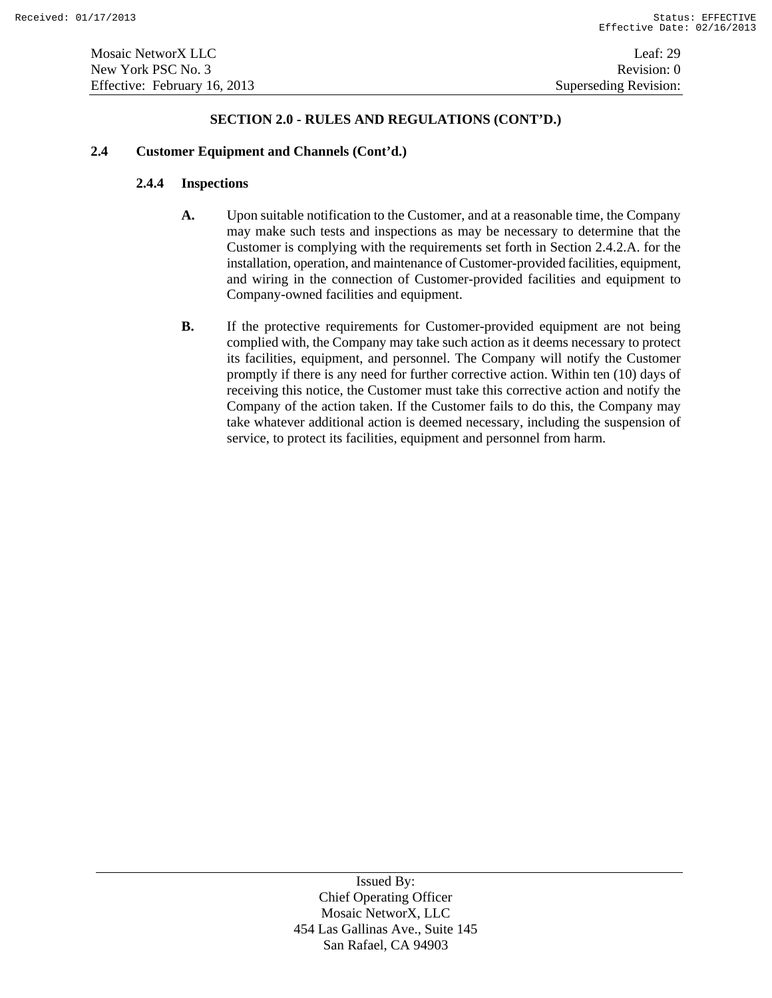#### **2.4 Customer Equipment and Channels (Cont'd.)**

### **2.4.4 Inspections**

- **A.** Upon suitable notification to the Customer, and at a reasonable time, the Company may make such tests and inspections as may be necessary to determine that the Customer is complying with the requirements set forth in Section 2.4.2.A. for the installation, operation, and maintenance of Customer-provided facilities, equipment, and wiring in the connection of Customer-provided facilities and equipment to Company-owned facilities and equipment.
- **B.** If the protective requirements for Customer-provided equipment are not being complied with, the Company may take such action as it deems necessary to protect its facilities, equipment, and personnel. The Company will notify the Customer promptly if there is any need for further corrective action. Within ten (10) days of receiving this notice, the Customer must take this corrective action and notify the Company of the action taken. If the Customer fails to do this, the Company may take whatever additional action is deemed necessary, including the suspension of service, to protect its facilities, equipment and personnel from harm.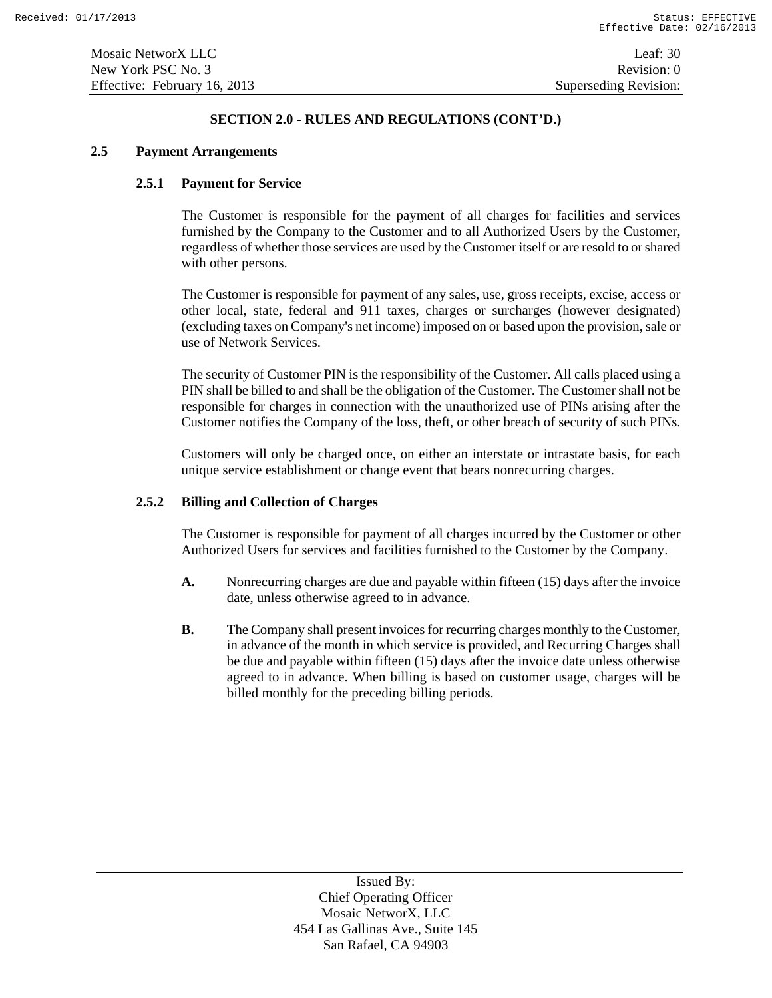### **2.5 Payment Arrangements**

# **2.5.1 Payment for Service**

The Customer is responsible for the payment of all charges for facilities and services furnished by the Company to the Customer and to all Authorized Users by the Customer, regardless of whether those services are used by the Customer itself or are resold to or shared with other persons.

The Customer is responsible for payment of any sales, use, gross receipts, excise, access or other local, state, federal and 911 taxes, charges or surcharges (however designated) (excluding taxes on Company's net income) imposed on or based upon the provision, sale or use of Network Services.

The security of Customer PIN is the responsibility of the Customer. All calls placed using a PIN shall be billed to and shall be the obligation of the Customer. The Customer shall not be responsible for charges in connection with the unauthorized use of PINs arising after the Customer notifies the Company of the loss, theft, or other breach of security of such PINs.

Customers will only be charged once, on either an interstate or intrastate basis, for each unique service establishment or change event that bears nonrecurring charges.

#### **2.5.2 Billing and Collection of Charges**

The Customer is responsible for payment of all charges incurred by the Customer or other Authorized Users for services and facilities furnished to the Customer by the Company.

- **A.** Nonrecurring charges are due and payable within fifteen (15) days after the invoice date, unless otherwise agreed to in advance.
- **B.** The Company shall present invoices for recurring charges monthly to the Customer, in advance of the month in which service is provided, and Recurring Charges shall be due and payable within fifteen (15) days after the invoice date unless otherwise agreed to in advance. When billing is based on customer usage, charges will be billed monthly for the preceding billing periods.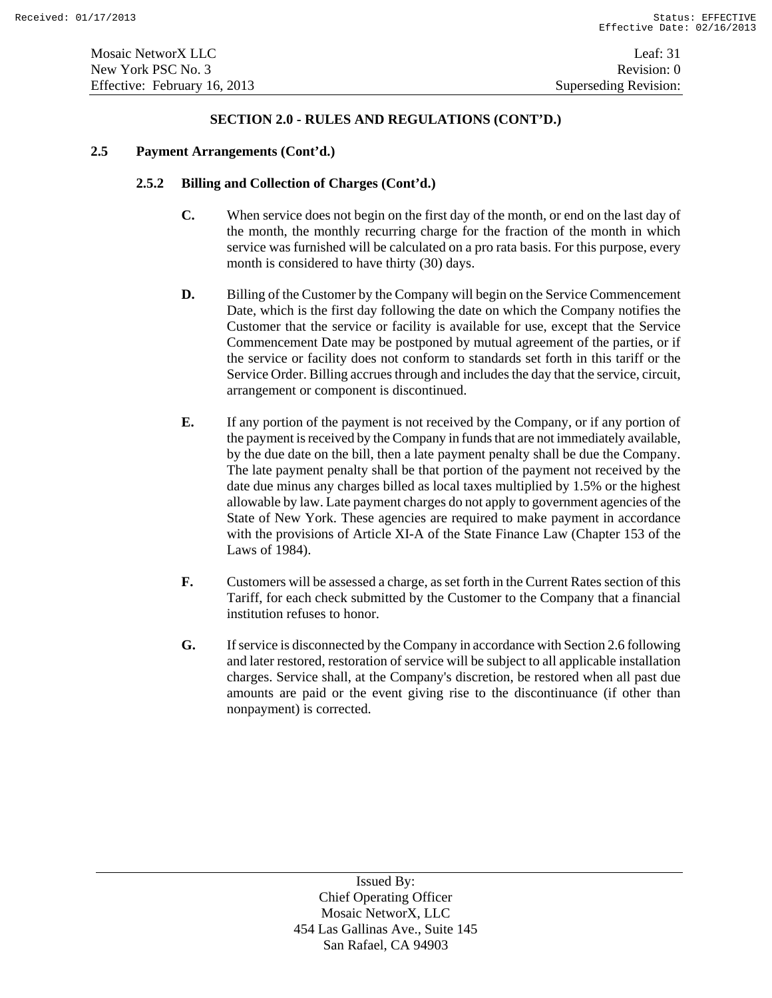### **2.5 Payment Arrangements (Cont'd.)**

# **2.5.2 Billing and Collection of Charges (Cont'd.)**

- **C.** When service does not begin on the first day of the month, or end on the last day of the month, the monthly recurring charge for the fraction of the month in which service was furnished will be calculated on a pro rata basis. For this purpose, every month is considered to have thirty (30) days.
- **D.** Billing of the Customer by the Company will begin on the Service Commencement Date, which is the first day following the date on which the Company notifies the Customer that the service or facility is available for use, except that the Service Commencement Date may be postponed by mutual agreement of the parties, or if the service or facility does not conform to standards set forth in this tariff or the Service Order. Billing accrues through and includes the day that the service, circuit, arrangement or component is discontinued.
- **E.** If any portion of the payment is not received by the Company, or if any portion of the payment is received by the Company in funds that are not immediately available, by the due date on the bill, then a late payment penalty shall be due the Company. The late payment penalty shall be that portion of the payment not received by the date due minus any charges billed as local taxes multiplied by 1.5% or the highest allowable by law. Late payment charges do not apply to government agencies of the State of New York. These agencies are required to make payment in accordance with the provisions of Article XI-A of the State Finance Law (Chapter 153 of the Laws of 1984).
- **F.** Customers will be assessed a charge, as set forth in the Current Rates section of this Tariff, for each check submitted by the Customer to the Company that a financial institution refuses to honor.
- **G.** If service is disconnected by the Company in accordance with Section 2.6 following and later restored, restoration of service will be subject to all applicable installation charges. Service shall, at the Company's discretion, be restored when all past due amounts are paid or the event giving rise to the discontinuance (if other than nonpayment) is corrected.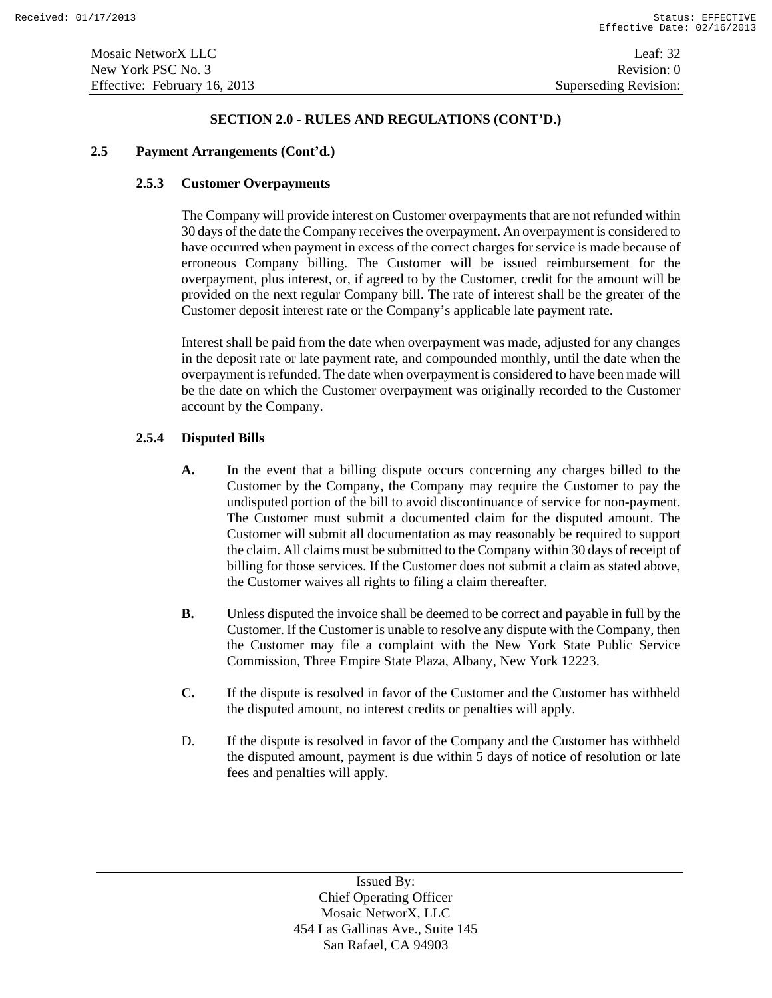### **2.5 Payment Arrangements (Cont'd.)**

### **2.5.3 Customer Overpayments**

The Company will provide interest on Customer overpayments that are not refunded within 30 days of the date the Company receives the overpayment. An overpayment is considered to have occurred when payment in excess of the correct charges for service is made because of erroneous Company billing. The Customer will be issued reimbursement for the overpayment, plus interest, or, if agreed to by the Customer, credit for the amount will be provided on the next regular Company bill. The rate of interest shall be the greater of the Customer deposit interest rate or the Company's applicable late payment rate.

Interest shall be paid from the date when overpayment was made, adjusted for any changes in the deposit rate or late payment rate, and compounded monthly, until the date when the overpayment is refunded. The date when overpayment is considered to have been made will be the date on which the Customer overpayment was originally recorded to the Customer account by the Company.

# **2.5.4 Disputed Bills**

- **A.** In the event that a billing dispute occurs concerning any charges billed to the Customer by the Company, the Company may require the Customer to pay the undisputed portion of the bill to avoid discontinuance of service for non-payment. The Customer must submit a documented claim for the disputed amount. The Customer will submit all documentation as may reasonably be required to support the claim. All claims must be submitted to the Company within 30 days of receipt of billing for those services. If the Customer does not submit a claim as stated above, the Customer waives all rights to filing a claim thereafter.
- **B.** Unless disputed the invoice shall be deemed to be correct and payable in full by the Customer. If the Customer is unable to resolve any dispute with the Company, then the Customer may file a complaint with the New York State Public Service Commission, Three Empire State Plaza, Albany, New York 12223.
- **C.** If the dispute is resolved in favor of the Customer and the Customer has withheld the disputed amount, no interest credits or penalties will apply.
- D. If the dispute is resolved in favor of the Company and the Customer has withheld the disputed amount, payment is due within 5 days of notice of resolution or late fees and penalties will apply.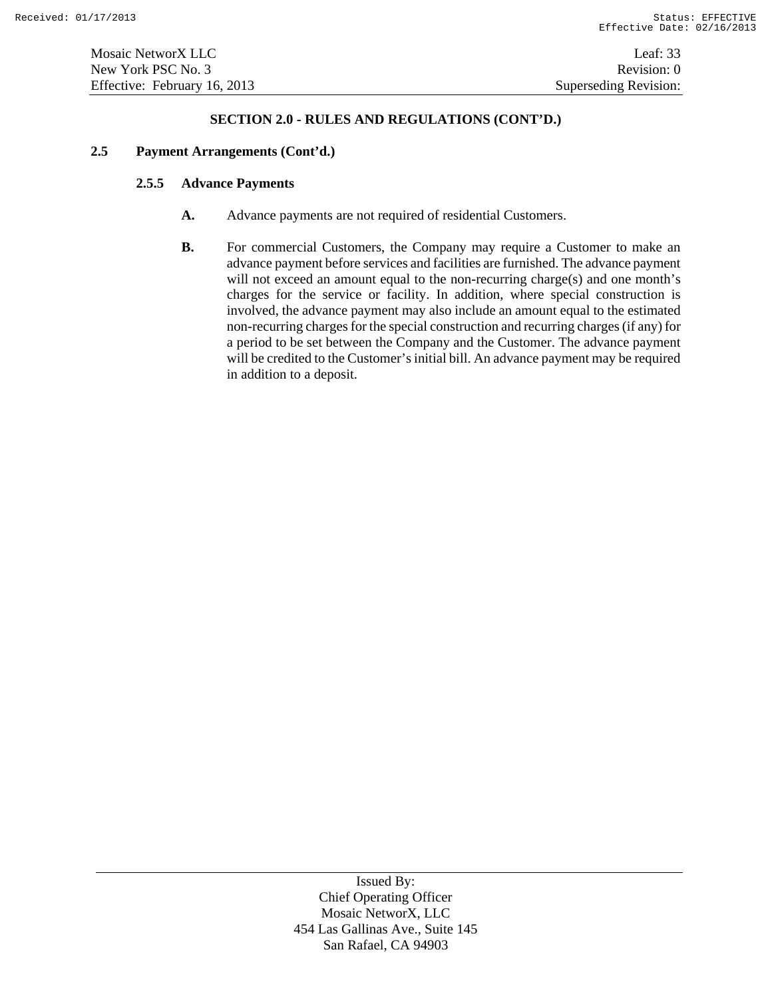#### **2.5 Payment Arrangements (Cont'd.)**

#### **2.5.5 Advance Payments**

- **A.** Advance payments are not required of residential Customers.
- **B.** For commercial Customers, the Company may require a Customer to make an advance payment before services and facilities are furnished. The advance payment will not exceed an amount equal to the non-recurring charge(s) and one month's charges for the service or facility. In addition, where special construction is involved, the advance payment may also include an amount equal to the estimated non-recurring charges for the special construction and recurring charges (if any) for a period to be set between the Company and the Customer. The advance payment will be credited to the Customer's initial bill. An advance payment may be required in addition to a deposit.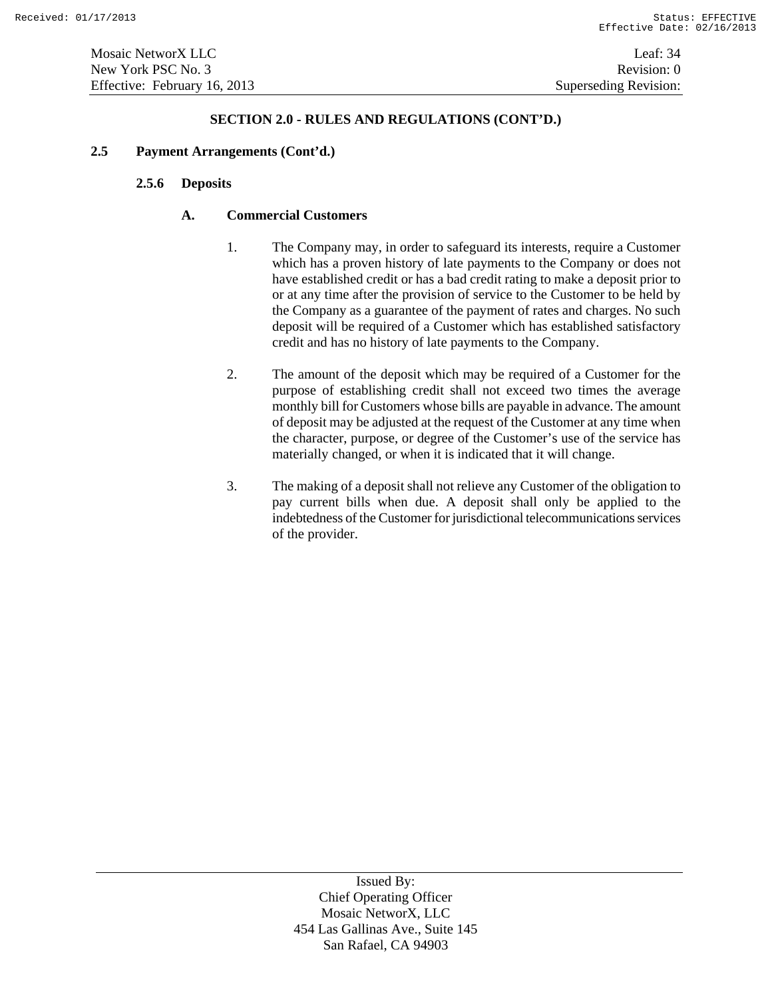Mosaic NetworX LLC Leaf: 34 New York PSC No. 3 Revision: 0 Effective: February 16, 2013 Superseding Revision:

#### **SECTION 2.0 - RULES AND REGULATIONS (CONT'D.)**

### **2.5 Payment Arrangements (Cont'd.)**

### **2.5.6 Deposits**

### **A. Commercial Customers**

- 1. The Company may, in order to safeguard its interests, require a Customer which has a proven history of late payments to the Company or does not have established credit or has a bad credit rating to make a deposit prior to or at any time after the provision of service to the Customer to be held by the Company as a guarantee of the payment of rates and charges. No such deposit will be required of a Customer which has established satisfactory credit and has no history of late payments to the Company.
- 2. The amount of the deposit which may be required of a Customer for the purpose of establishing credit shall not exceed two times the average monthly bill for Customers whose bills are payable in advance. The amount of deposit may be adjusted at the request of the Customer at any time when the character, purpose, or degree of the Customer's use of the service has materially changed, or when it is indicated that it will change.
- 3. The making of a deposit shall not relieve any Customer of the obligation to pay current bills when due. A deposit shall only be applied to the indebtedness of the Customer for jurisdictional telecommunications services of the provider.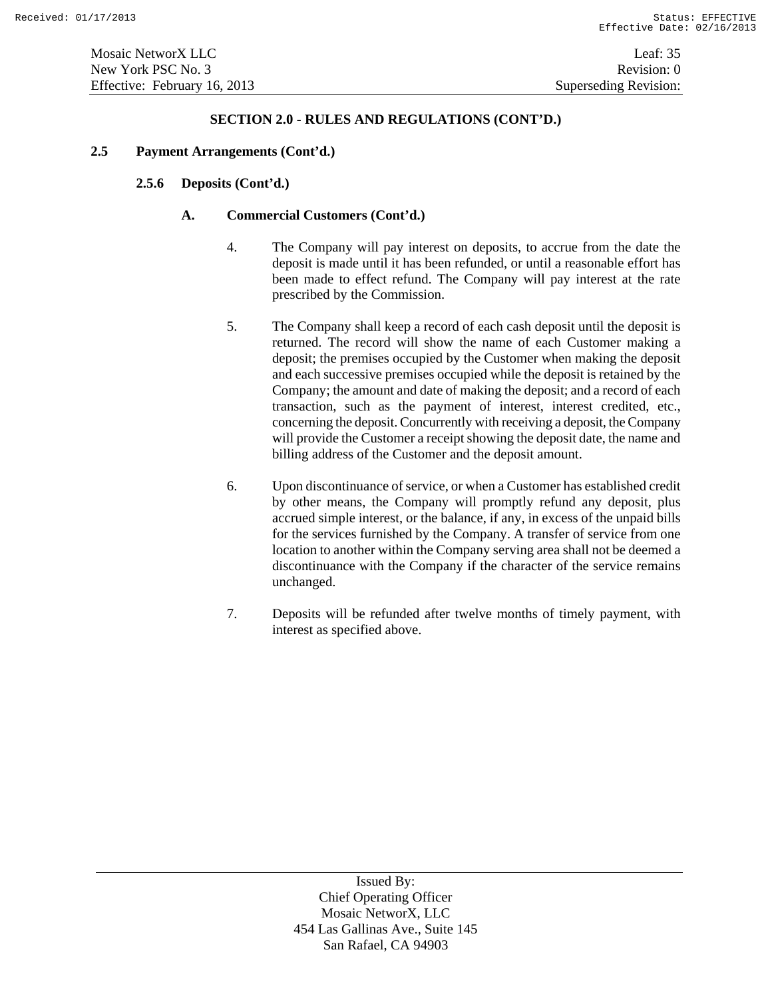#### **2.5 Payment Arrangements (Cont'd.)**

# **2.5.6 Deposits (Cont'd.)**

# **A. Commercial Customers (Cont'd.)**

- 4. The Company will pay interest on deposits, to accrue from the date the deposit is made until it has been refunded, or until a reasonable effort has been made to effect refund. The Company will pay interest at the rate prescribed by the Commission.
- 5. The Company shall keep a record of each cash deposit until the deposit is returned. The record will show the name of each Customer making a deposit; the premises occupied by the Customer when making the deposit and each successive premises occupied while the deposit is retained by the Company; the amount and date of making the deposit; and a record of each transaction, such as the payment of interest, interest credited, etc., concerning the deposit. Concurrently with receiving a deposit, the Company will provide the Customer a receipt showing the deposit date, the name and billing address of the Customer and the deposit amount.
- 6. Upon discontinuance of service, or when a Customer has established credit by other means, the Company will promptly refund any deposit, plus accrued simple interest, or the balance, if any, in excess of the unpaid bills for the services furnished by the Company. A transfer of service from one location to another within the Company serving area shall not be deemed a discontinuance with the Company if the character of the service remains unchanged.
- 7. Deposits will be refunded after twelve months of timely payment, with interest as specified above.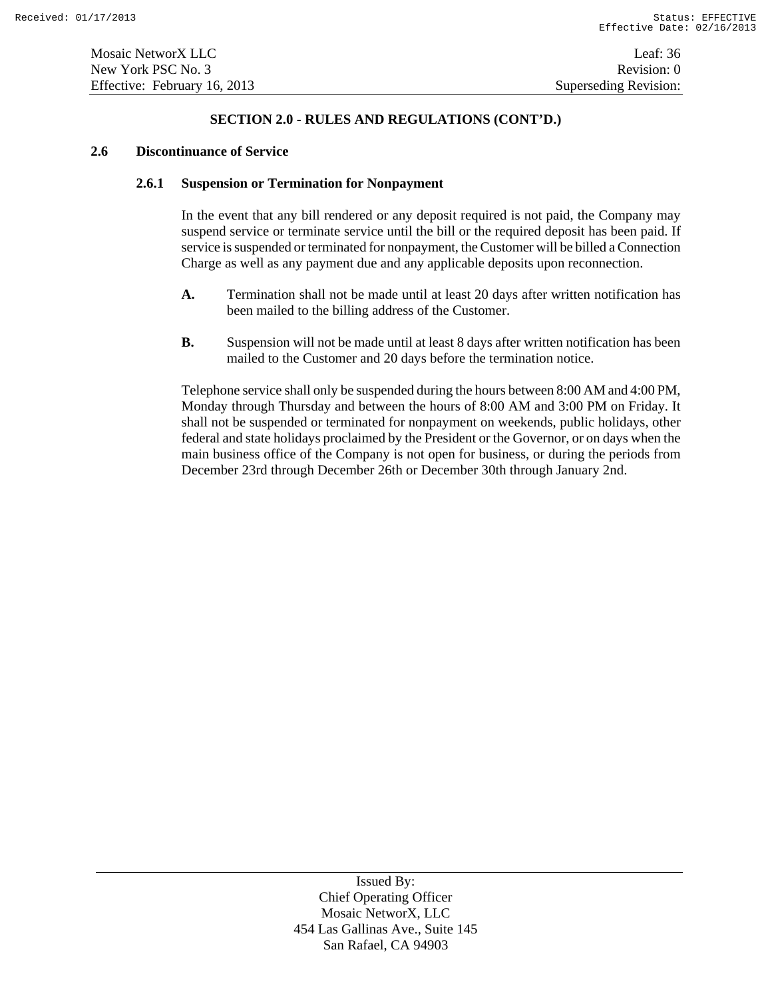#### **2.6 Discontinuance of Service**

#### **2.6.1 Suspension or Termination for Nonpayment**

In the event that any bill rendered or any deposit required is not paid, the Company may suspend service or terminate service until the bill or the required deposit has been paid. If service is suspended or terminated for nonpayment, the Customer will be billed a Connection Charge as well as any payment due and any applicable deposits upon reconnection.

- **A.** Termination shall not be made until at least 20 days after written notification has been mailed to the billing address of the Customer.
- **B.** Suspension will not be made until at least 8 days after written notification has been mailed to the Customer and 20 days before the termination notice.

Telephone service shall only be suspended during the hours between 8:00 AM and 4:00 PM, Monday through Thursday and between the hours of 8:00 AM and 3:00 PM on Friday. It shall not be suspended or terminated for nonpayment on weekends, public holidays, other federal and state holidays proclaimed by the President or the Governor, or on days when the main business office of the Company is not open for business, or during the periods from December 23rd through December 26th or December 30th through January 2nd.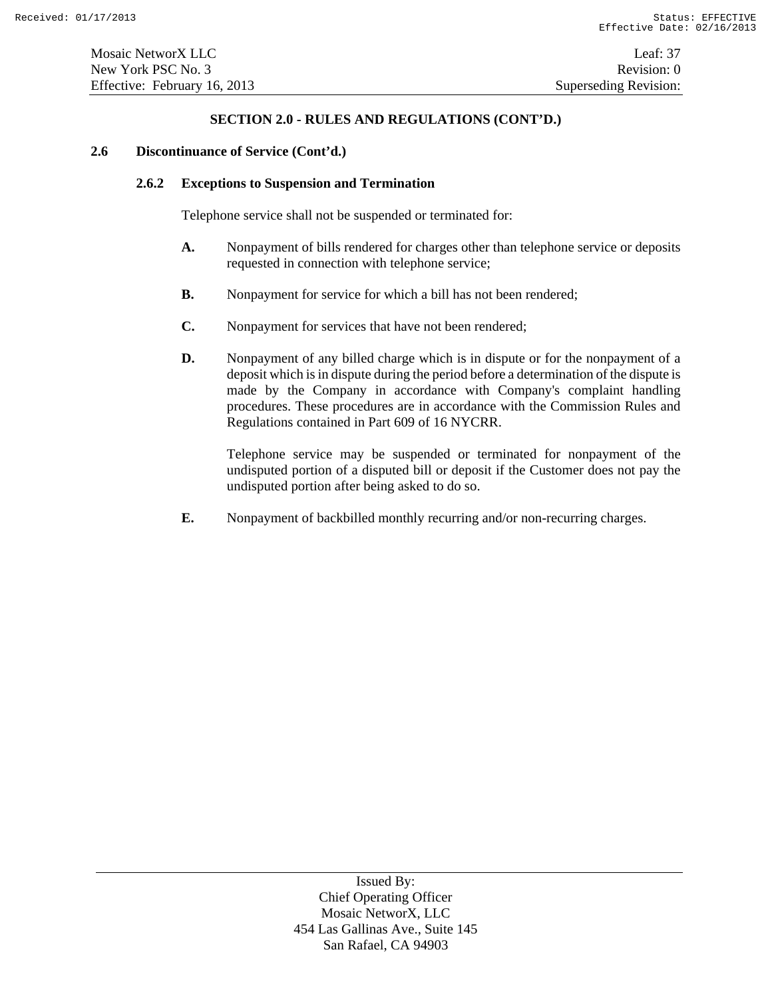#### **2.6 Discontinuance of Service (Cont'd.)**

#### **2.6.2 Exceptions to Suspension and Termination**

Telephone service shall not be suspended or terminated for:

- **A.** Nonpayment of bills rendered for charges other than telephone service or deposits requested in connection with telephone service;
- **B.** Nonpayment for service for which a bill has not been rendered;
- **C.** Nonpayment for services that have not been rendered;
- **D.** Nonpayment of any billed charge which is in dispute or for the nonpayment of a deposit which is in dispute during the period before a determination of the dispute is made by the Company in accordance with Company's complaint handling procedures. These procedures are in accordance with the Commission Rules and Regulations contained in Part 609 of 16 NYCRR.

Telephone service may be suspended or terminated for nonpayment of the undisputed portion of a disputed bill or deposit if the Customer does not pay the undisputed portion after being asked to do so.

**E.** Nonpayment of backbilled monthly recurring and/or non-recurring charges.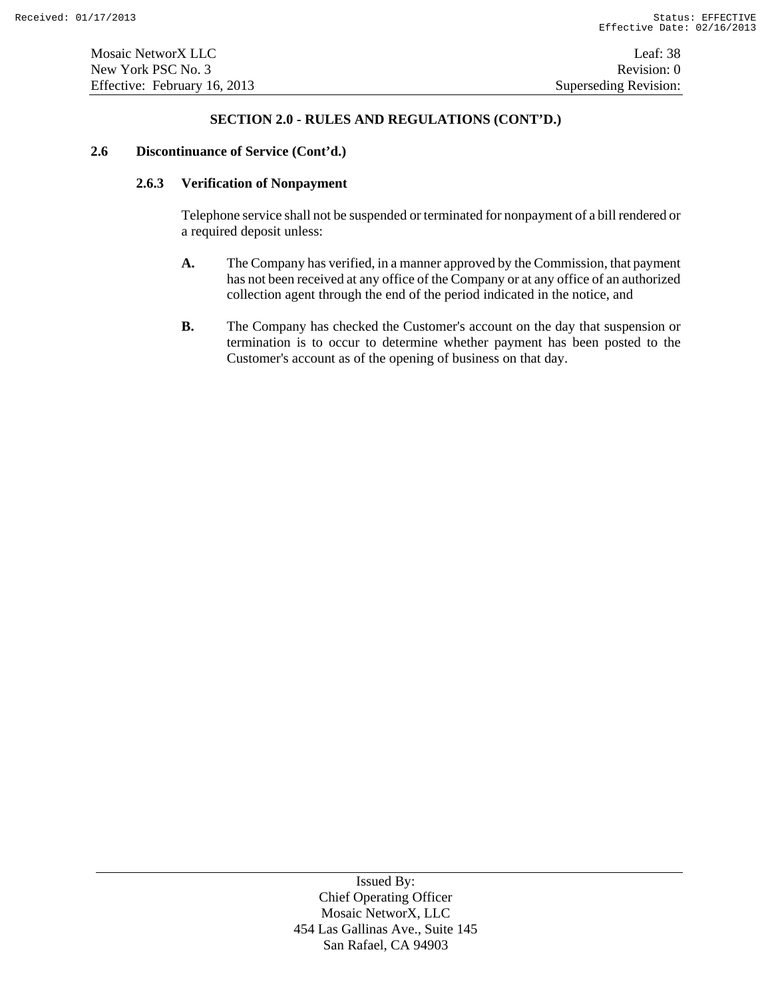#### **2.6 Discontinuance of Service (Cont'd.)**

# **2.6.3 Verification of Nonpayment**

Telephone service shall not be suspended or terminated for nonpayment of a bill rendered or a required deposit unless:

- **A.** The Company has verified, in a manner approved by the Commission, that payment has not been received at any office of the Company or at any office of an authorized collection agent through the end of the period indicated in the notice, and
- **B.** The Company has checked the Customer's account on the day that suspension or termination is to occur to determine whether payment has been posted to the Customer's account as of the opening of business on that day.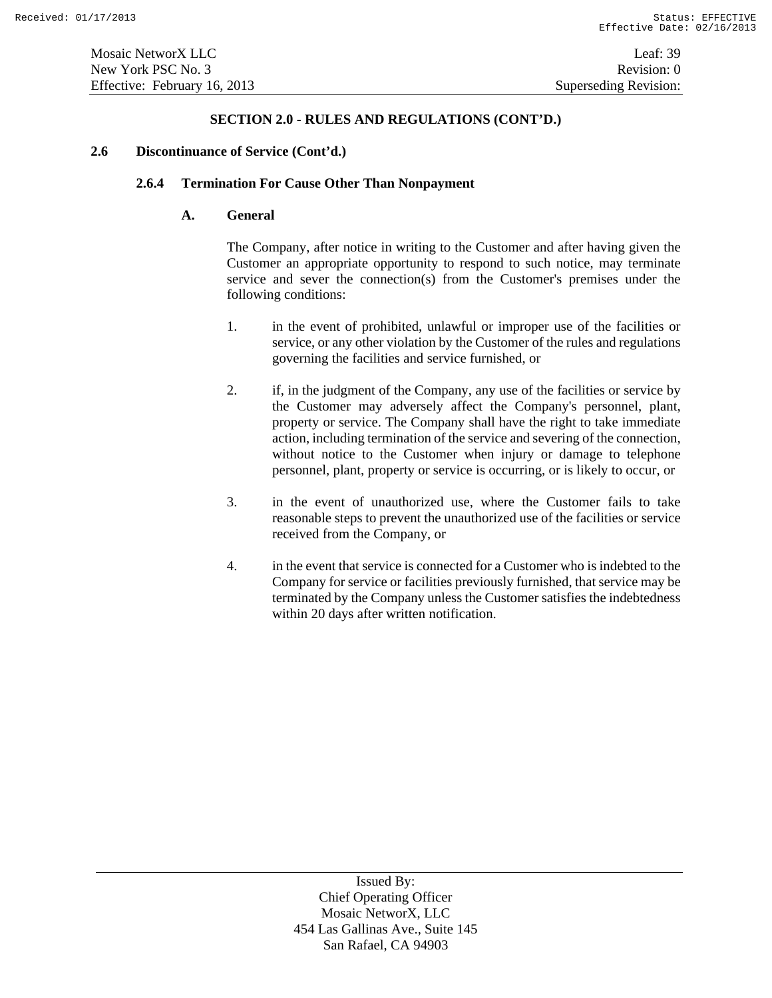#### **2.6 Discontinuance of Service (Cont'd.)**

# **2.6.4 Termination For Cause Other Than Nonpayment**

# **A. General**

The Company, after notice in writing to the Customer and after having given the Customer an appropriate opportunity to respond to such notice, may terminate service and sever the connection(s) from the Customer's premises under the following conditions:

- 1. in the event of prohibited, unlawful or improper use of the facilities or service, or any other violation by the Customer of the rules and regulations governing the facilities and service furnished, or
- 2. if, in the judgment of the Company, any use of the facilities or service by the Customer may adversely affect the Company's personnel, plant, property or service. The Company shall have the right to take immediate action, including termination of the service and severing of the connection, without notice to the Customer when injury or damage to telephone personnel, plant, property or service is occurring, or is likely to occur, or
- 3. in the event of unauthorized use, where the Customer fails to take reasonable steps to prevent the unauthorized use of the facilities or service received from the Company, or
- 4. in the event that service is connected for a Customer who is indebted to the Company for service or facilities previously furnished, that service may be terminated by the Company unless the Customer satisfies the indebtedness within 20 days after written notification.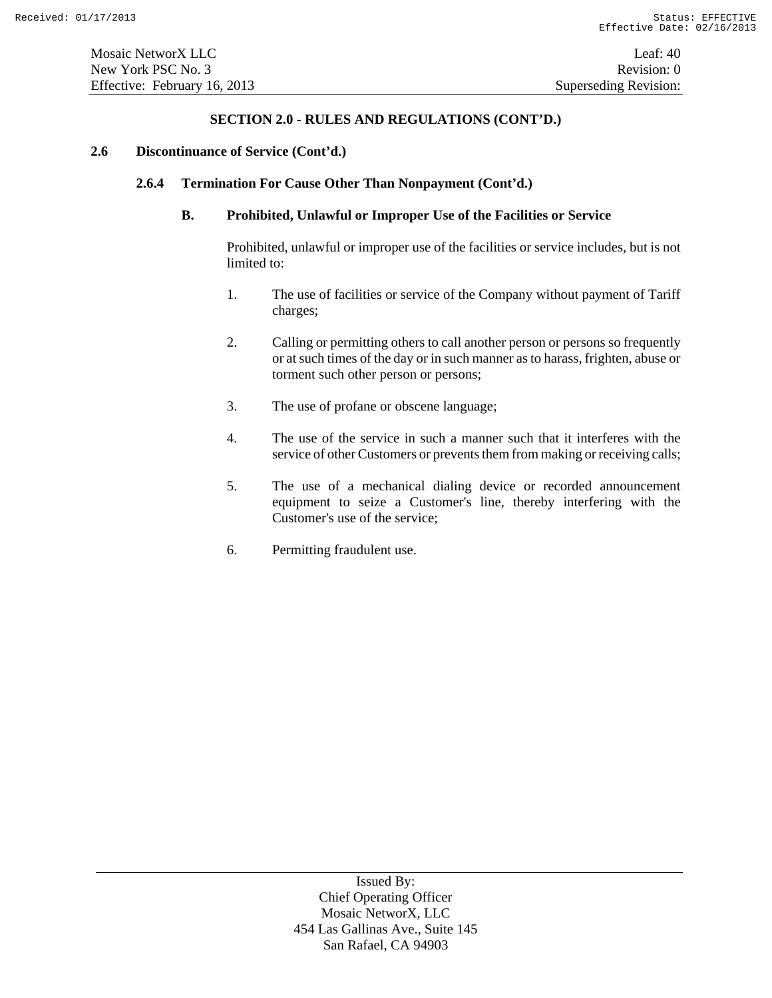#### **2.6 Discontinuance of Service (Cont'd.)**

### **2.6.4 Termination For Cause Other Than Nonpayment (Cont'd.)**

# **B. Prohibited, Unlawful or Improper Use of the Facilities or Service**

Prohibited, unlawful or improper use of the facilities or service includes, but is not limited to:

- 1. The use of facilities or service of the Company without payment of Tariff charges;
- 2. Calling or permitting others to call another person or persons so frequently or at such times of the day or in such manner as to harass, frighten, abuse or torment such other person or persons;
- 3. The use of profane or obscene language;
- 4. The use of the service in such a manner such that it interferes with the service of other Customers or prevents them from making or receiving calls;
- 5. The use of a mechanical dialing device or recorded announcement equipment to seize a Customer's line, thereby interfering with the Customer's use of the service;
- 6. Permitting fraudulent use.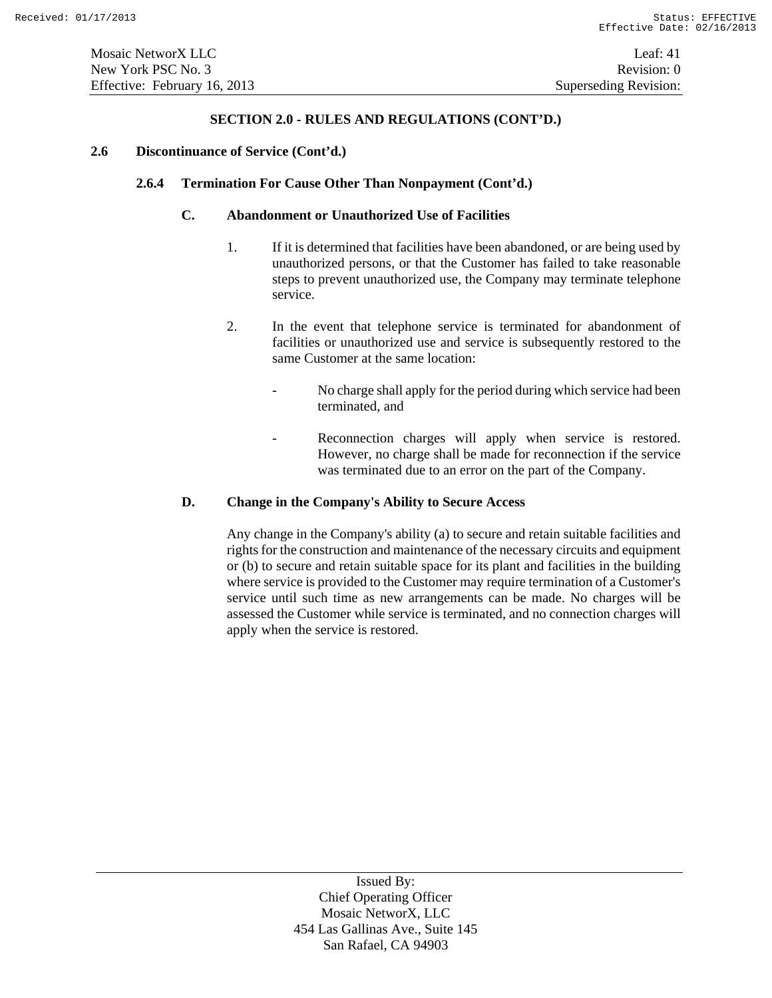#### **2.6 Discontinuance of Service (Cont'd.)**

# **2.6.4 Termination For Cause Other Than Nonpayment (Cont'd.)**

# **C. Abandonment or Unauthorized Use of Facilities**

- 1. If it is determined that facilities have been abandoned, or are being used by unauthorized persons, or that the Customer has failed to take reasonable steps to prevent unauthorized use, the Company may terminate telephone service.
- 2. In the event that telephone service is terminated for abandonment of facilities or unauthorized use and service is subsequently restored to the same Customer at the same location:
	- No charge shall apply for the period during which service had been terminated, and
	- Reconnection charges will apply when service is restored. However, no charge shall be made for reconnection if the service was terminated due to an error on the part of the Company.

### **D. Change in the Company's Ability to Secure Access**

Any change in the Company's ability (a) to secure and retain suitable facilities and rights for the construction and maintenance of the necessary circuits and equipment or (b) to secure and retain suitable space for its plant and facilities in the building where service is provided to the Customer may require termination of a Customer's service until such time as new arrangements can be made. No charges will be assessed the Customer while service is terminated, and no connection charges will apply when the service is restored.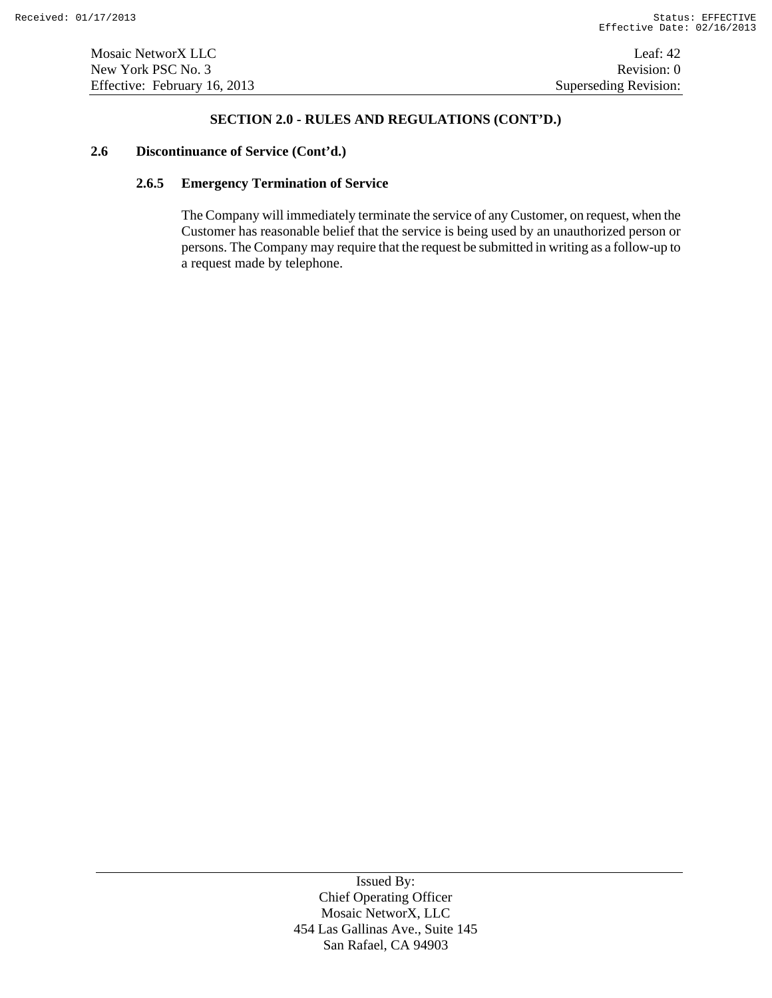#### **2.6 Discontinuance of Service (Cont'd.)**

## **2.6.5 Emergency Termination of Service**

The Company will immediately terminate the service of any Customer, on request, when the Customer has reasonable belief that the service is being used by an unauthorized person or persons. The Company may require that the request be submitted in writing as a follow-up to a request made by telephone.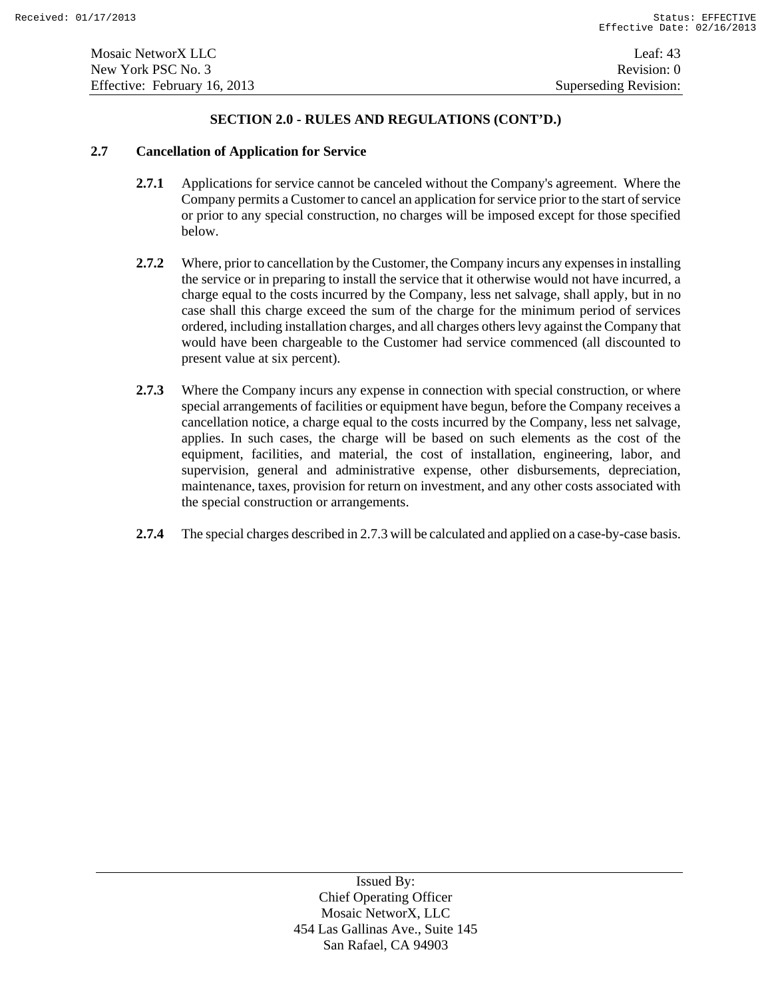# **2.7 Cancellation of Application for Service**

- **2.7.1** Applications for service cannot be canceled without the Company's agreement. Where the Company permits a Customer to cancel an application for service prior to the start of service or prior to any special construction, no charges will be imposed except for those specified below.
- **2.7.2** Where, prior to cancellation by the Customer, the Company incurs any expenses in installing the service or in preparing to install the service that it otherwise would not have incurred, a charge equal to the costs incurred by the Company, less net salvage, shall apply, but in no case shall this charge exceed the sum of the charge for the minimum period of services ordered, including installation charges, and all charges others levy against the Company that would have been chargeable to the Customer had service commenced (all discounted to present value at six percent).
- **2.7.3** Where the Company incurs any expense in connection with special construction, or where special arrangements of facilities or equipment have begun, before the Company receives a cancellation notice, a charge equal to the costs incurred by the Company, less net salvage, applies. In such cases, the charge will be based on such elements as the cost of the equipment, facilities, and material, the cost of installation, engineering, labor, and supervision, general and administrative expense, other disbursements, depreciation, maintenance, taxes, provision for return on investment, and any other costs associated with the special construction or arrangements.
- **2.7.4** The special charges described in 2.7.3 will be calculated and applied on a case-by-case basis.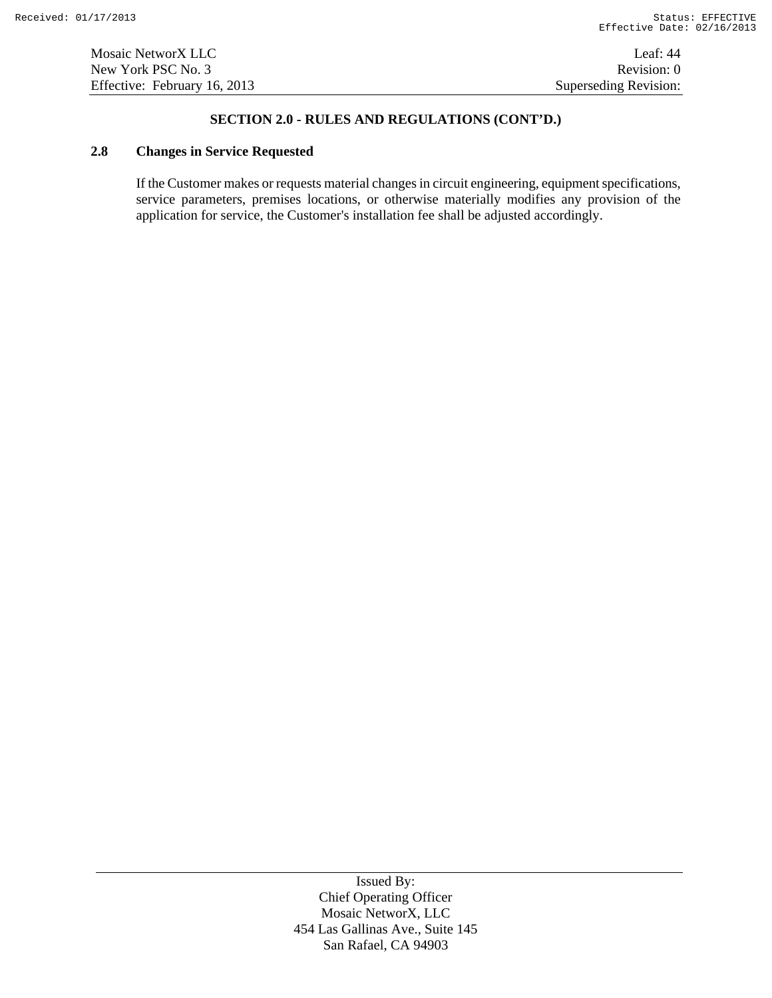Mosaic NetworX LLC Leaf: 44 New York PSC No. 3 Revision: 0 Effective: February 16, 2013 Superseding Revision:

# **SECTION 2.0 - RULES AND REGULATIONS (CONT'D.)**

# **2.8 Changes in Service Requested**

If the Customer makes or requests material changes in circuit engineering, equipment specifications, service parameters, premises locations, or otherwise materially modifies any provision of the application for service, the Customer's installation fee shall be adjusted accordingly.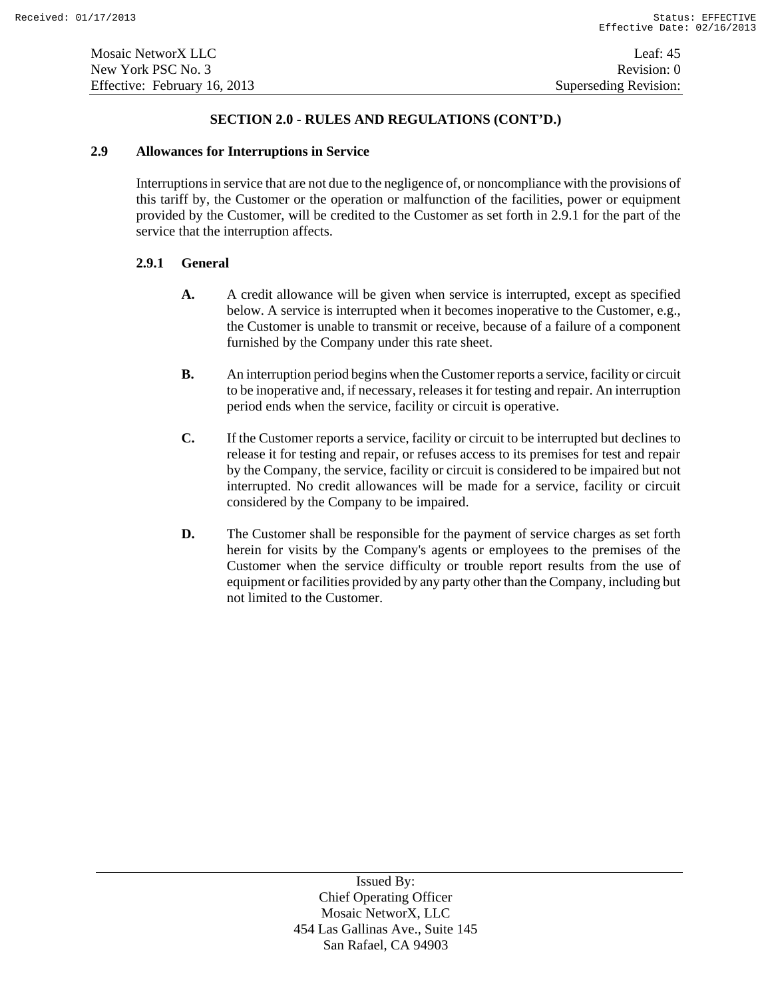#### **2.9 Allowances for Interruptions in Service**

Interruptions in service that are not due to the negligence of, or noncompliance with the provisions of this tariff by, the Customer or the operation or malfunction of the facilities, power or equipment provided by the Customer, will be credited to the Customer as set forth in 2.9.1 for the part of the service that the interruption affects.

# **2.9.1 General**

- **A.** A credit allowance will be given when service is interrupted, except as specified below. A service is interrupted when it becomes inoperative to the Customer, e.g., the Customer is unable to transmit or receive, because of a failure of a component furnished by the Company under this rate sheet.
- **B.** An interruption period begins when the Customer reports a service, facility or circuit to be inoperative and, if necessary, releases it for testing and repair. An interruption period ends when the service, facility or circuit is operative.
- **C.** If the Customer reports a service, facility or circuit to be interrupted but declines to release it for testing and repair, or refuses access to its premises for test and repair by the Company, the service, facility or circuit is considered to be impaired but not interrupted. No credit allowances will be made for a service, facility or circuit considered by the Company to be impaired.
- **D.** The Customer shall be responsible for the payment of service charges as set forth herein for visits by the Company's agents or employees to the premises of the Customer when the service difficulty or trouble report results from the use of equipment or facilities provided by any party other than the Company, including but not limited to the Customer.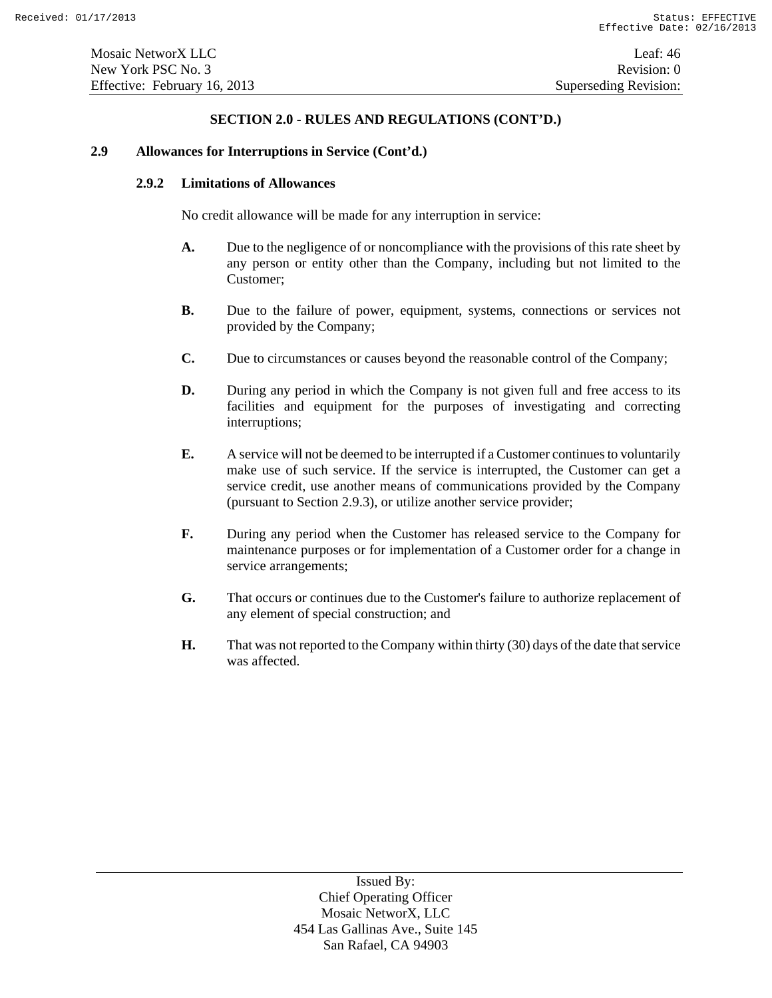#### **2.9 Allowances for Interruptions in Service (Cont'd.)**

#### **2.9.2 Limitations of Allowances**

No credit allowance will be made for any interruption in service:

- **A.** Due to the negligence of or noncompliance with the provisions of this rate sheet by any person or entity other than the Company, including but not limited to the Customer;
- **B.** Due to the failure of power, equipment, systems, connections or services not provided by the Company;
- **C.** Due to circumstances or causes beyond the reasonable control of the Company;
- **D.** During any period in which the Company is not given full and free access to its facilities and equipment for the purposes of investigating and correcting interruptions;
- **E.** A service will not be deemed to be interrupted if a Customer continues to voluntarily make use of such service. If the service is interrupted, the Customer can get a service credit, use another means of communications provided by the Company (pursuant to Section 2.9.3), or utilize another service provider;
- **F.** During any period when the Customer has released service to the Company for maintenance purposes or for implementation of a Customer order for a change in service arrangements;
- **G.** That occurs or continues due to the Customer's failure to authorize replacement of any element of special construction; and
- **H.** That was not reported to the Company within thirty (30) days of the date that service was affected.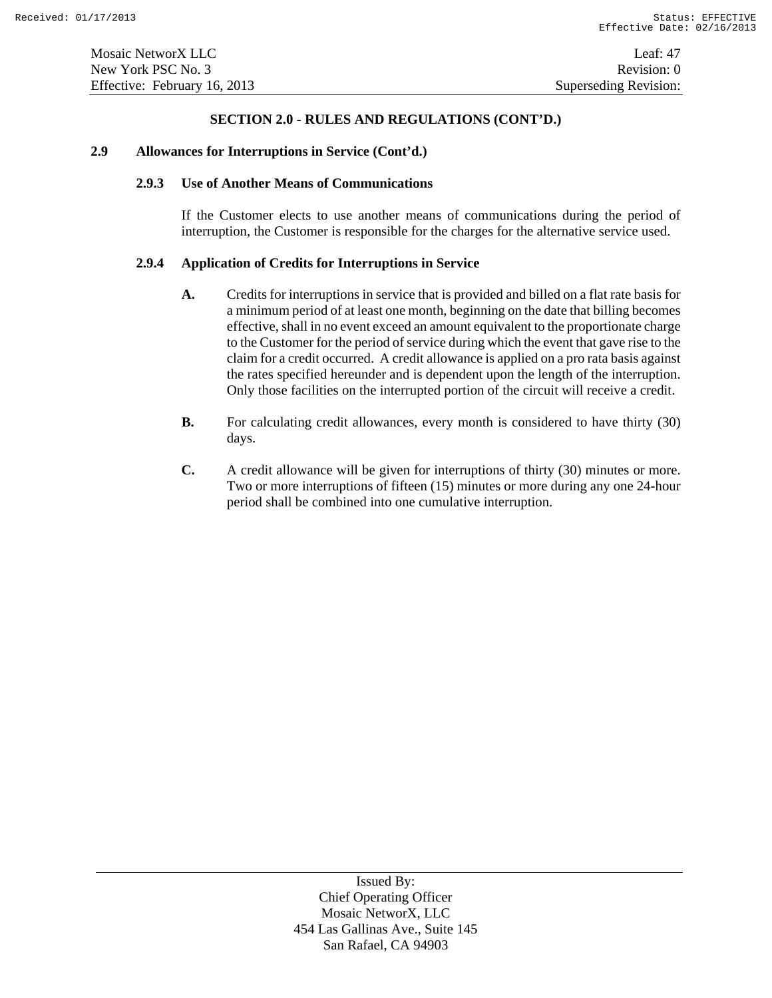#### **2.9 Allowances for Interruptions in Service (Cont'd.)**

### **2.9.3 Use of Another Means of Communications**

If the Customer elects to use another means of communications during the period of interruption, the Customer is responsible for the charges for the alternative service used.

# **2.9.4 Application of Credits for Interruptions in Service**

- **A.** Credits for interruptions in service that is provided and billed on a flat rate basis for a minimum period of at least one month, beginning on the date that billing becomes effective, shall in no event exceed an amount equivalent to the proportionate charge to the Customer for the period of service during which the event that gave rise to the claim for a credit occurred. A credit allowance is applied on a pro rata basis against the rates specified hereunder and is dependent upon the length of the interruption. Only those facilities on the interrupted portion of the circuit will receive a credit.
- **B.** For calculating credit allowances, every month is considered to have thirty (30) days.
- **C.** A credit allowance will be given for interruptions of thirty (30) minutes or more. Two or more interruptions of fifteen (15) minutes or more during any one 24-hour period shall be combined into one cumulative interruption.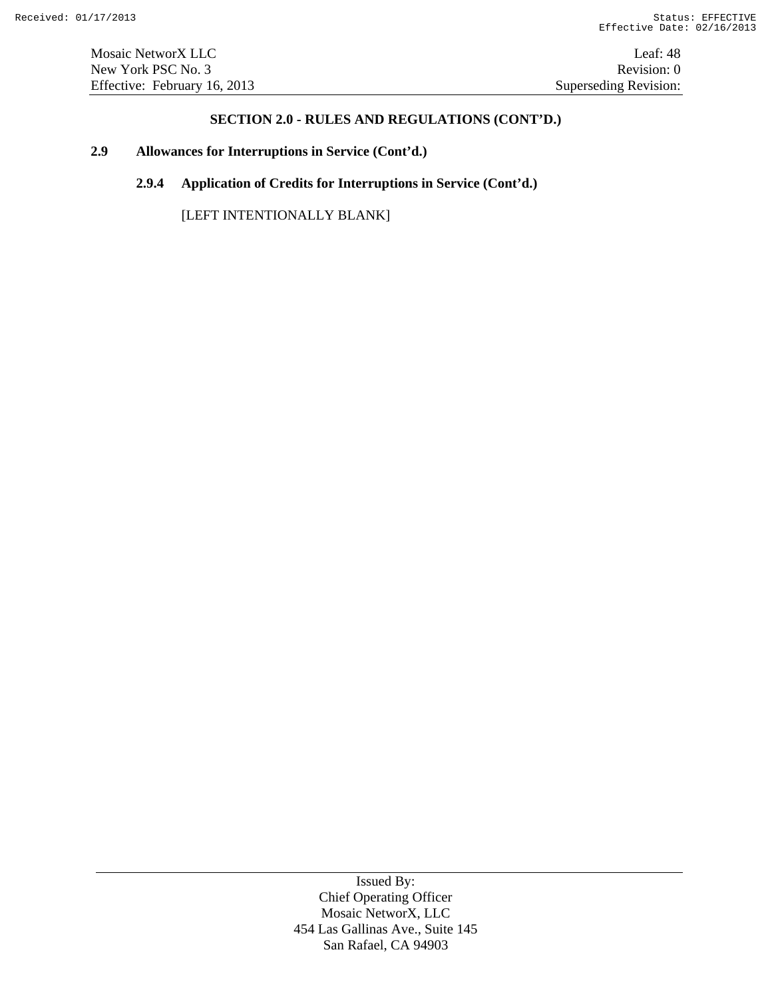Mosaic NetworX LLC Leaf: 48 New York PSC No. 3 Revision: 0 Effective: February 16, 2013 Superseding Revision:

### **SECTION 2.0 - RULES AND REGULATIONS (CONT'D.)**

# **2.9 Allowances for Interruptions in Service (Cont'd.)**

**2.9.4 Application of Credits for Interruptions in Service (Cont'd.)**

[LEFT INTENTIONALLY BLANK]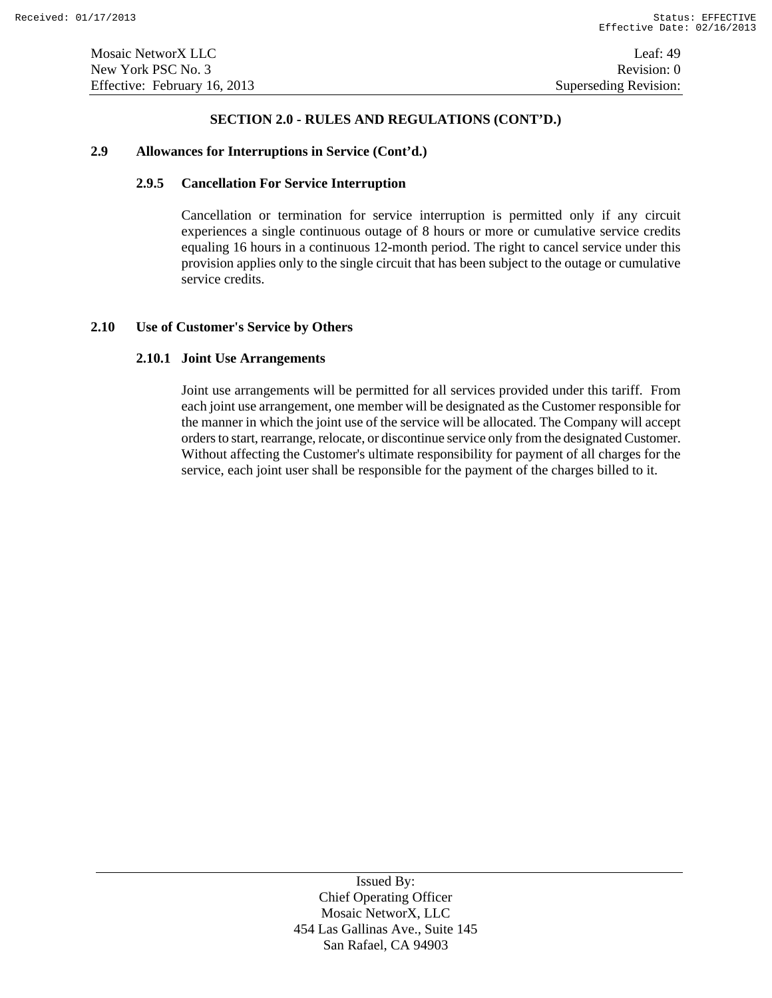#### **2.9 Allowances for Interruptions in Service (Cont'd.)**

# **2.9.5 Cancellation For Service Interruption**

Cancellation or termination for service interruption is permitted only if any circuit experiences a single continuous outage of 8 hours or more or cumulative service credits equaling 16 hours in a continuous 12-month period. The right to cancel service under this provision applies only to the single circuit that has been subject to the outage or cumulative service credits.

#### **2.10 Use of Customer's Service by Others**

# **2.10.1 Joint Use Arrangements**

Joint use arrangements will be permitted for all services provided under this tariff. From each joint use arrangement, one member will be designated as the Customer responsible for the manner in which the joint use of the service will be allocated. The Company will accept orders to start, rearrange, relocate, or discontinue service only from the designated Customer. Without affecting the Customer's ultimate responsibility for payment of all charges for the service, each joint user shall be responsible for the payment of the charges billed to it.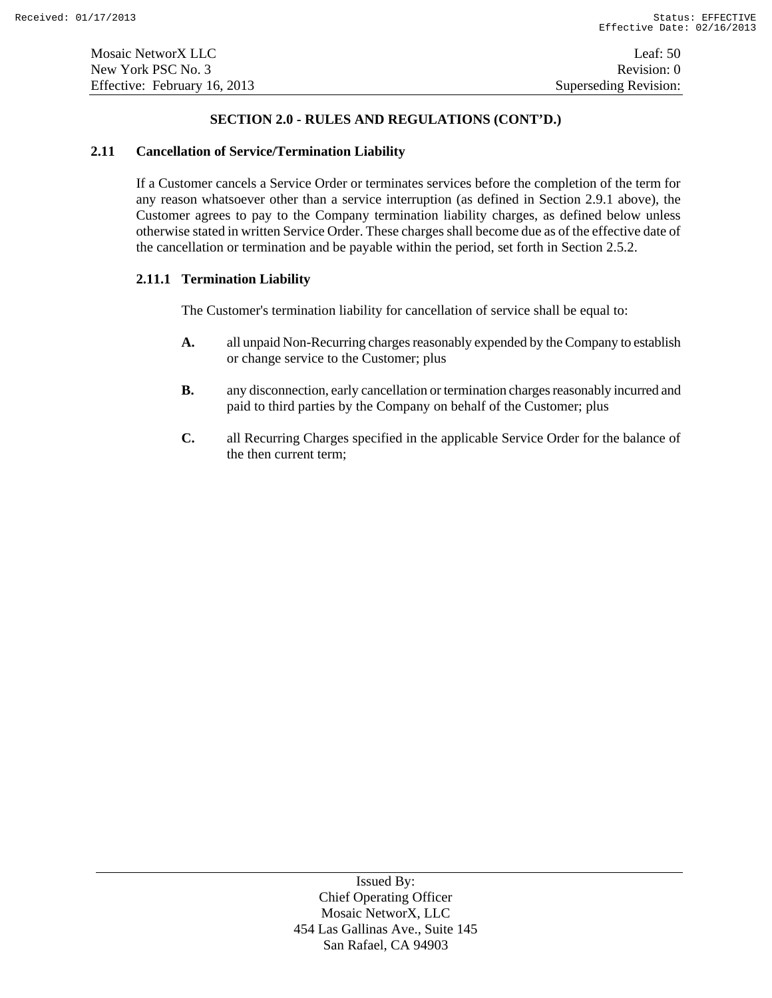### **2.11 Cancellation of Service/Termination Liability**

If a Customer cancels a Service Order or terminates services before the completion of the term for any reason whatsoever other than a service interruption (as defined in Section 2.9.1 above), the Customer agrees to pay to the Company termination liability charges, as defined below unless otherwise stated in written Service Order. These charges shall become due as of the effective date of the cancellation or termination and be payable within the period, set forth in Section 2.5.2.

# **2.11.1 Termination Liability**

The Customer's termination liability for cancellation of service shall be equal to:

- **A.** all unpaid Non-Recurring charges reasonably expended by the Company to establish or change service to the Customer; plus
- **B.** any disconnection, early cancellation or termination charges reasonably incurred and paid to third parties by the Company on behalf of the Customer; plus
- **C.** all Recurring Charges specified in the applicable Service Order for the balance of the then current term;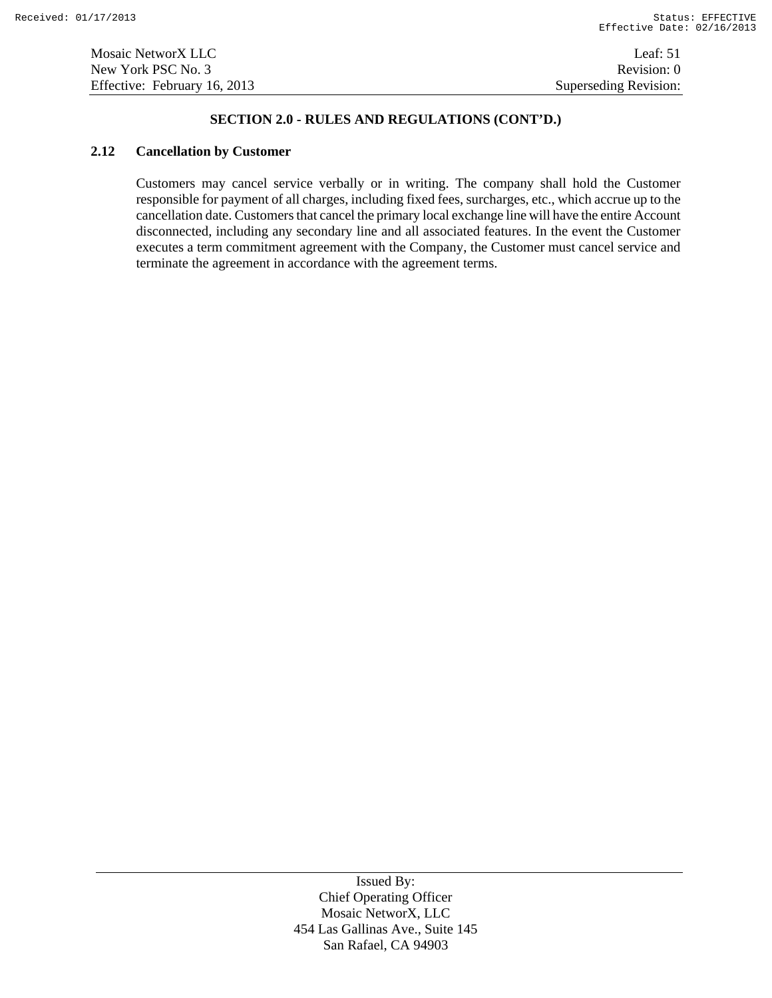### **2.12 Cancellation by Customer**

Customers may cancel service verbally or in writing. The company shall hold the Customer responsible for payment of all charges, including fixed fees, surcharges, etc., which accrue up to the cancellation date. Customers that cancel the primary local exchange line will have the entire Account disconnected, including any secondary line and all associated features. In the event the Customer executes a term commitment agreement with the Company, the Customer must cancel service and terminate the agreement in accordance with the agreement terms.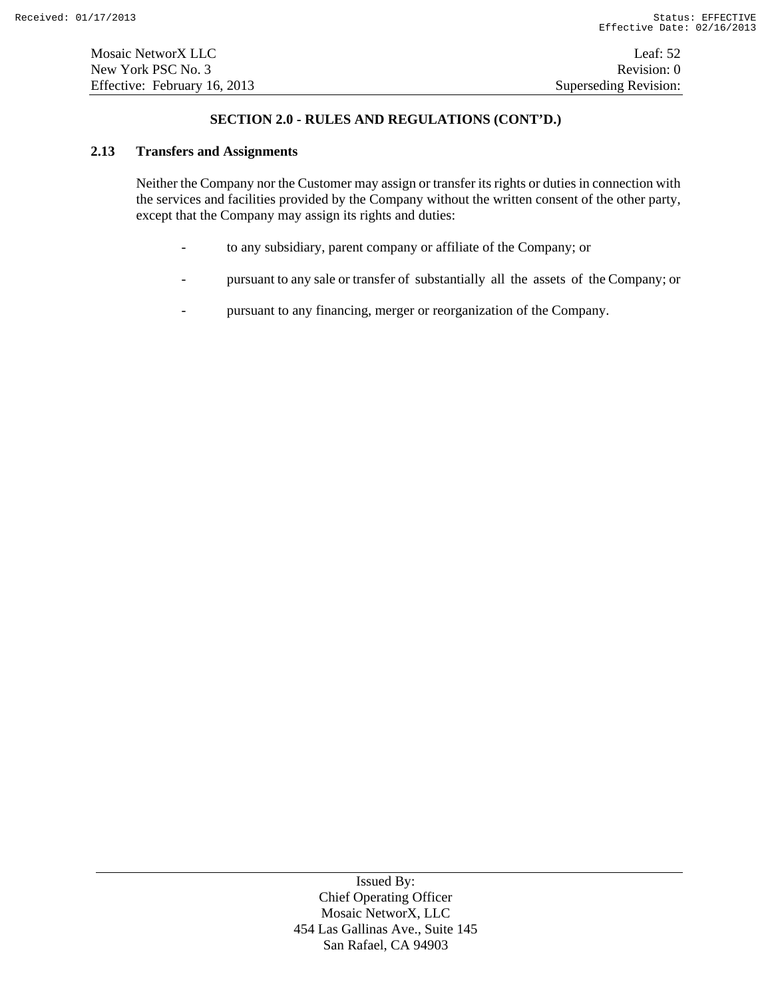#### **2.13 Transfers and Assignments**

Neither the Company nor the Customer may assign or transfer its rights or duties in connection with the services and facilities provided by the Company without the written consent of the other party, except that the Company may assign its rights and duties:

- to any subsidiary, parent company or affiliate of the Company; or
- pursuant to any sale or transfer of substantially all the assets of the Company; or
- pursuant to any financing, merger or reorganization of the Company.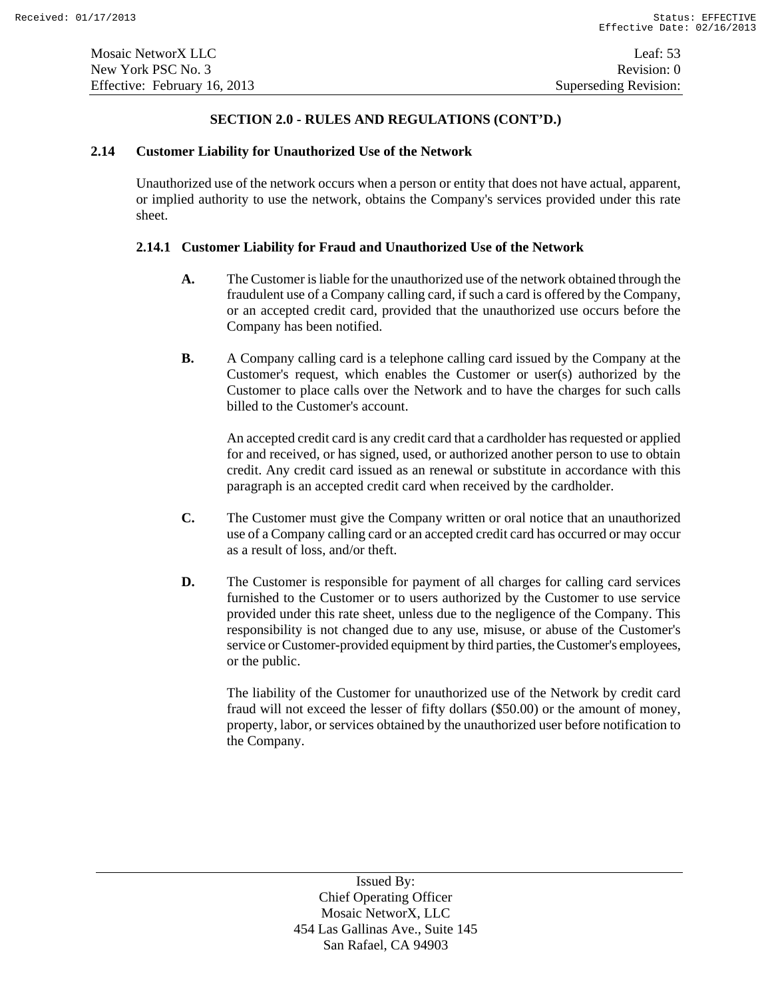# **2.14 Customer Liability for Unauthorized Use of the Network**

Unauthorized use of the network occurs when a person or entity that does not have actual, apparent, or implied authority to use the network, obtains the Company's services provided under this rate sheet.

# **2.14.1 Customer Liability for Fraud and Unauthorized Use of the Network**

- **A.** The Customer is liable for the unauthorized use of the network obtained through the fraudulent use of a Company calling card, if such a card is offered by the Company, or an accepted credit card, provided that the unauthorized use occurs before the Company has been notified.
- **B.** A Company calling card is a telephone calling card issued by the Company at the Customer's request, which enables the Customer or user(s) authorized by the Customer to place calls over the Network and to have the charges for such calls billed to the Customer's account.

An accepted credit card is any credit card that a cardholder has requested or applied for and received, or has signed, used, or authorized another person to use to obtain credit. Any credit card issued as an renewal or substitute in accordance with this paragraph is an accepted credit card when received by the cardholder.

- **C.** The Customer must give the Company written or oral notice that an unauthorized use of a Company calling card or an accepted credit card has occurred or may occur as a result of loss, and/or theft.
- **D.** The Customer is responsible for payment of all charges for calling card services furnished to the Customer or to users authorized by the Customer to use service provided under this rate sheet, unless due to the negligence of the Company. This responsibility is not changed due to any use, misuse, or abuse of the Customer's service or Customer-provided equipment by third parties, the Customer's employees, or the public.

The liability of the Customer for unauthorized use of the Network by credit card fraud will not exceed the lesser of fifty dollars (\$50.00) or the amount of money, property, labor, or services obtained by the unauthorized user before notification to the Company.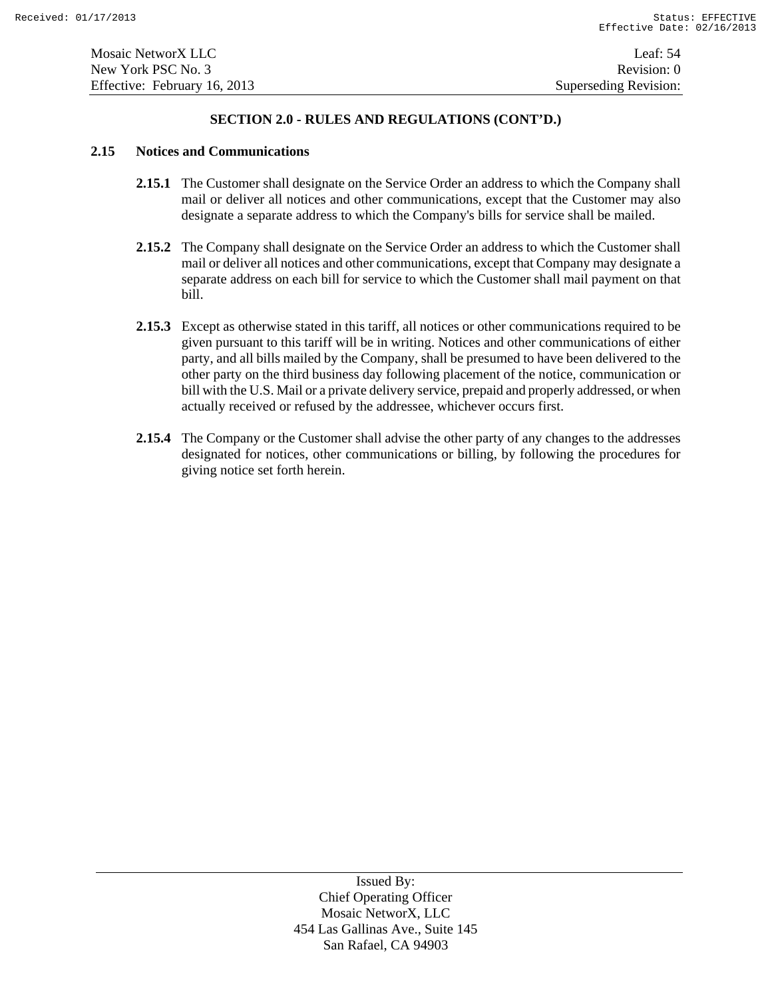### **2.15 Notices and Communications**

- **2.15.1** The Customer shall designate on the Service Order an address to which the Company shall mail or deliver all notices and other communications, except that the Customer may also designate a separate address to which the Company's bills for service shall be mailed.
- **2.15.2** The Company shall designate on the Service Order an address to which the Customer shall mail or deliver all notices and other communications, except that Company may designate a separate address on each bill for service to which the Customer shall mail payment on that bill.
- **2.15.3** Except as otherwise stated in this tariff, all notices or other communications required to be given pursuant to this tariff will be in writing. Notices and other communications of either party, and all bills mailed by the Company, shall be presumed to have been delivered to the other party on the third business day following placement of the notice, communication or bill with the U.S. Mail or a private delivery service, prepaid and properly addressed, or when actually received or refused by the addressee, whichever occurs first.
- **2.15.4** The Company or the Customer shall advise the other party of any changes to the addresses designated for notices, other communications or billing, by following the procedures for giving notice set forth herein.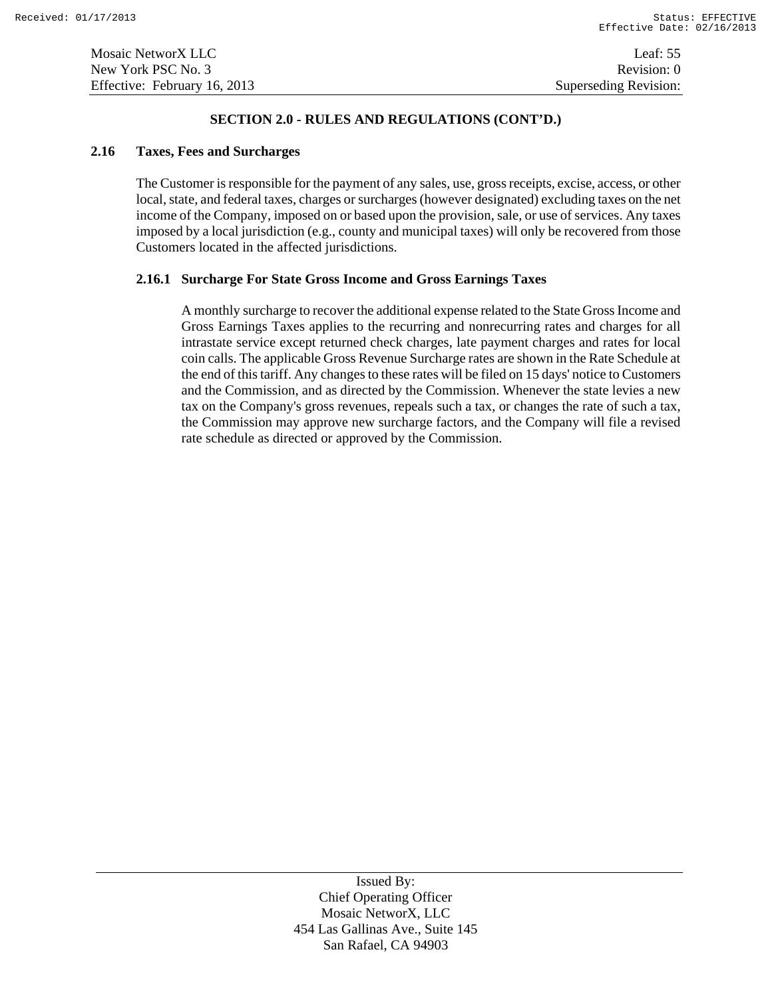#### **2.16 Taxes, Fees and Surcharges**

The Customer is responsible for the payment of any sales, use, gross receipts, excise, access, or other local, state, and federal taxes, charges or surcharges (however designated) excluding taxes on the net income of the Company, imposed on or based upon the provision, sale, or use of services. Any taxes imposed by a local jurisdiction (e.g., county and municipal taxes) will only be recovered from those Customers located in the affected jurisdictions.

#### **2.16.1 Surcharge For State Gross Income and Gross Earnings Taxes**

A monthly surcharge to recover the additional expense related to the State Gross Income and Gross Earnings Taxes applies to the recurring and nonrecurring rates and charges for all intrastate service except returned check charges, late payment charges and rates for local coin calls. The applicable Gross Revenue Surcharge rates are shown in the Rate Schedule at the end of this tariff. Any changes to these rates will be filed on 15 days' notice to Customers and the Commission, and as directed by the Commission. Whenever the state levies a new tax on the Company's gross revenues, repeals such a tax, or changes the rate of such a tax, the Commission may approve new surcharge factors, and the Company will file a revised rate schedule as directed or approved by the Commission.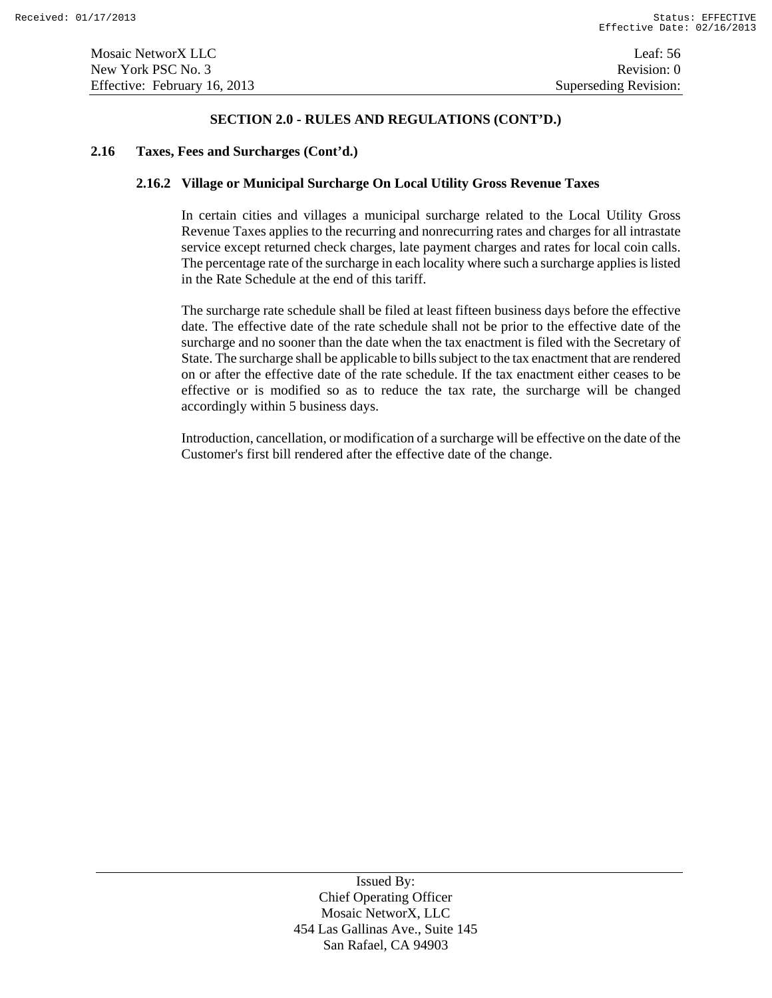#### **2.16 Taxes, Fees and Surcharges (Cont'd.)**

### **2.16.2 Village or Municipal Surcharge On Local Utility Gross Revenue Taxes**

In certain cities and villages a municipal surcharge related to the Local Utility Gross Revenue Taxes applies to the recurring and nonrecurring rates and charges for all intrastate service except returned check charges, late payment charges and rates for local coin calls. The percentage rate of the surcharge in each locality where such a surcharge applies is listed in the Rate Schedule at the end of this tariff.

The surcharge rate schedule shall be filed at least fifteen business days before the effective date. The effective date of the rate schedule shall not be prior to the effective date of the surcharge and no sooner than the date when the tax enactment is filed with the Secretary of State. The surcharge shall be applicable to bills subject to the tax enactment that are rendered on or after the effective date of the rate schedule. If the tax enactment either ceases to be effective or is modified so as to reduce the tax rate, the surcharge will be changed accordingly within 5 business days.

Introduction, cancellation, or modification of a surcharge will be effective on the date of the Customer's first bill rendered after the effective date of the change.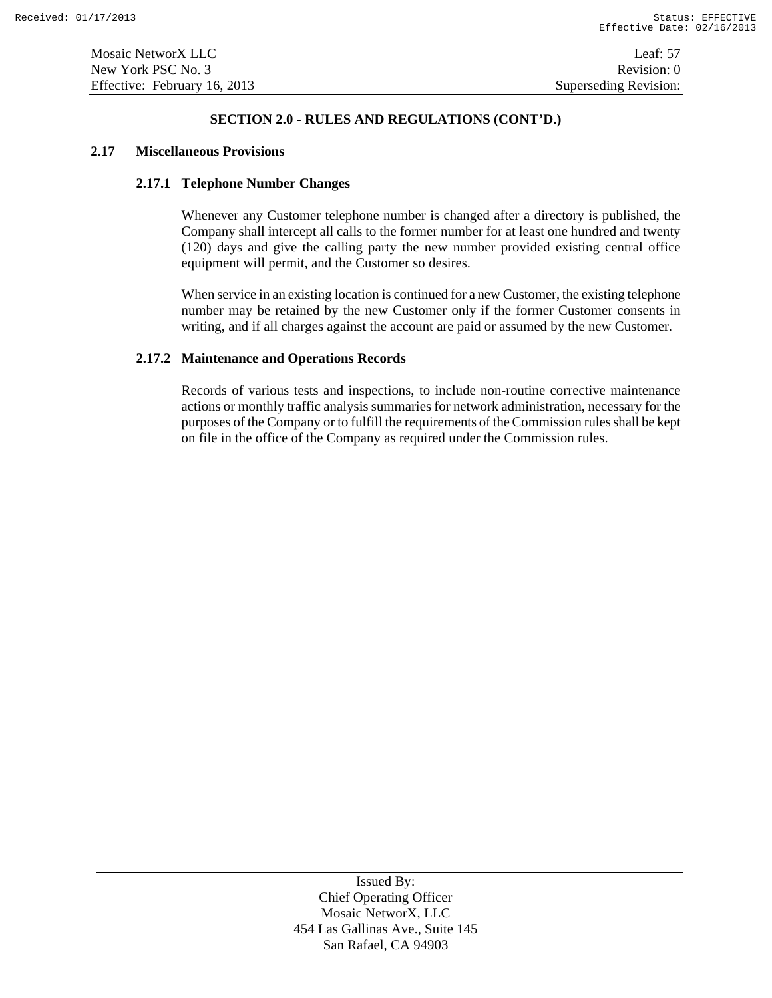### **2.17 Miscellaneous Provisions**

# **2.17.1 Telephone Number Changes**

Whenever any Customer telephone number is changed after a directory is published, the Company shall intercept all calls to the former number for at least one hundred and twenty (120) days and give the calling party the new number provided existing central office equipment will permit, and the Customer so desires.

When service in an existing location is continued for a new Customer, the existing telephone number may be retained by the new Customer only if the former Customer consents in writing, and if all charges against the account are paid or assumed by the new Customer.

# **2.17.2 Maintenance and Operations Records**

Records of various tests and inspections, to include non-routine corrective maintenance actions or monthly traffic analysis summaries for network administration, necessary for the purposes of the Company or to fulfill the requirements of the Commission rules shall be kept on file in the office of the Company as required under the Commission rules.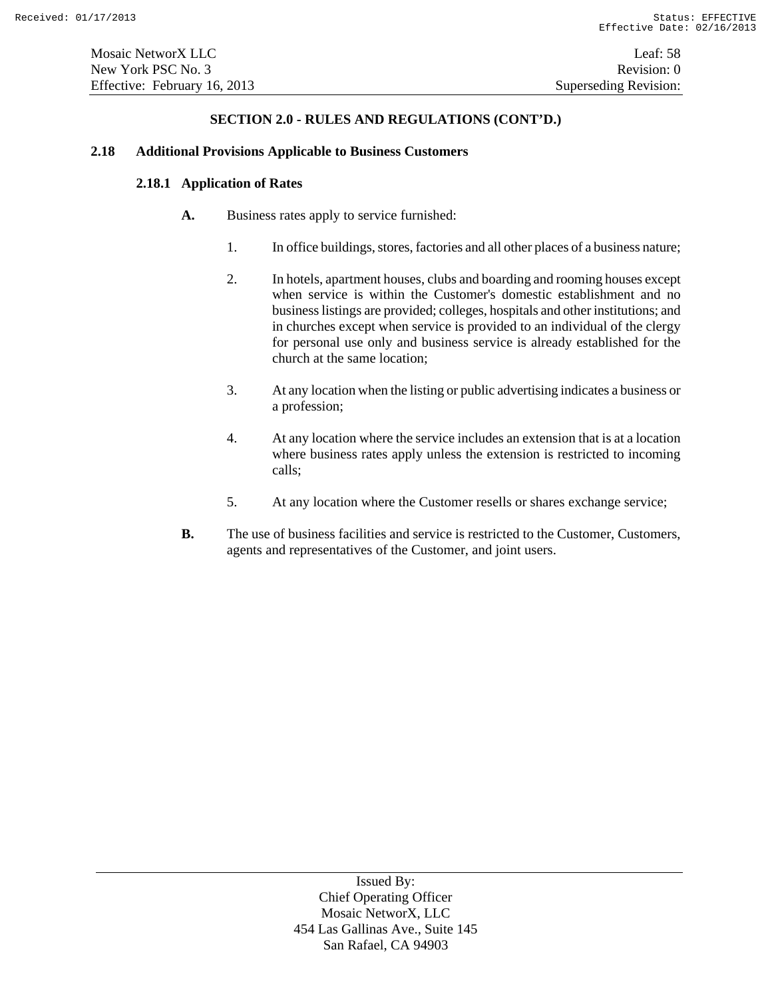#### **2.18 Additional Provisions Applicable to Business Customers**

# **2.18.1 Application of Rates**

- **A.** Business rates apply to service furnished:
	- 1. In office buildings, stores, factories and all other places of a business nature;
	- 2. In hotels, apartment houses, clubs and boarding and rooming houses except when service is within the Customer's domestic establishment and no business listings are provided; colleges, hospitals and other institutions; and in churches except when service is provided to an individual of the clergy for personal use only and business service is already established for the church at the same location;
	- 3. At any location when the listing or public advertising indicates a business or a profession;
	- 4. At any location where the service includes an extension that is at a location where business rates apply unless the extension is restricted to incoming calls;
	- 5. At any location where the Customer resells or shares exchange service;
- **B.** The use of business facilities and service is restricted to the Customer, Customers, agents and representatives of the Customer, and joint users.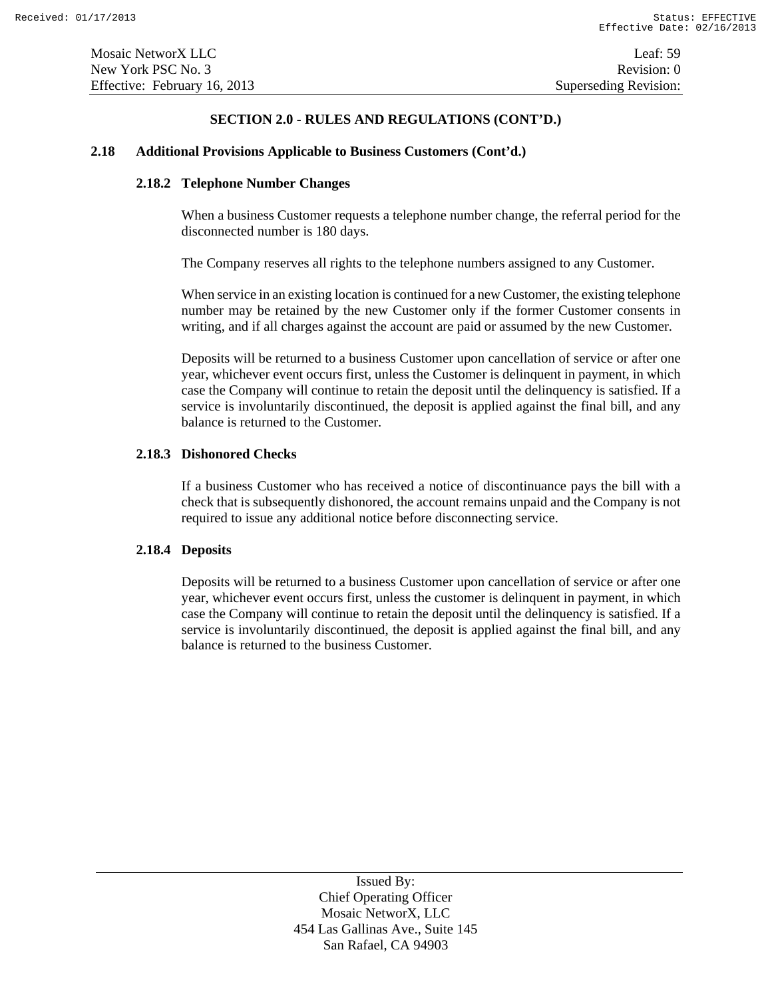### **2.18 Additional Provisions Applicable to Business Customers (Cont'd.)**

# **2.18.2 Telephone Number Changes**

When a business Customer requests a telephone number change, the referral period for the disconnected number is 180 days.

The Company reserves all rights to the telephone numbers assigned to any Customer.

When service in an existing location is continued for a new Customer, the existing telephone number may be retained by the new Customer only if the former Customer consents in writing, and if all charges against the account are paid or assumed by the new Customer.

Deposits will be returned to a business Customer upon cancellation of service or after one year, whichever event occurs first, unless the Customer is delinquent in payment, in which case the Company will continue to retain the deposit until the delinquency is satisfied. If a service is involuntarily discontinued, the deposit is applied against the final bill, and any balance is returned to the Customer.

# **2.18.3 Dishonored Checks**

If a business Customer who has received a notice of discontinuance pays the bill with a check that is subsequently dishonored, the account remains unpaid and the Company is not required to issue any additional notice before disconnecting service.

# **2.18.4 Deposits**

Deposits will be returned to a business Customer upon cancellation of service or after one year, whichever event occurs first, unless the customer is delinquent in payment, in which case the Company will continue to retain the deposit until the delinquency is satisfied. If a service is involuntarily discontinued, the deposit is applied against the final bill, and any balance is returned to the business Customer.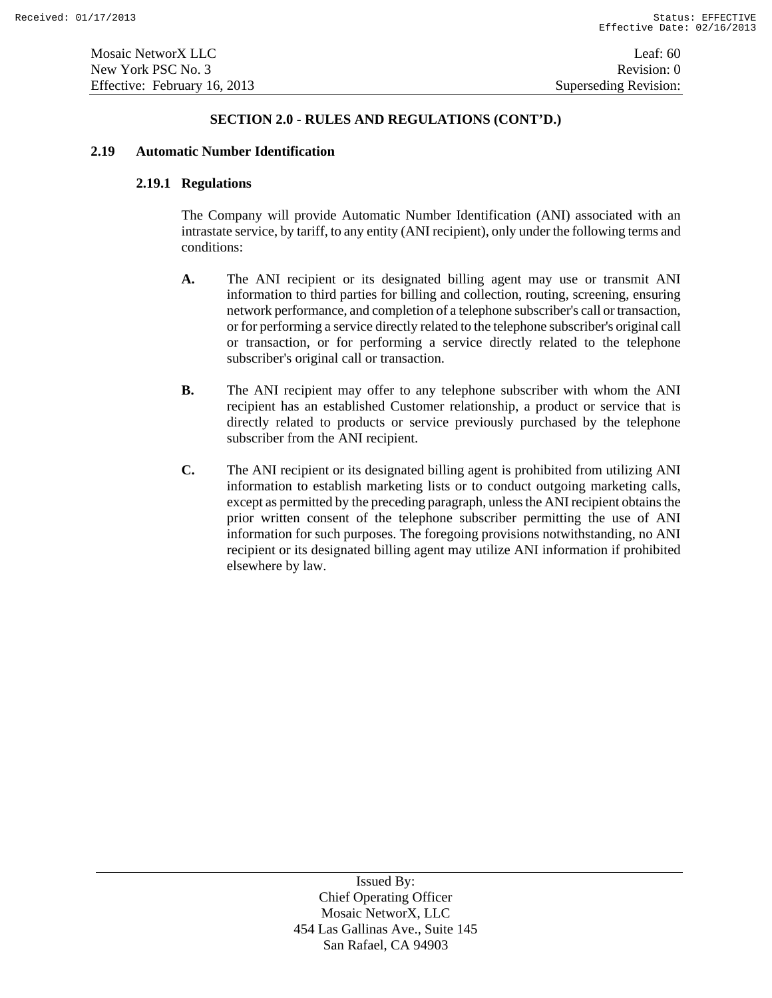### **2.19 Automatic Number Identification**

# **2.19.1 Regulations**

The Company will provide Automatic Number Identification (ANI) associated with an intrastate service, by tariff, to any entity (ANI recipient), only under the following terms and conditions:

- **A.** The ANI recipient or its designated billing agent may use or transmit ANI information to third parties for billing and collection, routing, screening, ensuring network performance, and completion of a telephone subscriber's call or transaction, or for performing a service directly related to the telephone subscriber's original call or transaction, or for performing a service directly related to the telephone subscriber's original call or transaction.
- **B.** The ANI recipient may offer to any telephone subscriber with whom the ANI recipient has an established Customer relationship, a product or service that is directly related to products or service previously purchased by the telephone subscriber from the ANI recipient.
- **C.** The ANI recipient or its designated billing agent is prohibited from utilizing ANI information to establish marketing lists or to conduct outgoing marketing calls, except as permitted by the preceding paragraph, unless the ANI recipient obtains the prior written consent of the telephone subscriber permitting the use of ANI information for such purposes. The foregoing provisions notwithstanding, no ANI recipient or its designated billing agent may utilize ANI information if prohibited elsewhere by law.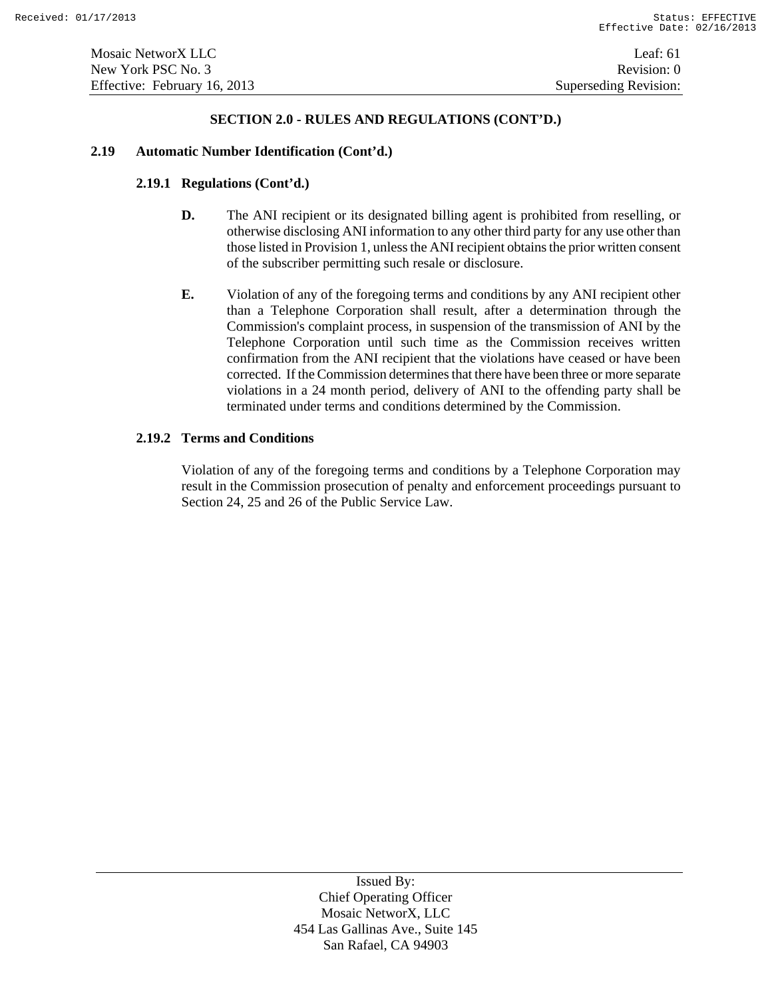#### **2.19 Automatic Number Identification (Cont'd.)**

# **2.19.1 Regulations (Cont'd.)**

- **D.** The ANI recipient or its designated billing agent is prohibited from reselling, or otherwise disclosing ANI information to any other third party for any use other than those listed in Provision 1, unless the ANI recipient obtains the prior written consent of the subscriber permitting such resale or disclosure.
- **E.** Violation of any of the foregoing terms and conditions by any ANI recipient other than a Telephone Corporation shall result, after a determination through the Commission's complaint process, in suspension of the transmission of ANI by the Telephone Corporation until such time as the Commission receives written confirmation from the ANI recipient that the violations have ceased or have been corrected. If the Commission determines that there have been three or more separate violations in a 24 month period, delivery of ANI to the offending party shall be terminated under terms and conditions determined by the Commission.

# **2.19.2 Terms and Conditions**

Violation of any of the foregoing terms and conditions by a Telephone Corporation may result in the Commission prosecution of penalty and enforcement proceedings pursuant to Section 24, 25 and 26 of the Public Service Law.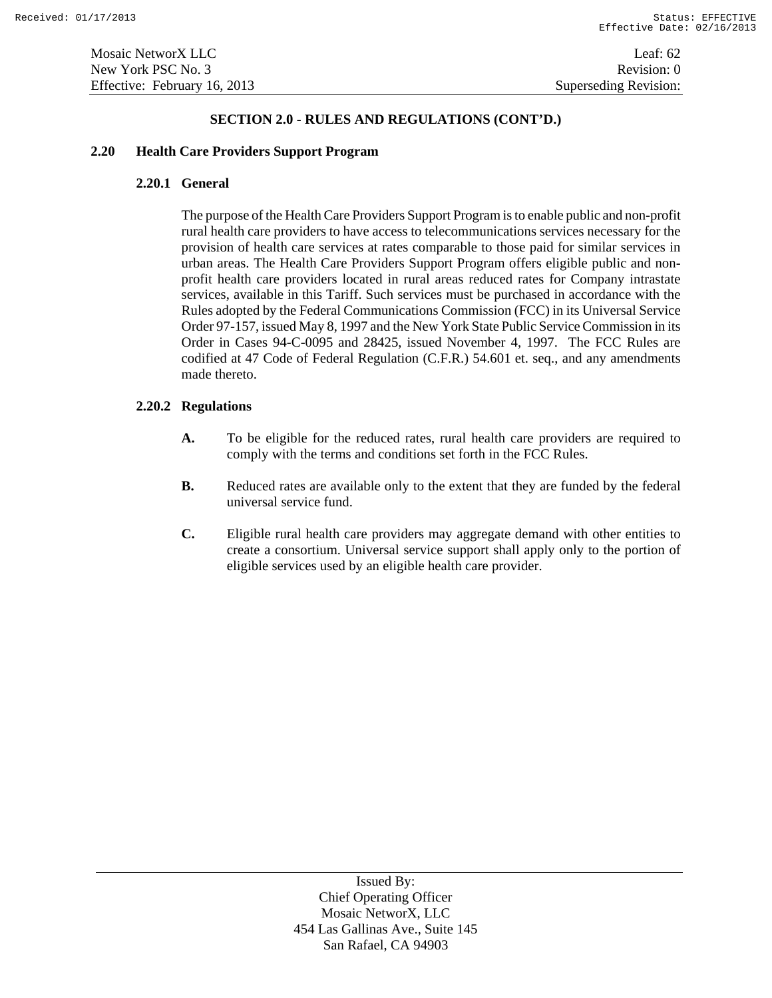### **2.20 Health Care Providers Support Program**

# **2.20.1 General**

The purpose of the Health Care Providers Support Program is to enable public and non-profit rural health care providers to have access to telecommunications services necessary for the provision of health care services at rates comparable to those paid for similar services in urban areas. The Health Care Providers Support Program offers eligible public and nonprofit health care providers located in rural areas reduced rates for Company intrastate services, available in this Tariff. Such services must be purchased in accordance with the Rules adopted by the Federal Communications Commission (FCC) in its Universal Service Order 97-157, issued May 8, 1997 and the New York State Public Service Commission in its Order in Cases 94-C-0095 and 28425, issued November 4, 1997. The FCC Rules are codified at 47 Code of Federal Regulation (C.F.R.) 54.601 et. seq., and any amendments made thereto.

# **2.20.2 Regulations**

- **A.** To be eligible for the reduced rates, rural health care providers are required to comply with the terms and conditions set forth in the FCC Rules.
- **B.** Reduced rates are available only to the extent that they are funded by the federal universal service fund.
- **C.** Eligible rural health care providers may aggregate demand with other entities to create a consortium. Universal service support shall apply only to the portion of eligible services used by an eligible health care provider.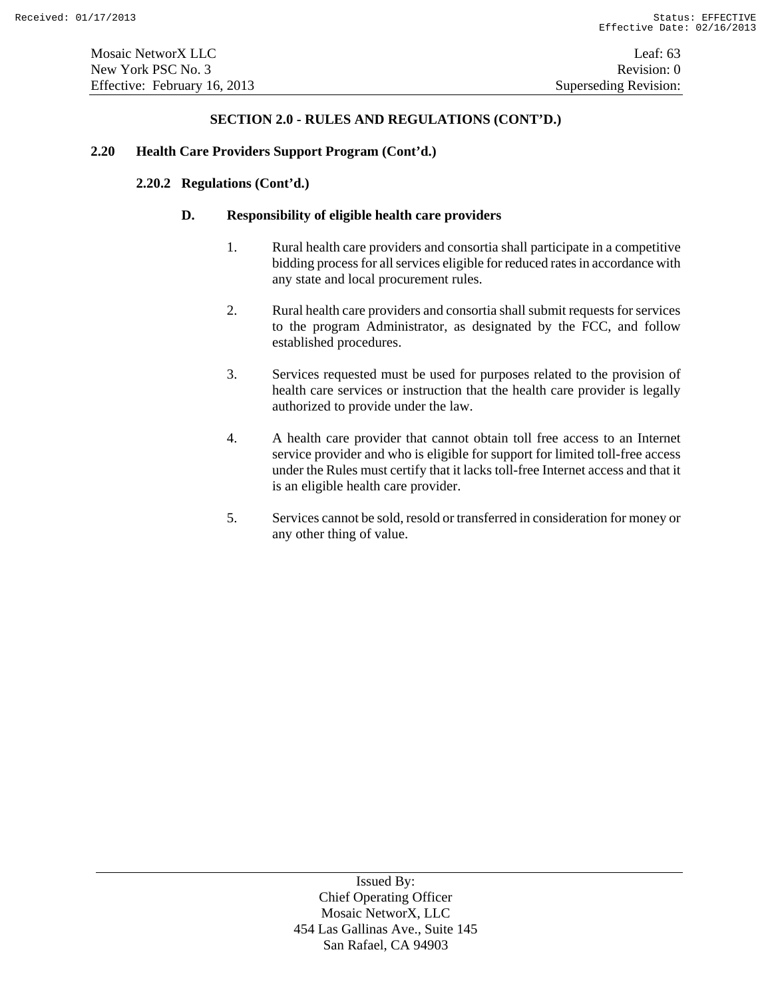#### **2.20 Health Care Providers Support Program (Cont'd.)**

# **2.20.2 Regulations (Cont'd.)**

### **D. Responsibility of eligible health care providers**

- 1. Rural health care providers and consortia shall participate in a competitive bidding process for all services eligible for reduced rates in accordance with any state and local procurement rules.
- 2. Rural health care providers and consortia shall submit requests for services to the program Administrator, as designated by the FCC, and follow established procedures.
- 3. Services requested must be used for purposes related to the provision of health care services or instruction that the health care provider is legally authorized to provide under the law.
- 4. A health care provider that cannot obtain toll free access to an Internet service provider and who is eligible for support for limited toll-free access under the Rules must certify that it lacks toll-free Internet access and that it is an eligible health care provider.
- 5. Services cannot be sold, resold or transferred in consideration for money or any other thing of value.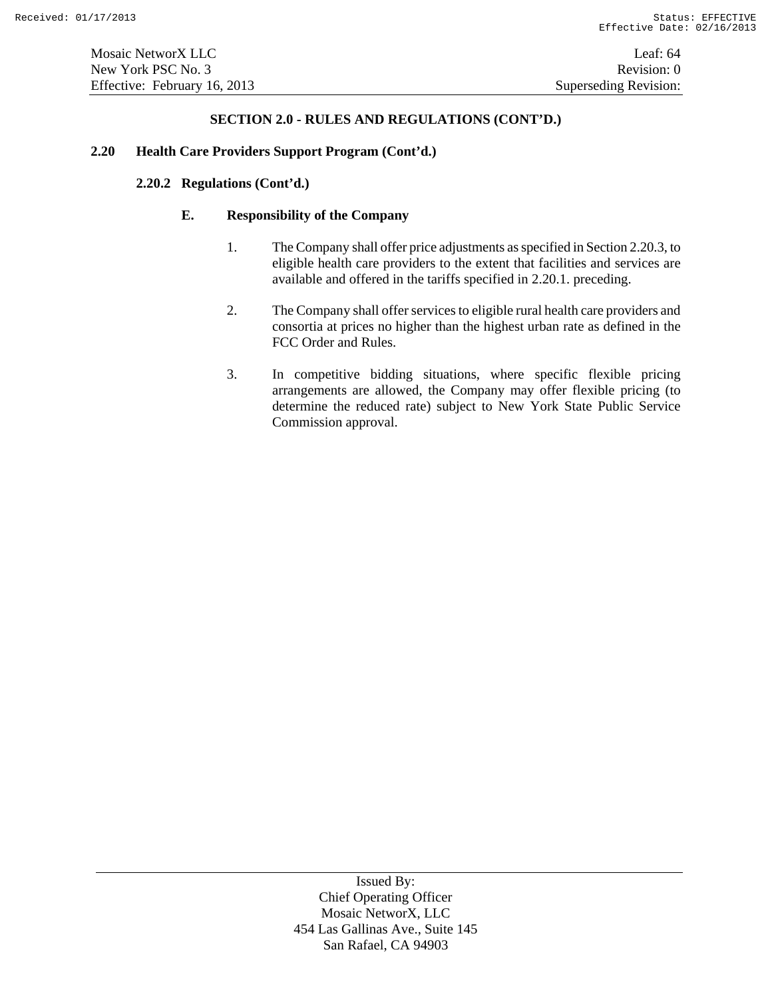### **2.20 Health Care Providers Support Program (Cont'd.)**

# **2.20.2 Regulations (Cont'd.)**

# **E. Responsibility of the Company**

- 1. The Company shall offer price adjustments as specified in Section 2.20.3, to eligible health care providers to the extent that facilities and services are available and offered in the tariffs specified in 2.20.1. preceding.
- 2. The Company shall offer services to eligible rural health care providers and consortia at prices no higher than the highest urban rate as defined in the FCC Order and Rules.
- 3. In competitive bidding situations, where specific flexible pricing arrangements are allowed, the Company may offer flexible pricing (to determine the reduced rate) subject to New York State Public Service Commission approval.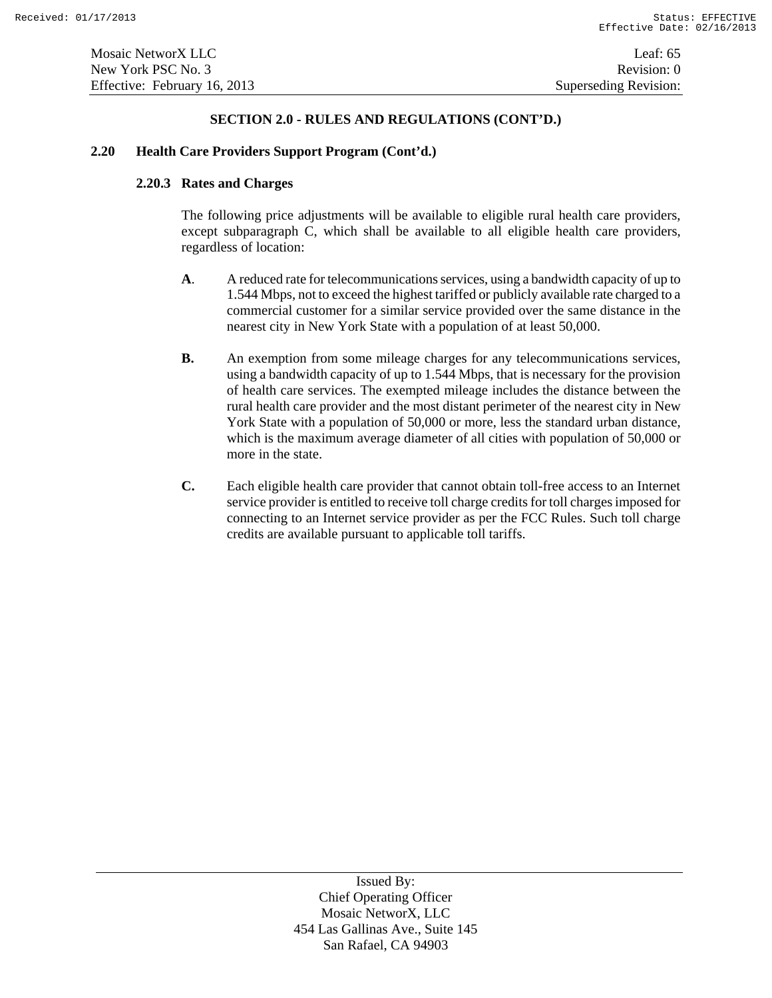### **2.20 Health Care Providers Support Program (Cont'd.)**

# **2.20.3 Rates and Charges**

The following price adjustments will be available to eligible rural health care providers, except subparagraph C, which shall be available to all eligible health care providers, regardless of location:

- **A**. A reduced rate for telecommunications services, using a bandwidth capacity of up to 1.544 Mbps, not to exceed the highest tariffed or publicly available rate charged to a commercial customer for a similar service provided over the same distance in the nearest city in New York State with a population of at least 50,000.
- **B.** An exemption from some mileage charges for any telecommunications services, using a bandwidth capacity of up to 1.544 Mbps, that is necessary for the provision of health care services. The exempted mileage includes the distance between the rural health care provider and the most distant perimeter of the nearest city in New York State with a population of 50,000 or more, less the standard urban distance, which is the maximum average diameter of all cities with population of 50,000 or more in the state.
- **C.** Each eligible health care provider that cannot obtain toll-free access to an Internet service provider is entitled to receive toll charge credits for toll charges imposed for connecting to an Internet service provider as per the FCC Rules. Such toll charge credits are available pursuant to applicable toll tariffs.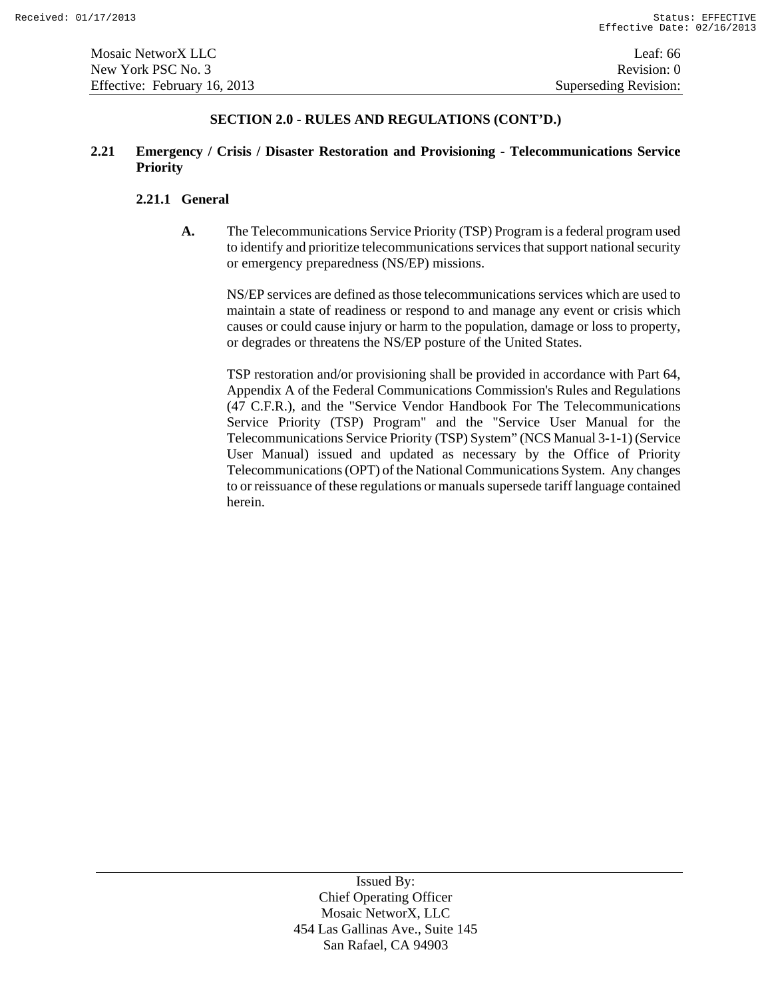# **2.21 Emergency / Crisis / Disaster Restoration and Provisioning - Telecommunications Service Priority**

### **2.21.1 General**

**A.** The Telecommunications Service Priority (TSP) Program is a federal program used to identify and prioritize telecommunications services that support national security or emergency preparedness (NS/EP) missions.

NS/EP services are defined as those telecommunications services which are used to maintain a state of readiness or respond to and manage any event or crisis which causes or could cause injury or harm to the population, damage or loss to property, or degrades or threatens the NS/EP posture of the United States.

TSP restoration and/or provisioning shall be provided in accordance with Part 64, Appendix A of the Federal Communications Commission's Rules and Regulations (47 C.F.R.), and the "Service Vendor Handbook For The Telecommunications Service Priority (TSP) Program" and the "Service User Manual for the Telecommunications Service Priority (TSP) System" (NCS Manual 3-1-1) (Service User Manual) issued and updated as necessary by the Office of Priority Telecommunications (OPT) of the National Communications System. Any changes to or reissuance of these regulations or manuals supersede tariff language contained herein.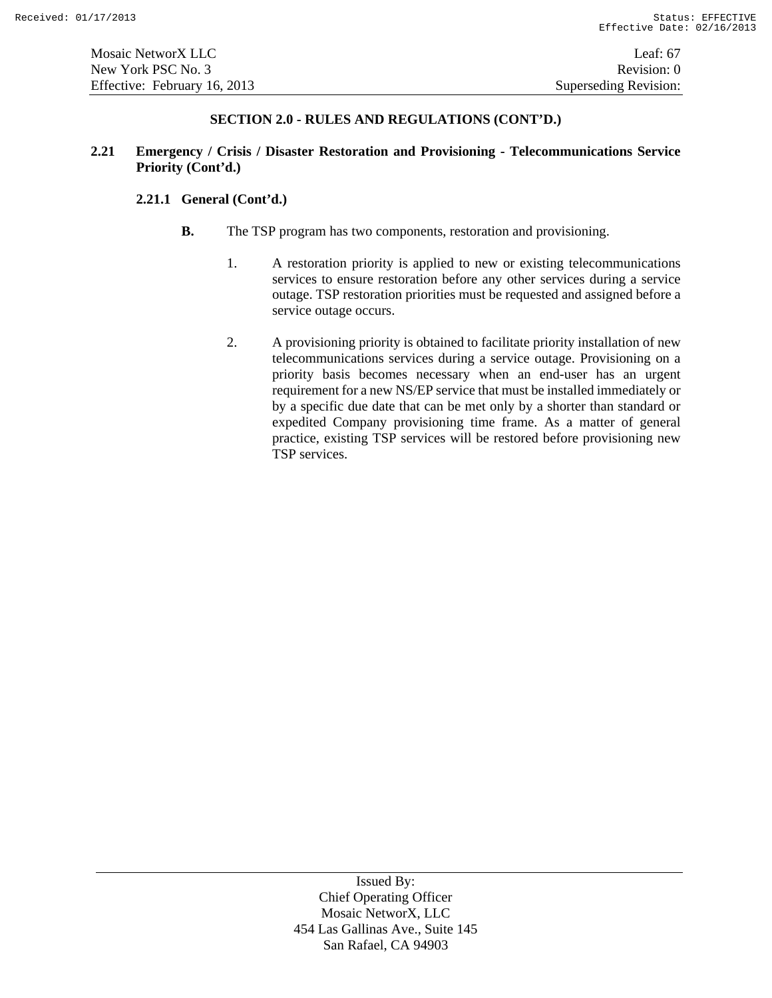# **2.21 Emergency / Crisis / Disaster Restoration and Provisioning - Telecommunications Service Priority (Cont'd.)**

# **2.21.1 General (Cont'd.)**

- **B.** The TSP program has two components, restoration and provisioning.
	- 1. A restoration priority is applied to new or existing telecommunications services to ensure restoration before any other services during a service outage. TSP restoration priorities must be requested and assigned before a service outage occurs.
	- 2. A provisioning priority is obtained to facilitate priority installation of new telecommunications services during a service outage. Provisioning on a priority basis becomes necessary when an end-user has an urgent requirement for a new NS/EP service that must be installed immediately or by a specific due date that can be met only by a shorter than standard or expedited Company provisioning time frame. As a matter of general practice, existing TSP services will be restored before provisioning new TSP services.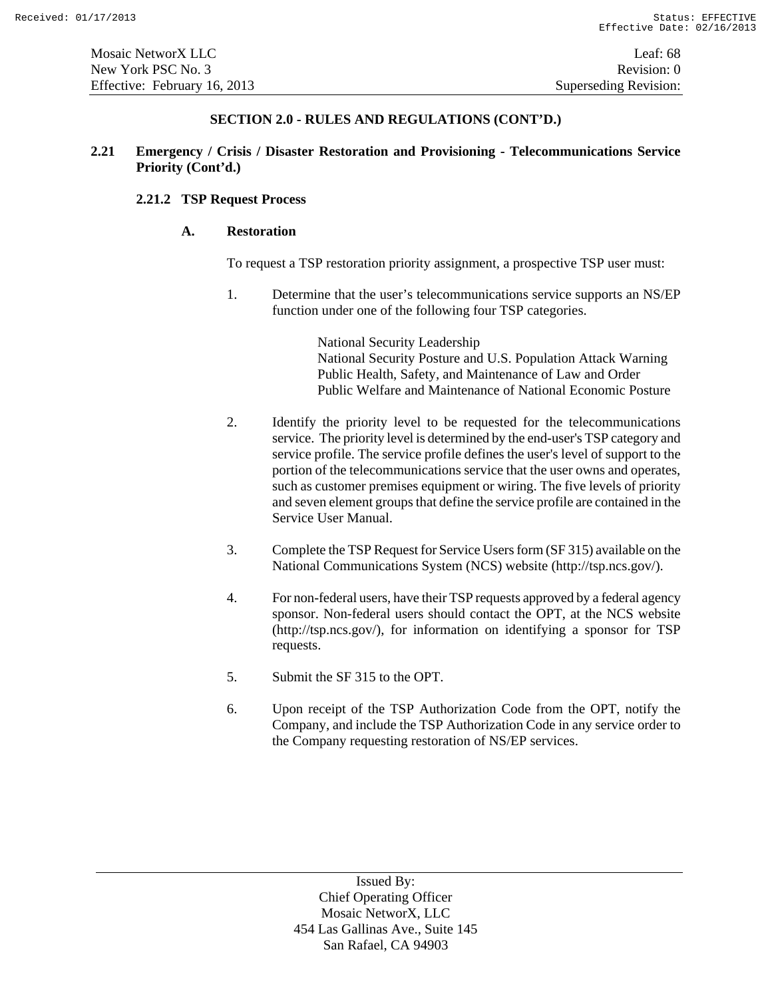# **2.21 Emergency / Crisis / Disaster Restoration and Provisioning - Telecommunications Service Priority (Cont'd.)**

# **2.21.2 TSP Request Process**

# **A. Restoration**

To request a TSP restoration priority assignment, a prospective TSP user must:

1. Determine that the user's telecommunications service supports an NS/EP function under one of the following four TSP categories.

> National Security Leadership National Security Posture and U.S. Population Attack Warning Public Health, Safety, and Maintenance of Law and Order Public Welfare and Maintenance of National Economic Posture

- 2. Identify the priority level to be requested for the telecommunications service. The priority level is determined by the end-user's TSP category and service profile. The service profile defines the user's level of support to the portion of the telecommunications service that the user owns and operates, such as customer premises equipment or wiring. The five levels of priority and seven element groups that define the service profile are contained in the Service User Manual.
- 3. Complete the TSP Request for Service Users form (SF 315) available on the National Communications System (NCS) website (http://tsp.ncs.gov/).
- 4. For non-federal users, have their TSP requests approved by a federal agency sponsor. Non-federal users should contact the OPT, at the NCS website (http://tsp.ncs.gov/), for information on identifying a sponsor for TSP requests.
- 5. Submit the SF 315 to the OPT.
- 6. Upon receipt of the TSP Authorization Code from the OPT, notify the Company, and include the TSP Authorization Code in any service order to the Company requesting restoration of NS/EP services.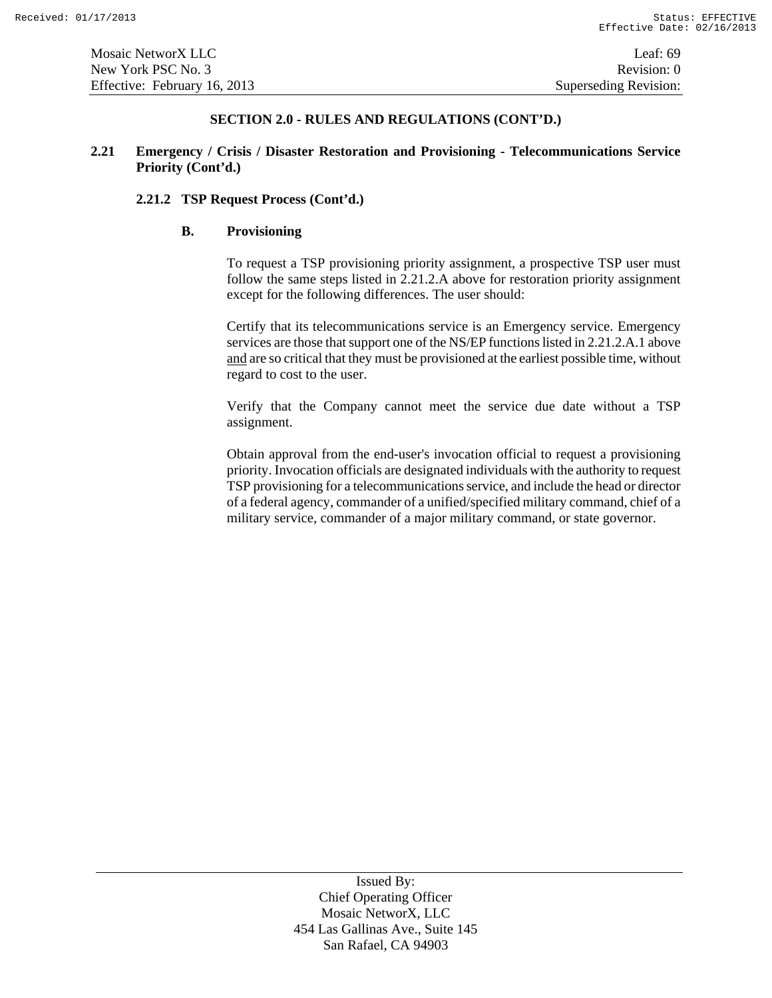# **2.21 Emergency / Crisis / Disaster Restoration and Provisioning - Telecommunications Service Priority (Cont'd.)**

# **2.21.2 TSP Request Process (Cont'd.)**

## **B. Provisioning**

To request a TSP provisioning priority assignment, a prospective TSP user must follow the same steps listed in 2.21.2.A above for restoration priority assignment except for the following differences. The user should:

Certify that its telecommunications service is an Emergency service. Emergency services are those that support one of the NS/EP functions listed in 2.21.2.A.1 above and are so critical that they must be provisioned at the earliest possible time, without regard to cost to the user.

Verify that the Company cannot meet the service due date without a TSP assignment.

Obtain approval from the end-user's invocation official to request a provisioning priority. Invocation officials are designated individuals with the authority to request TSP provisioning for a telecommunications service, and include the head or director of a federal agency, commander of a unified/specified military command, chief of a military service, commander of a major military command, or state governor.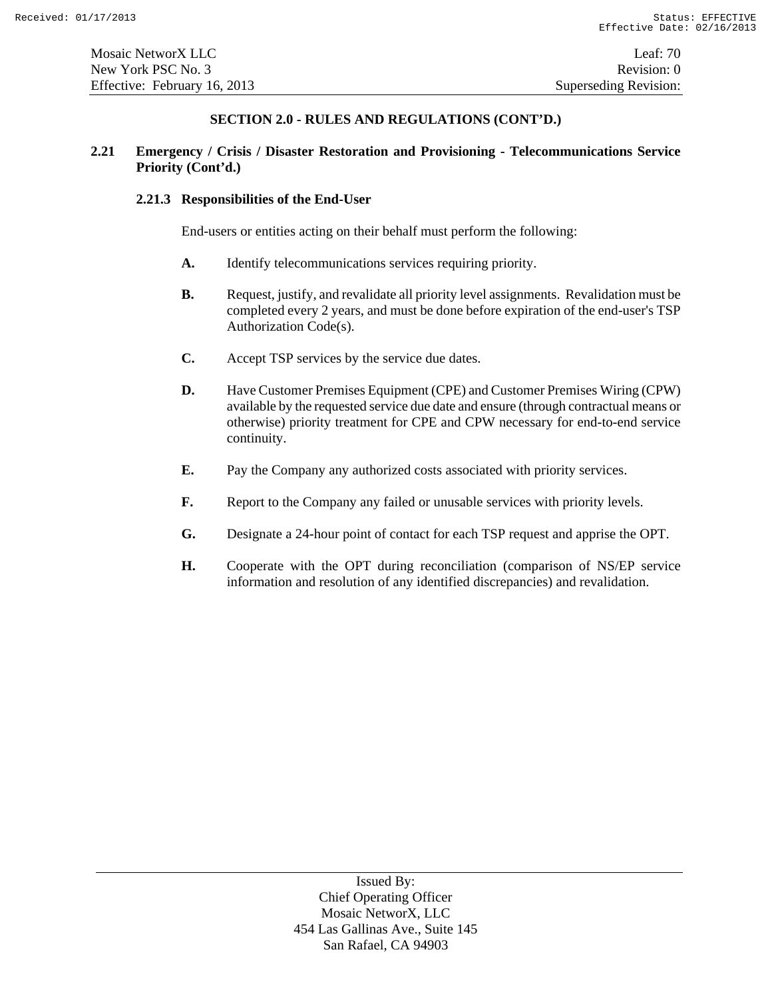# **2.21 Emergency / Crisis / Disaster Restoration and Provisioning - Telecommunications Service Priority (Cont'd.)**

### **2.21.3 Responsibilities of the End-User**

End-users or entities acting on their behalf must perform the following:

- **A.** Identify telecommunications services requiring priority.
- **B.** Request, justify, and revalidate all priority level assignments. Revalidation must be completed every 2 years, and must be done before expiration of the end-user's TSP Authorization Code(s).
- **C.** Accept TSP services by the service due dates.
- **D.** Have Customer Premises Equipment (CPE) and Customer Premises Wiring (CPW) available by the requested service due date and ensure (through contractual means or otherwise) priority treatment for CPE and CPW necessary for end-to-end service continuity.
- **E.** Pay the Company any authorized costs associated with priority services.
- **F.** Report to the Company any failed or unusable services with priority levels.
- **G.** Designate a 24-hour point of contact for each TSP request and apprise the OPT.
- **H.** Cooperate with the OPT during reconciliation (comparison of NS/EP service information and resolution of any identified discrepancies) and revalidation.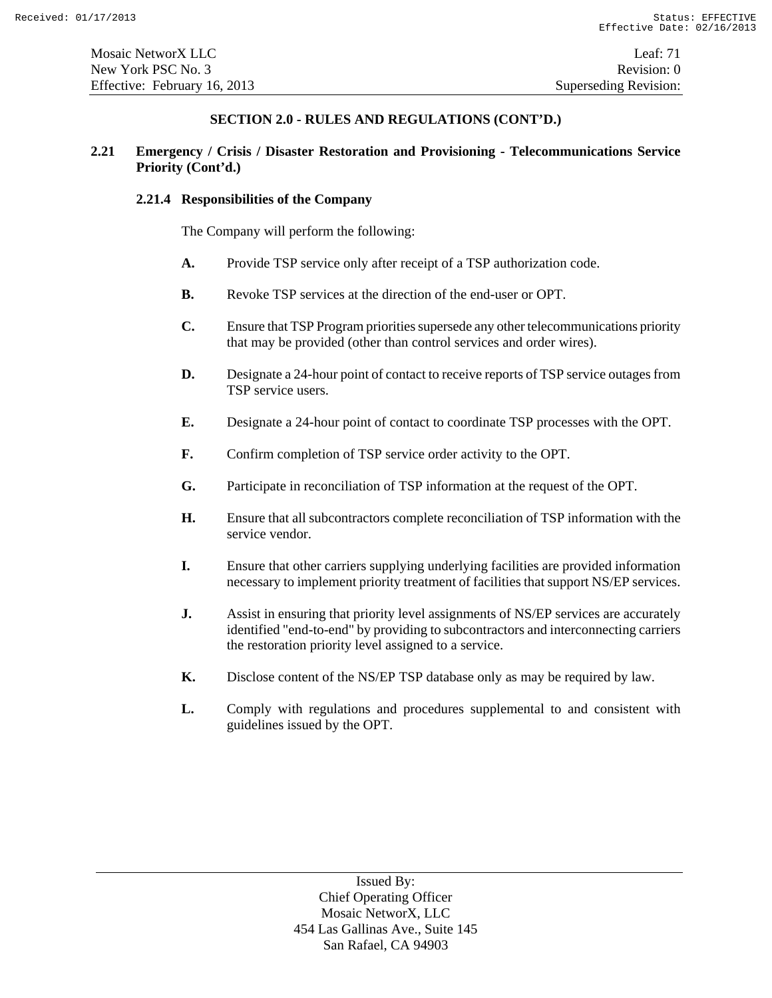# **2.21 Emergency / Crisis / Disaster Restoration and Provisioning - Telecommunications Service Priority (Cont'd.)**

### **2.21.4 Responsibilities of the Company**

The Company will perform the following:

- **A.** Provide TSP service only after receipt of a TSP authorization code.
- **B.** Revoke TSP services at the direction of the end-user or OPT.
- **C.** Ensure that TSP Program priorities supersede any other telecommunications priority that may be provided (other than control services and order wires).
- **D.** Designate a 24-hour point of contact to receive reports of TSP service outages from TSP service users.
- **E.** Designate a 24-hour point of contact to coordinate TSP processes with the OPT.
- **F.** Confirm completion of TSP service order activity to the OPT.
- **G.** Participate in reconciliation of TSP information at the request of the OPT.
- **H.** Ensure that all subcontractors complete reconciliation of TSP information with the service vendor.
- **I.** Ensure that other carriers supplying underlying facilities are provided information necessary to implement priority treatment of facilities that support NS/EP services.
- **J.** Assist in ensuring that priority level assignments of NS/EP services are accurately identified "end-to-end" by providing to subcontractors and interconnecting carriers the restoration priority level assigned to a service.
- **K.** Disclose content of the NS/EP TSP database only as may be required by law.
- **L.** Comply with regulations and procedures supplemental to and consistent with guidelines issued by the OPT.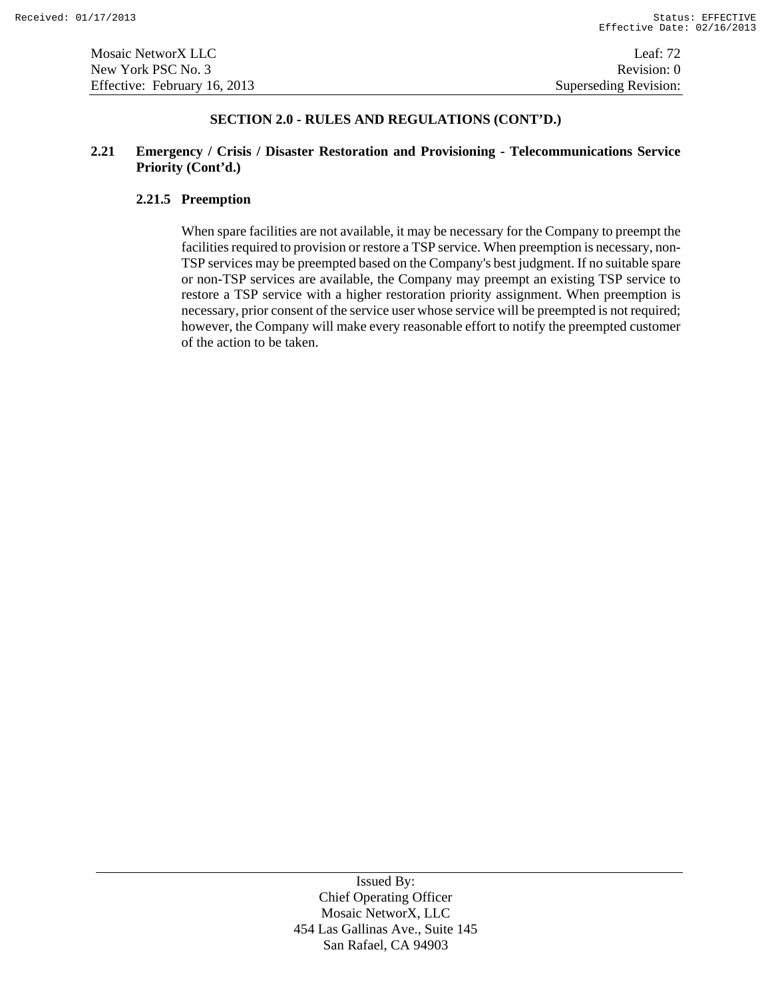# **2.21 Emergency / Crisis / Disaster Restoration and Provisioning - Telecommunications Service Priority (Cont'd.)**

# **2.21.5 Preemption**

When spare facilities are not available, it may be necessary for the Company to preempt the facilities required to provision or restore a TSP service. When preemption is necessary, non-TSP services may be preempted based on the Company's best judgment. If no suitable spare or non-TSP services are available, the Company may preempt an existing TSP service to restore a TSP service with a higher restoration priority assignment. When preemption is necessary, prior consent of the service user whose service will be preempted is not required; however, the Company will make every reasonable effort to notify the preempted customer of the action to be taken.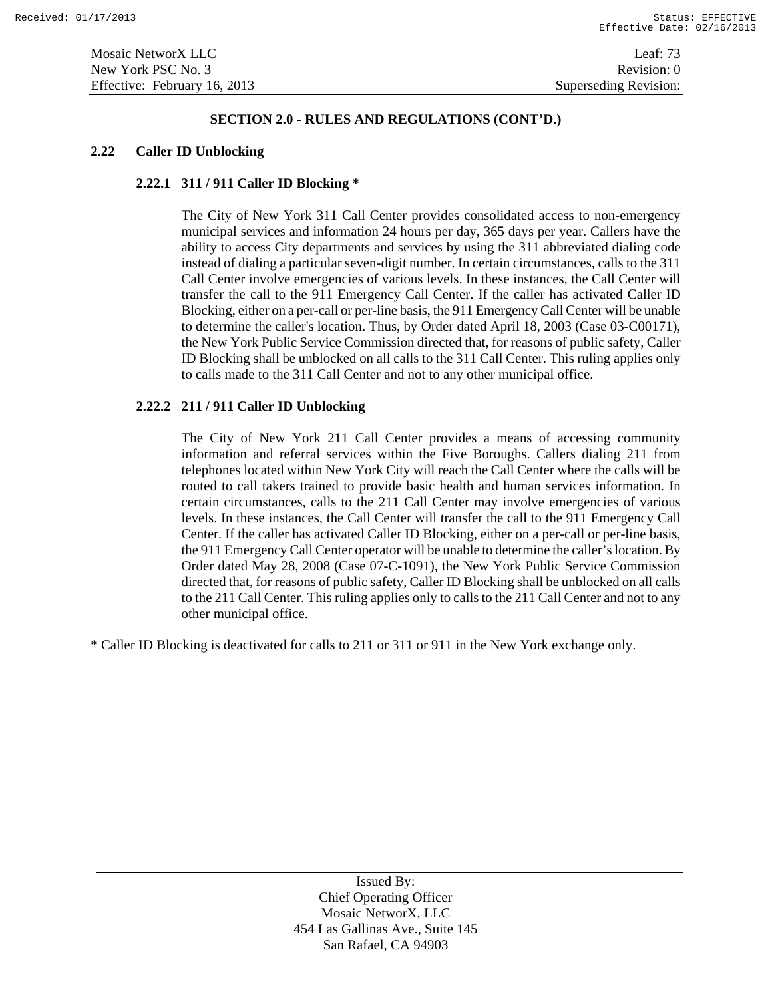## **SECTION 2.0 - RULES AND REGULATIONS (CONT'D.)**

#### **2.22 Caller ID Unblocking**

# **2.22.1 311 / 911 Caller ID Blocking \***

The City of New York 311 Call Center provides consolidated access to non-emergency municipal services and information 24 hours per day, 365 days per year. Callers have the ability to access City departments and services by using the 311 abbreviated dialing code instead of dialing a particular seven-digit number. In certain circumstances, calls to the 311 Call Center involve emergencies of various levels. In these instances, the Call Center will transfer the call to the 911 Emergency Call Center. If the caller has activated Caller ID Blocking, either on a per-call or per-line basis, the 911 Emergency Call Center will be unable to determine the caller's location. Thus, by Order dated April 18, 2003 (Case 03-C00171), the New York Public Service Commission directed that, for reasons of public safety, Caller ID Blocking shall be unblocked on all calls to the 311 Call Center. This ruling applies only to calls made to the 311 Call Center and not to any other municipal office.

# **2.22.2 211 / 911 Caller ID Unblocking**

The City of New York 211 Call Center provides a means of accessing community information and referral services within the Five Boroughs. Callers dialing 211 from telephones located within New York City will reach the Call Center where the calls will be routed to call takers trained to provide basic health and human services information. In certain circumstances, calls to the 211 Call Center may involve emergencies of various levels. In these instances, the Call Center will transfer the call to the 911 Emergency Call Center. If the caller has activated Caller ID Blocking, either on a per-call or per-line basis, the 911 Emergency Call Center operator will be unable to determine the caller's location. By Order dated May 28, 2008 (Case 07-C-1091), the New York Public Service Commission directed that, for reasons of public safety, Caller ID Blocking shall be unblocked on all calls to the 211 Call Center. This ruling applies only to calls to the 211 Call Center and not to any other municipal office.

\* Caller ID Blocking is deactivated for calls to 211 or 311 or 911 in the New York exchange only.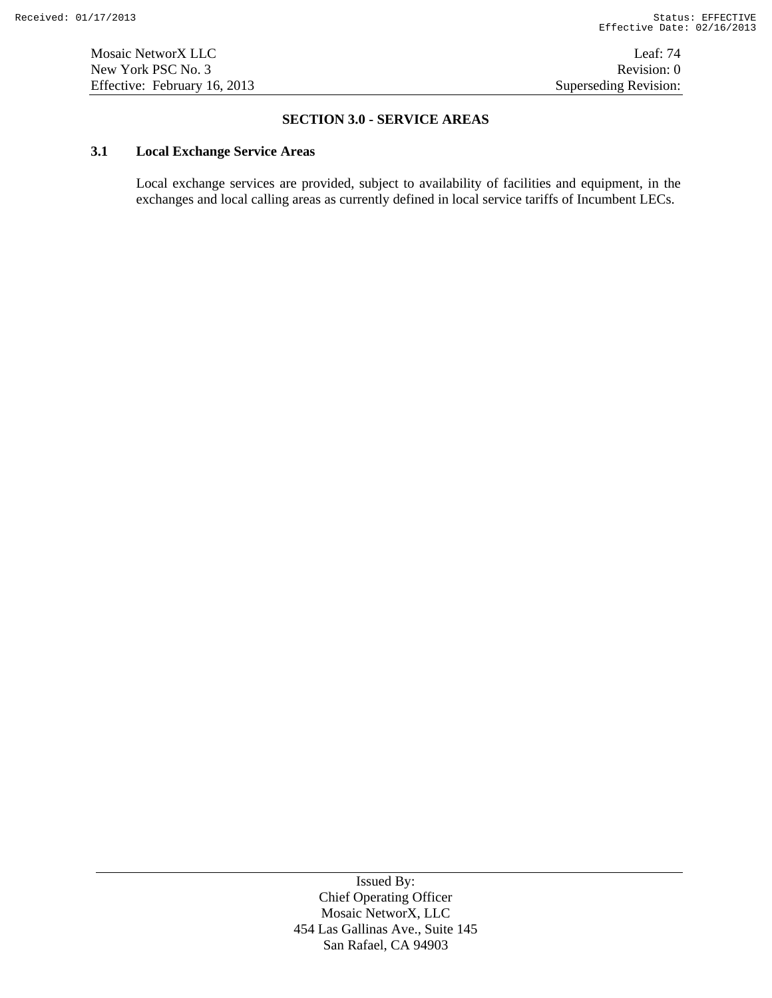# **SECTION 3.0 - SERVICE AREAS**

# **3.1 Local Exchange Service Areas**

Local exchange services are provided, subject to availability of facilities and equipment, in the exchanges and local calling areas as currently defined in local service tariffs of Incumbent LECs.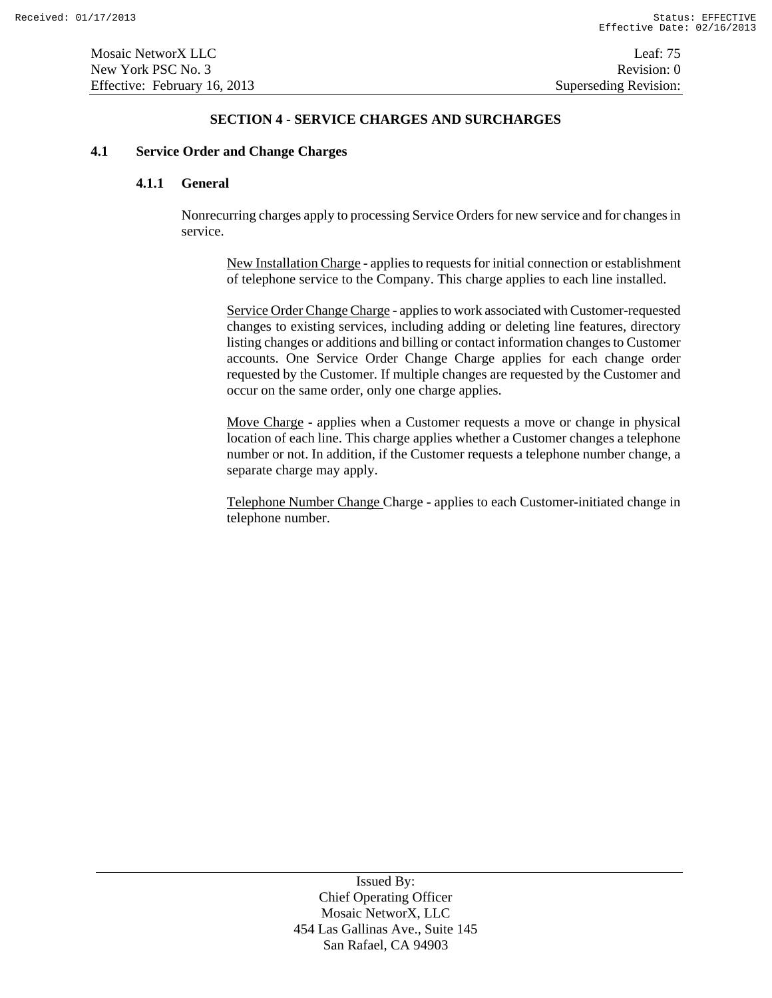# **SECTION 4 - SERVICE CHARGES AND SURCHARGES**

## **4.1 Service Order and Change Charges**

# **4.1.1 General**

Nonrecurring charges apply to processing Service Orders for new service and for changes in service.

New Installation Charge - applies to requests for initial connection or establishment of telephone service to the Company. This charge applies to each line installed.

Service Order Change Charge - applies to work associated with Customer-requested changes to existing services, including adding or deleting line features, directory listing changes or additions and billing or contact information changes to Customer accounts. One Service Order Change Charge applies for each change order requested by the Customer. If multiple changes are requested by the Customer and occur on the same order, only one charge applies.

Move Charge - applies when a Customer requests a move or change in physical location of each line. This charge applies whether a Customer changes a telephone number or not. In addition, if the Customer requests a telephone number change, a separate charge may apply.

Telephone Number Change Charge - applies to each Customer-initiated change in telephone number.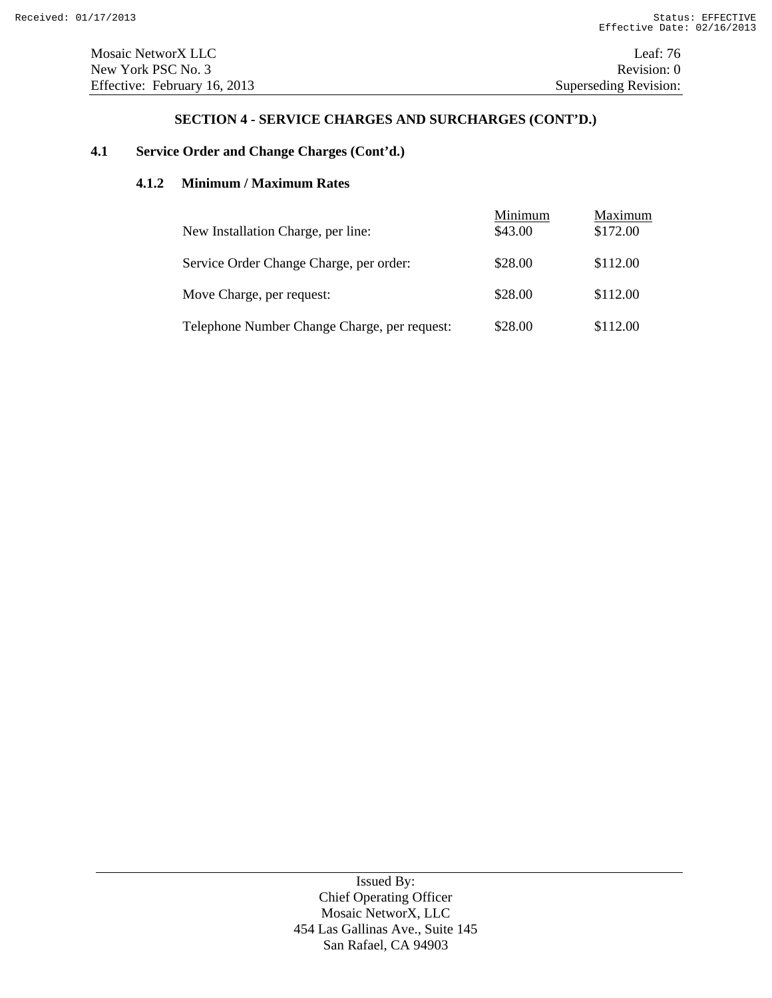# **4.1 Service Order and Change Charges (Cont'd.)**

# **4.1.2 Minimum / Maximum Rates**

| New Installation Charge, per line:           | Minimum<br>\$43.00 | Maximum<br>\$172.00 |
|----------------------------------------------|--------------------|---------------------|
|                                              |                    |                     |
| Service Order Change Charge, per order:      | \$28.00            | \$112.00            |
| Move Charge, per request:                    | \$28.00            | \$112.00            |
| Telephone Number Change Charge, per request: | \$28.00            | \$112.00            |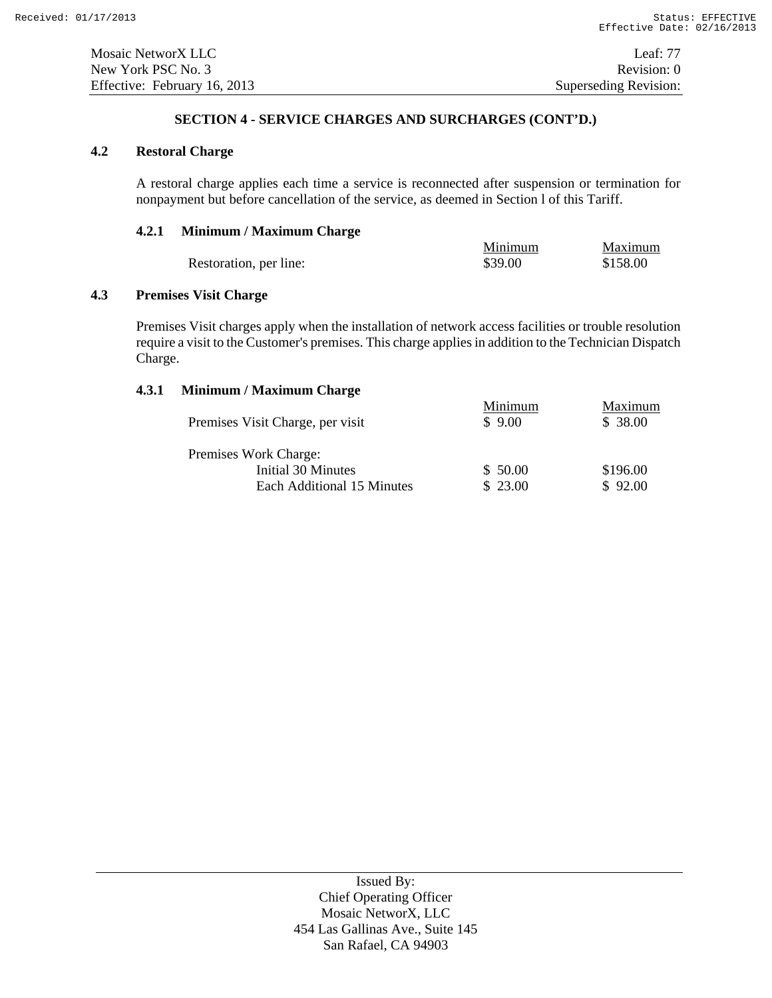# **4.2 Restoral Charge**

A restoral charge applies each time a service is reconnected after suspension or termination for nonpayment but before cancellation of the service, as deemed in Section l of this Tariff.

# **4.2.1 Minimum / Maximum Charge**

|                        | Minimum | Maximum  |
|------------------------|---------|----------|
| Restoration, per line: | \$39.00 | \$158.00 |

# **4.3 Premises Visit Charge**

Premises Visit charges apply when the installation of network access facilities or trouble resolution require a visit to the Customer's premises. This charge applies in addition to the Technician Dispatch Charge.

# **4.3.1 Minimum / Maximum Charge**

|                                  | Minimum | Maximum  |
|----------------------------------|---------|----------|
| Premises Visit Charge, per visit | \$9.00  | \$38.00  |
| Premises Work Charge:            |         |          |
| Initial 30 Minutes               | \$50.00 | \$196.00 |
| Each Additional 15 Minutes       | \$23.00 | \$92.00  |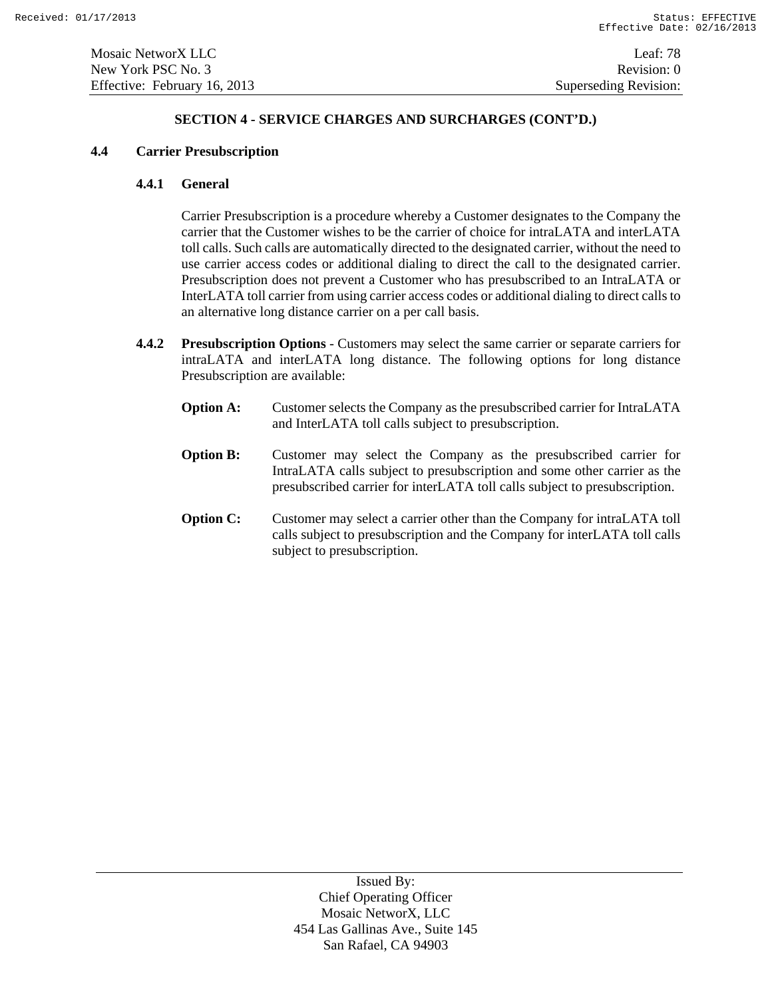New York PSC No. 3 Revision: 0 Effective: February 16, 2013 Superseding Revision:

# **SECTION 4 - SERVICE CHARGES AND SURCHARGES (CONT'D.)**

# **4.4 Carrier Presubscription**

# **4.4.1 General**

Carrier Presubscription is a procedure whereby a Customer designates to the Company the carrier that the Customer wishes to be the carrier of choice for intraLATA and interLATA toll calls. Such calls are automatically directed to the designated carrier, without the need to use carrier access codes or additional dialing to direct the call to the designated carrier. Presubscription does not prevent a Customer who has presubscribed to an IntraLATA or InterLATA toll carrier from using carrier access codes or additional dialing to direct calls to an alternative long distance carrier on a per call basis.

- **4.4.2 Presubscription Options** Customers may select the same carrier or separate carriers for intraLATA and interLATA long distance. The following options for long distance Presubscription are available:
	- **Option A:** Customer selects the Company as the presubscribed carrier for IntraLATA and InterLATA toll calls subject to presubscription.
	- **Option B:** Customer may select the Company as the presubscribed carrier for IntraLATA calls subject to presubscription and some other carrier as the presubscribed carrier for interLATA toll calls subject to presubscription.
	- **Option C:** Customer may select a carrier other than the Company for intraLATA toll calls subject to presubscription and the Company for interLATA toll calls subject to presubscription.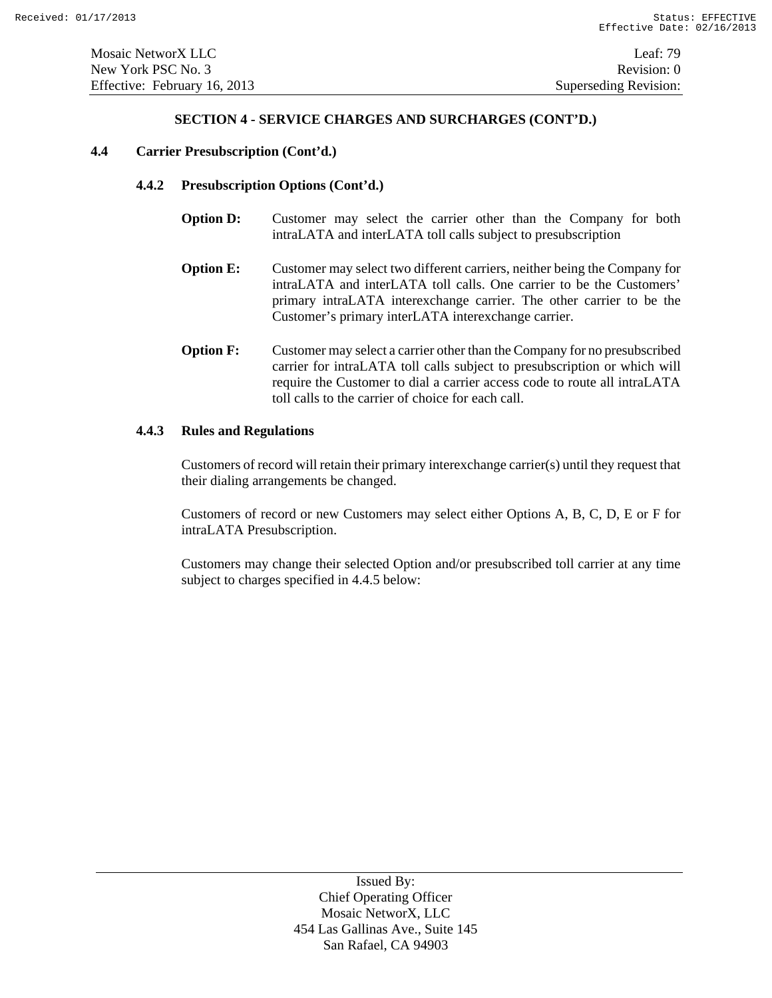#### **4.4 Carrier Presubscription (Cont'd.)**

#### **4.4.2 Presubscription Options (Cont'd.)**

- **Option D:** Customer may select the carrier other than the Company for both intraLATA and interLATA toll calls subject to presubscription
- **Option E:** Customer may select two different carriers, neither being the Company for intraLATA and interLATA toll calls. One carrier to be the Customers' primary intraLATA interexchange carrier. The other carrier to be the Customer's primary interLATA interexchange carrier.
- **Option F:** Customer may select a carrier other than the Company for no presubscribed carrier for intraLATA toll calls subject to presubscription or which will require the Customer to dial a carrier access code to route all intraLATA toll calls to the carrier of choice for each call.

#### **4.4.3 Rules and Regulations**

Customers of record will retain their primary interexchange carrier(s) until they request that their dialing arrangements be changed.

Customers of record or new Customers may select either Options A, B, C, D, E or F for intraLATA Presubscription.

Customers may change their selected Option and/or presubscribed toll carrier at any time subject to charges specified in 4.4.5 below: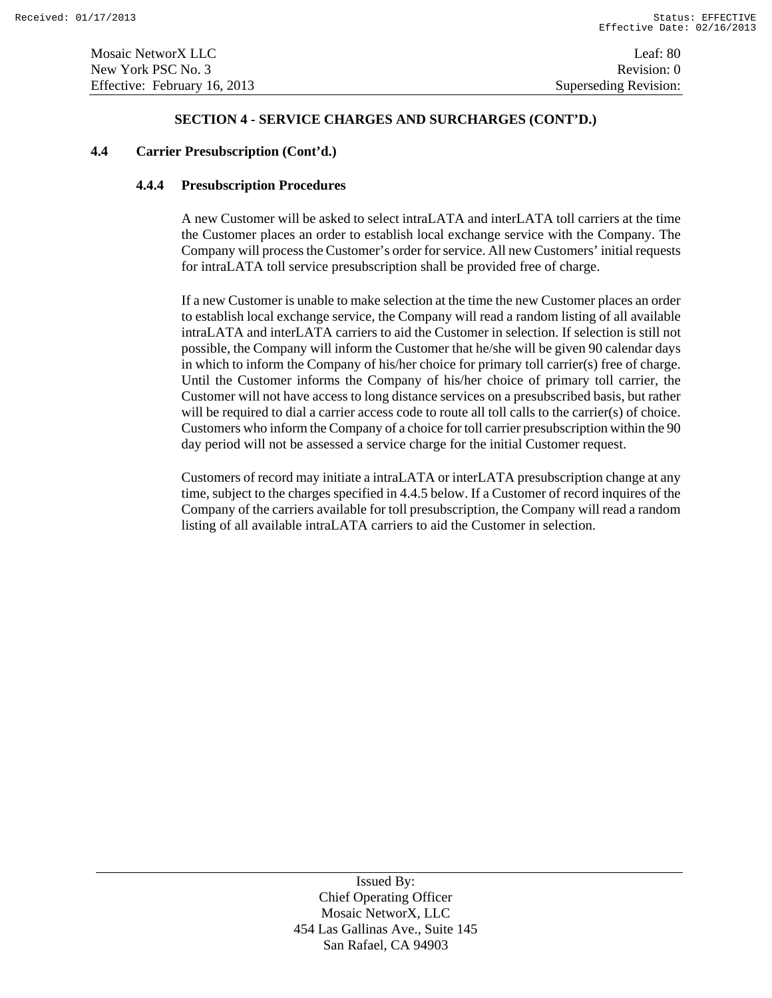#### **4.4 Carrier Presubscription (Cont'd.)**

# **4.4.4 Presubscription Procedures**

A new Customer will be asked to select intraLATA and interLATA toll carriers at the time the Customer places an order to establish local exchange service with the Company. The Company will process the Customer's order for service. All new Customers' initial requests for intraLATA toll service presubscription shall be provided free of charge.

If a new Customer is unable to make selection at the time the new Customer places an order to establish local exchange service, the Company will read a random listing of all available intraLATA and interLATA carriers to aid the Customer in selection. If selection is still not possible, the Company will inform the Customer that he/she will be given 90 calendar days in which to inform the Company of his/her choice for primary toll carrier(s) free of charge. Until the Customer informs the Company of his/her choice of primary toll carrier, the Customer will not have access to long distance services on a presubscribed basis, but rather will be required to dial a carrier access code to route all toll calls to the carrier(s) of choice. Customers who inform the Company of a choice for toll carrier presubscription within the 90 day period will not be assessed a service charge for the initial Customer request.

Customers of record may initiate a intraLATA or interLATA presubscription change at any time, subject to the charges specified in 4.4.5 below. If a Customer of record inquires of the Company of the carriers available for toll presubscription, the Company will read a random listing of all available intraLATA carriers to aid the Customer in selection.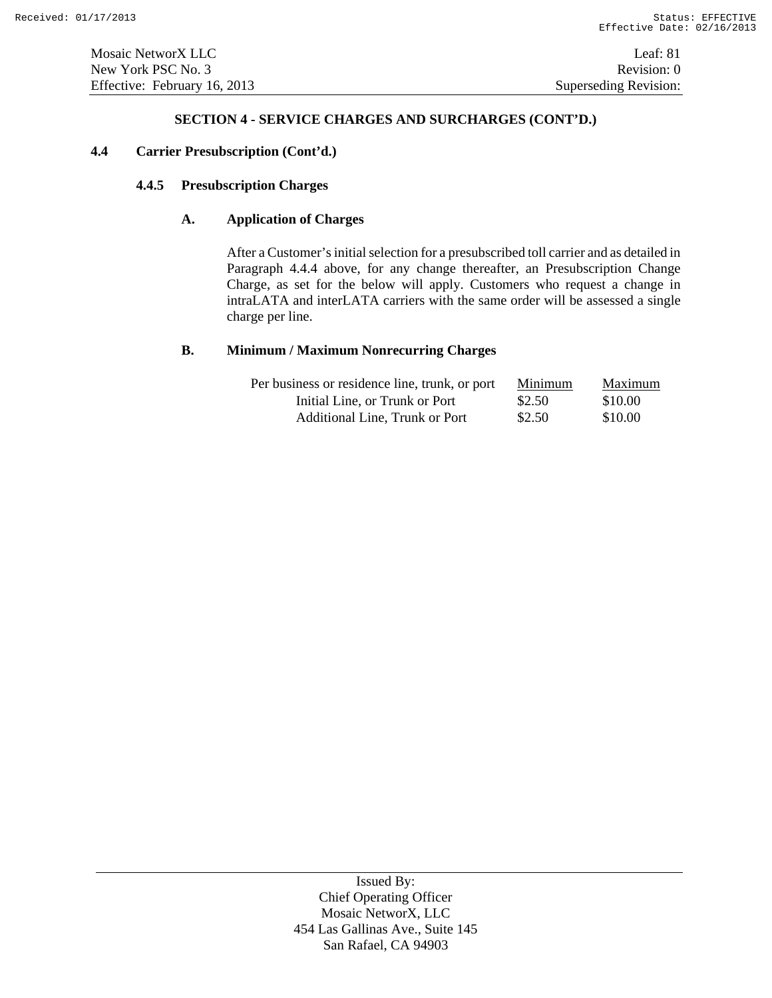# **4.4 Carrier Presubscription (Cont'd.)**

# **4.4.5 Presubscription Charges**

# **A. Application of Charges**

After a Customer's initial selection for a presubscribed toll carrier and as detailed in Paragraph 4.4.4 above, for any change thereafter, an Presubscription Change Charge, as set for the below will apply. Customers who request a change in intraLATA and interLATA carriers with the same order will be assessed a single charge per line.

# **B. Minimum / Maximum Nonrecurring Charges**

| Per business or residence line, trunk, or port | Minimum | Maximum |
|------------------------------------------------|---------|---------|
| Initial Line, or Trunk or Port                 | \$2.50  | \$10.00 |
| Additional Line, Trunk or Port                 | \$2.50  | \$10.00 |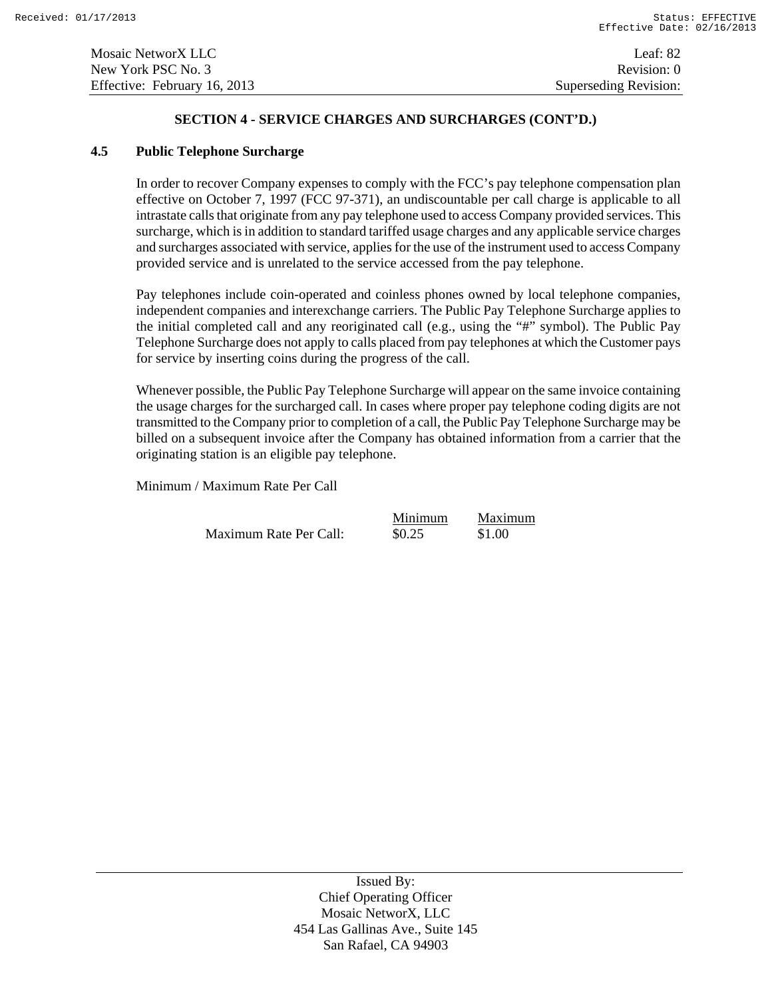# **4.5 Public Telephone Surcharge**

In order to recover Company expenses to comply with the FCC's pay telephone compensation plan effective on October 7, 1997 (FCC 97-371), an undiscountable per call charge is applicable to all intrastate calls that originate from any pay telephone used to access Company provided services. This surcharge, which is in addition to standard tariffed usage charges and any applicable service charges and surcharges associated with service, applies for the use of the instrument used to access Company provided service and is unrelated to the service accessed from the pay telephone.

Pay telephones include coin-operated and coinless phones owned by local telephone companies, independent companies and interexchange carriers. The Public Pay Telephone Surcharge applies to the initial completed call and any reoriginated call (e.g., using the "#" symbol). The Public Pay Telephone Surcharge does not apply to calls placed from pay telephones at which the Customer pays for service by inserting coins during the progress of the call.

Whenever possible, the Public Pay Telephone Surcharge will appear on the same invoice containing the usage charges for the surcharged call. In cases where proper pay telephone coding digits are not transmitted to the Company prior to completion of a call, the Public Pay Telephone Surcharge may be billed on a subsequent invoice after the Company has obtained information from a carrier that the originating station is an eligible pay telephone.

Minimum / Maximum Rate Per Call

Maximum Rate Per Call:  $$0.25$  \$1.00

Minimum Maximum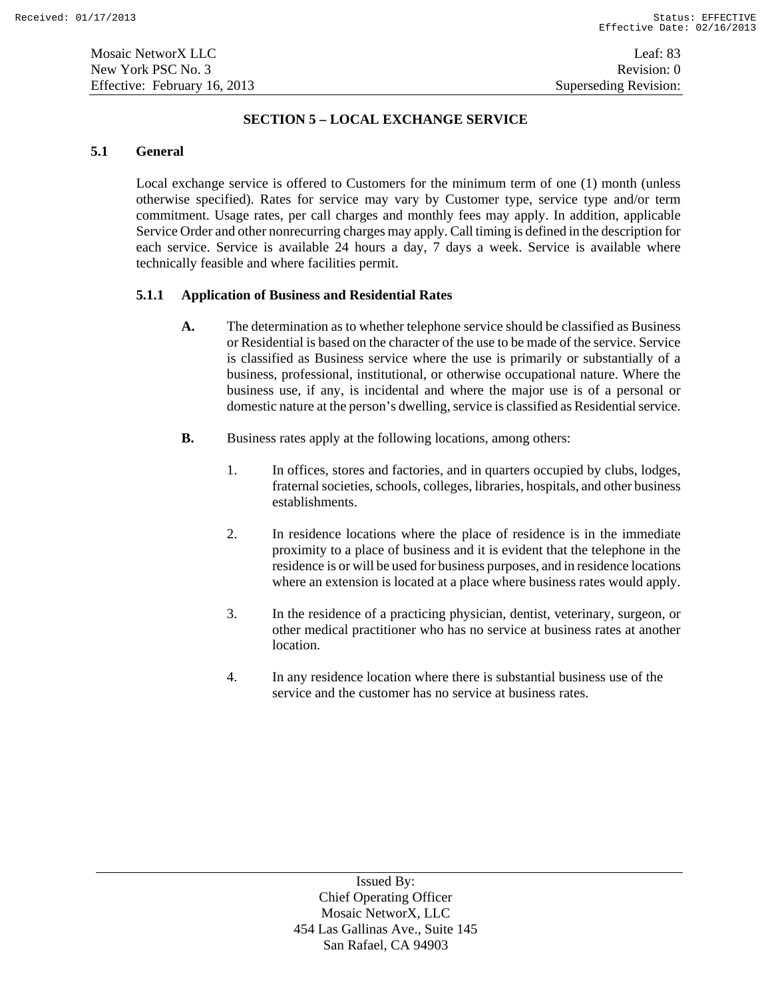# **SECTION 5 – LOCAL EXCHANGE SERVICE**

#### **5.1 General**

Local exchange service is offered to Customers for the minimum term of one (1) month (unless otherwise specified). Rates for service may vary by Customer type, service type and/or term commitment. Usage rates, per call charges and monthly fees may apply. In addition, applicable Service Order and other nonrecurring charges may apply. Call timing is defined in the description for each service. Service is available 24 hours a day, 7 days a week. Service is available where technically feasible and where facilities permit.

# **5.1.1 Application of Business and Residential Rates**

- **A.** The determination as to whether telephone service should be classified as Business or Residential is based on the character of the use to be made of the service. Service is classified as Business service where the use is primarily or substantially of a business, professional, institutional, or otherwise occupational nature. Where the business use, if any, is incidental and where the major use is of a personal or domestic nature at the person's dwelling, service is classified as Residential service.
- **B.** Business rates apply at the following locations, among others:
	- 1. In offices, stores and factories, and in quarters occupied by clubs, lodges, fraternal societies, schools, colleges, libraries, hospitals, and other business establishments.
	- 2. In residence locations where the place of residence is in the immediate proximity to a place of business and it is evident that the telephone in the residence is or will be used for business purposes, and in residence locations where an extension is located at a place where business rates would apply.
	- 3. In the residence of a practicing physician, dentist, veterinary, surgeon, or other medical practitioner who has no service at business rates at another location.
	- 4. In any residence location where there is substantial business use of the service and the customer has no service at business rates.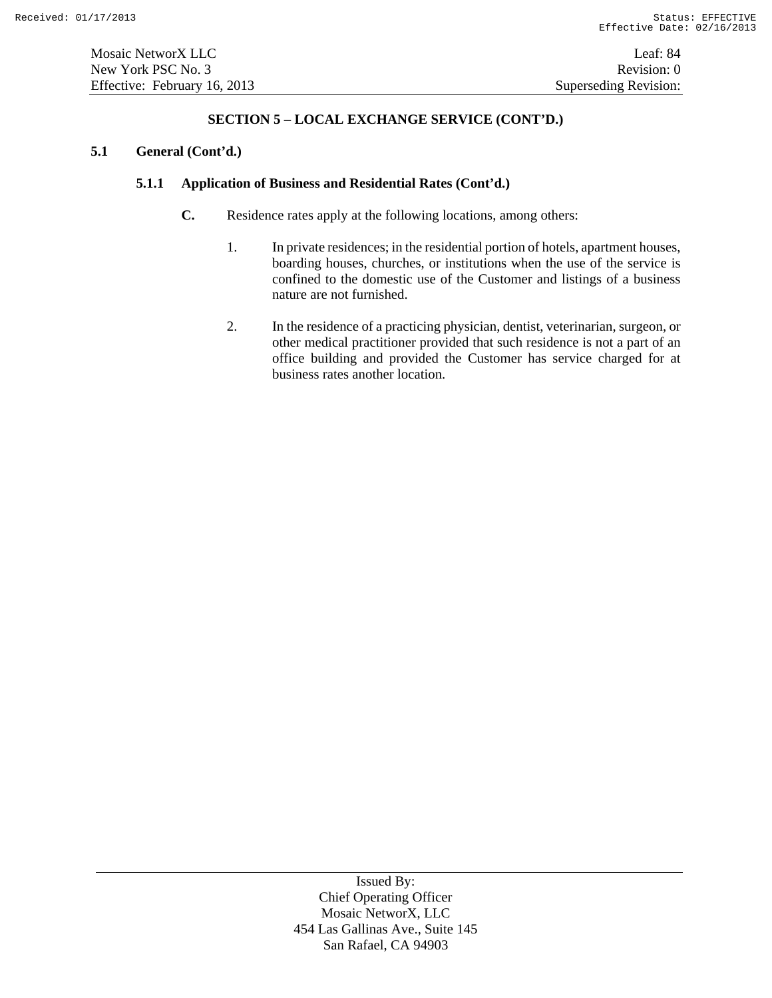Mosaic NetworX LLC Leaf: 84 New York PSC No. 3 Revision: 0 Effective: February 16, 2013 Superseding Revision:

# **SECTION 5 – LOCAL EXCHANGE SERVICE (CONT'D.)**

# **5.1 General (Cont'd.)**

# **5.1.1 Application of Business and Residential Rates (Cont'd.)**

- **C.** Residence rates apply at the following locations, among others:
	- 1. In private residences; in the residential portion of hotels, apartment houses, boarding houses, churches, or institutions when the use of the service is confined to the domestic use of the Customer and listings of a business nature are not furnished.
	- 2. In the residence of a practicing physician, dentist, veterinarian, surgeon, or other medical practitioner provided that such residence is not a part of an office building and provided the Customer has service charged for at business rates another location.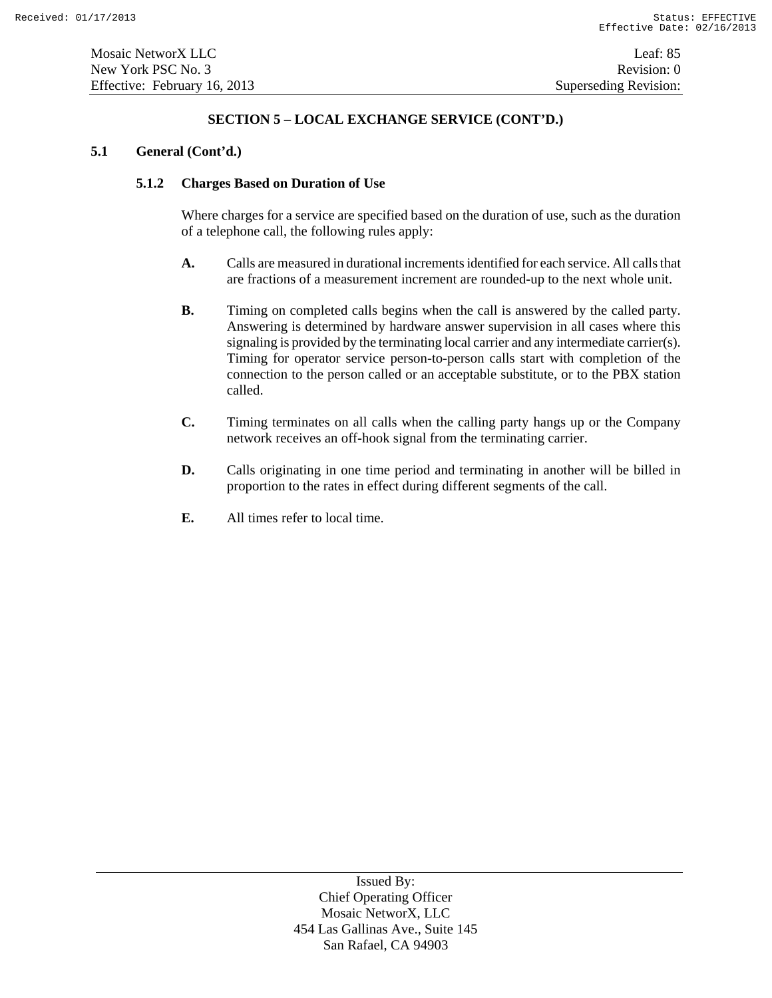# **5.1 General (Cont'd.)**

# **5.1.2 Charges Based on Duration of Use**

Where charges for a service are specified based on the duration of use, such as the duration of a telephone call, the following rules apply:

- **A.** Calls are measured in durational increments identified for each service. All calls that are fractions of a measurement increment are rounded-up to the next whole unit.
- **B.** Timing on completed calls begins when the call is answered by the called party. Answering is determined by hardware answer supervision in all cases where this signaling is provided by the terminating local carrier and any intermediate carrier(s). Timing for operator service person-to-person calls start with completion of the connection to the person called or an acceptable substitute, or to the PBX station called.
- **C.** Timing terminates on all calls when the calling party hangs up or the Company network receives an off-hook signal from the terminating carrier.
- **D.** Calls originating in one time period and terminating in another will be billed in proportion to the rates in effect during different segments of the call.
- **E.** All times refer to local time.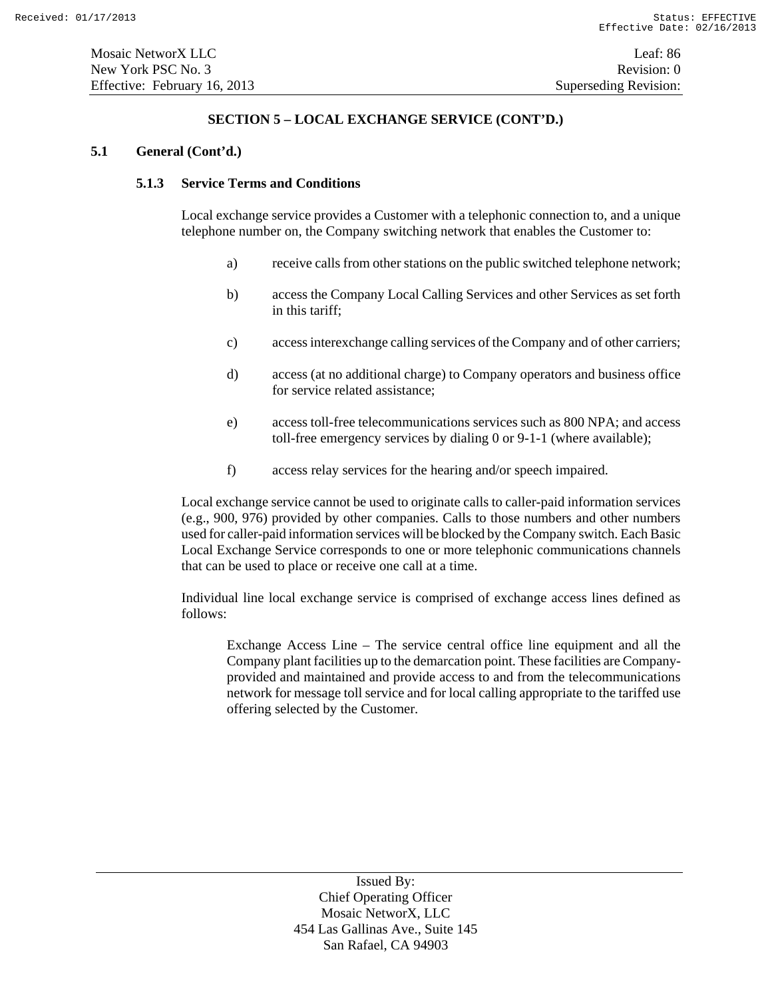# **5.1 General (Cont'd.)**

# **5.1.3 Service Terms and Conditions**

Local exchange service provides a Customer with a telephonic connection to, and a unique telephone number on, the Company switching network that enables the Customer to:

- a) receive calls from other stations on the public switched telephone network;
- b) access the Company Local Calling Services and other Services as set forth in this tariff;
- c) access interexchange calling services of the Company and of other carriers;
- d) access (at no additional charge) to Company operators and business office for service related assistance;
- e) access toll-free telecommunications services such as 800 NPA; and access toll-free emergency services by dialing 0 or 9-1-1 (where available);
- f) access relay services for the hearing and/or speech impaired.

Local exchange service cannot be used to originate calls to caller-paid information services (e.g., 900, 976) provided by other companies. Calls to those numbers and other numbers used for caller-paid information services will be blocked by the Company switch. Each Basic Local Exchange Service corresponds to one or more telephonic communications channels that can be used to place or receive one call at a time.

Individual line local exchange service is comprised of exchange access lines defined as follows:

Exchange Access Line – The service central office line equipment and all the Company plant facilities up to the demarcation point. These facilities are Companyprovided and maintained and provide access to and from the telecommunications network for message toll service and for local calling appropriate to the tariffed use offering selected by the Customer.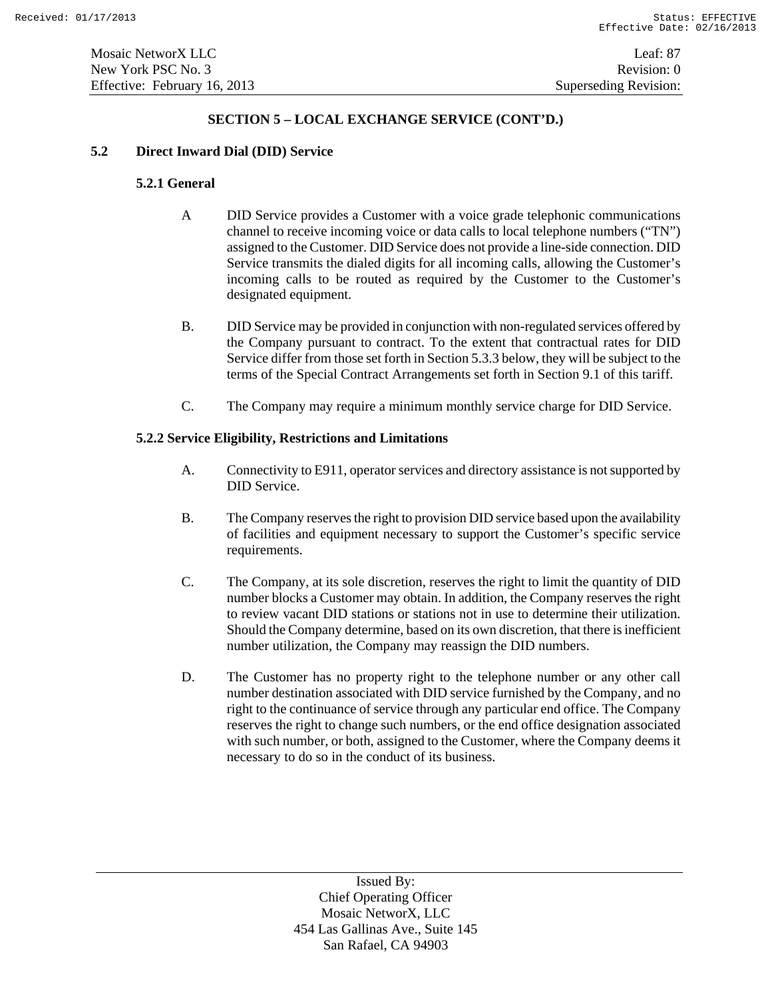# **5.2 Direct Inward Dial (DID) Service**

# **5.2.1 General**

- A DID Service provides a Customer with a voice grade telephonic communications channel to receive incoming voice or data calls to local telephone numbers ("TN") assigned to the Customer. DID Service does not provide a line-side connection. DID Service transmits the dialed digits for all incoming calls, allowing the Customer's incoming calls to be routed as required by the Customer to the Customer's designated equipment.
- B. DID Service may be provided in conjunction with non-regulated services offered by the Company pursuant to contract. To the extent that contractual rates for DID Service differ from those set forth in Section 5.3.3 below, they will be subject to the terms of the Special Contract Arrangements set forth in Section 9.1 of this tariff.
- C. The Company may require a minimum monthly service charge for DID Service.

#### **5.2.2 Service Eligibility, Restrictions and Limitations**

- A. Connectivity to E911, operator services and directory assistance is not supported by DID Service.
- B. The Company reserves the right to provision DID service based upon the availability of facilities and equipment necessary to support the Customer's specific service requirements.
- C. The Company, at its sole discretion, reserves the right to limit the quantity of DID number blocks a Customer may obtain. In addition, the Company reserves the right to review vacant DID stations or stations not in use to determine their utilization. Should the Company determine, based on its own discretion, that there is inefficient number utilization, the Company may reassign the DID numbers.
- D. The Customer has no property right to the telephone number or any other call number destination associated with DID service furnished by the Company, and no right to the continuance of service through any particular end office. The Company reserves the right to change such numbers, or the end office designation associated with such number, or both, assigned to the Customer, where the Company deems it necessary to do so in the conduct of its business.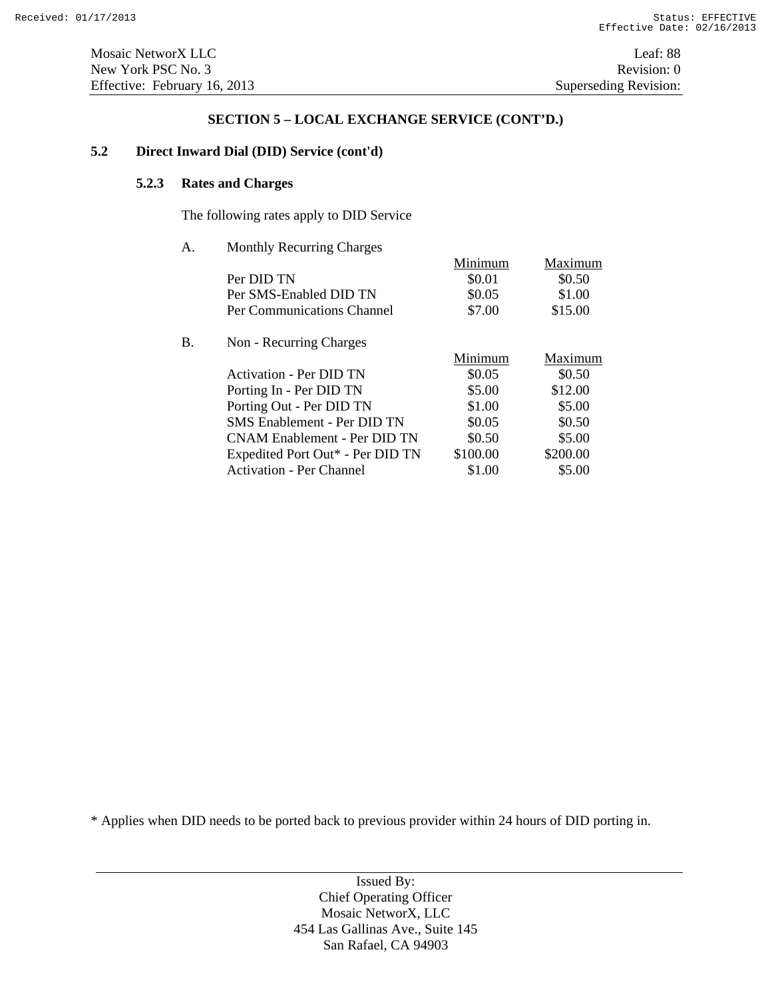# **5.2 Direct Inward Dial (DID) Service (cont'd)**

# **5.2.3 Rates and Charges**

The following rates apply to DID Service

A. Monthly Recurring Charges

|    |                                     | Minimum  | Maximum  |
|----|-------------------------------------|----------|----------|
|    | Per DID TN                          | \$0.01   | \$0.50   |
|    | Per SMS-Enabled DID TN              | \$0.05   | \$1.00   |
|    | Per Communications Channel          | \$7.00   | \$15.00  |
| B. | Non - Recurring Charges             |          |          |
|    |                                     | Minimum  | Maximum  |
|    | Activation - Per DID TN             | \$0.05   | \$0.50   |
|    | Porting In - Per DID TN             | \$5.00   | \$12.00  |
|    | Porting Out - Per DID TN            | \$1.00   | \$5.00   |
|    | SMS Enablement - Per DID TN         | \$0.05   | \$0.50   |
|    | <b>CNAM Enablement - Per DID TN</b> | \$0.50   | \$5.00   |
|    | Expedited Port Out* - Per DID TN    | \$100.00 | \$200.00 |
|    | <b>Activation - Per Channel</b>     | \$1.00   | \$5.00   |

\* Applies when DID needs to be ported back to previous provider within 24 hours of DID porting in.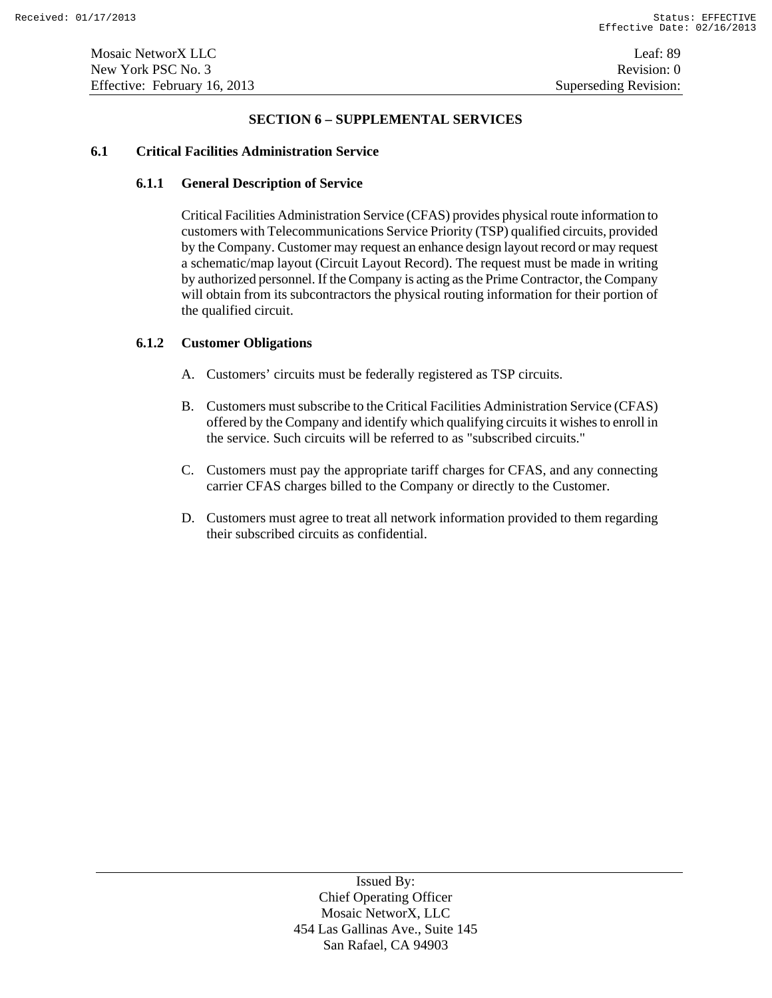#### **SECTION 6 – SUPPLEMENTAL SERVICES**

# **6.1 Critical Facilities Administration Service**

# **6.1.1 General Description of Service**

Critical Facilities Administration Service (CFAS) provides physical route information to customers with Telecommunications Service Priority (TSP) qualified circuits, provided by the Company. Customer may request an enhance design layout record or may request a schematic/map layout (Circuit Layout Record). The request must be made in writing by authorized personnel. If the Company is acting as the Prime Contractor, the Company will obtain from its subcontractors the physical routing information for their portion of the qualified circuit.

# **6.1.2 Customer Obligations**

- A. Customers' circuits must be federally registered as TSP circuits.
- B. Customers must subscribe to the Critical Facilities Administration Service (CFAS) offered by the Company and identify which qualifying circuits it wishes to enroll in the service. Such circuits will be referred to as "subscribed circuits."
- C. Customers must pay the appropriate tariff charges for CFAS, and any connecting carrier CFAS charges billed to the Company or directly to the Customer.
- D. Customers must agree to treat all network information provided to them regarding their subscribed circuits as confidential.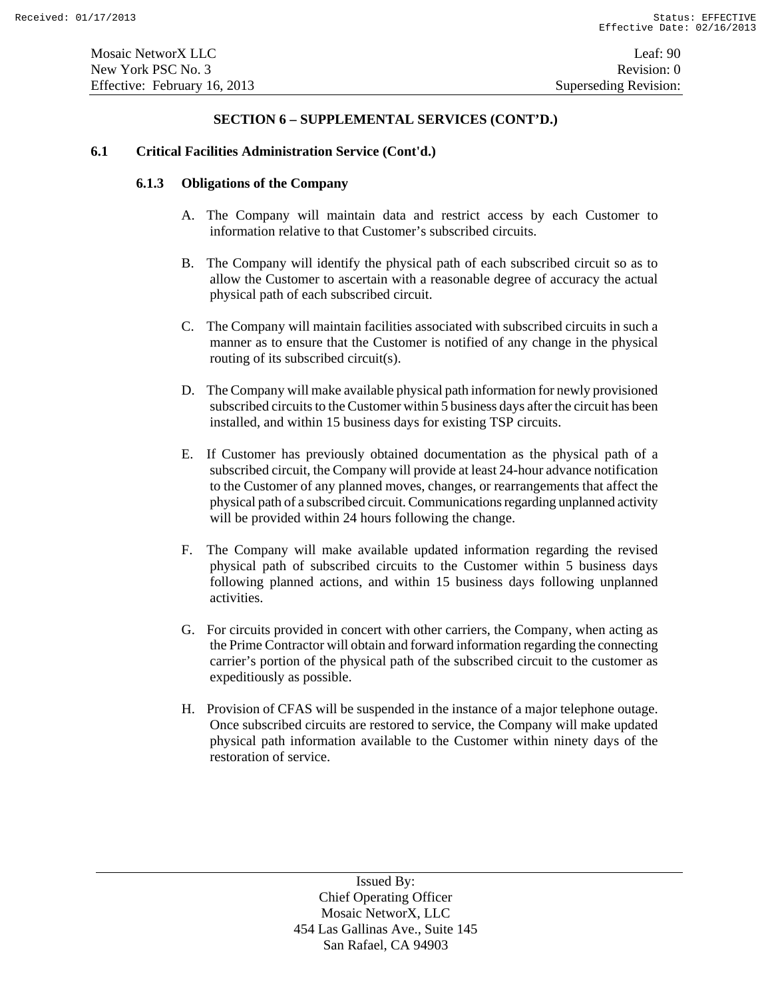# **6.1 Critical Facilities Administration Service (Cont'd.)**

# **6.1.3 Obligations of the Company**

- A. The Company will maintain data and restrict access by each Customer to information relative to that Customer's subscribed circuits.
- B. The Company will identify the physical path of each subscribed circuit so as to allow the Customer to ascertain with a reasonable degree of accuracy the actual physical path of each subscribed circuit.
- C. The Company will maintain facilities associated with subscribed circuits in such a manner as to ensure that the Customer is notified of any change in the physical routing of its subscribed circuit(s).
- D. The Company will make available physical path information for newly provisioned subscribed circuits to the Customer within 5 business days after the circuit has been installed, and within 15 business days for existing TSP circuits.
- E. If Customer has previously obtained documentation as the physical path of a subscribed circuit, the Company will provide at least 24-hour advance notification to the Customer of any planned moves, changes, or rearrangements that affect the physical path of a subscribed circuit. Communications regarding unplanned activity will be provided within 24 hours following the change.
- F. The Company will make available updated information regarding the revised physical path of subscribed circuits to the Customer within 5 business days following planned actions, and within 15 business days following unplanned activities.
- G. For circuits provided in concert with other carriers, the Company, when acting as the Prime Contractor will obtain and forward information regarding the connecting carrier's portion of the physical path of the subscribed circuit to the customer as expeditiously as possible.
- H. Provision of CFAS will be suspended in the instance of a major telephone outage. Once subscribed circuits are restored to service, the Company will make updated physical path information available to the Customer within ninety days of the restoration of service.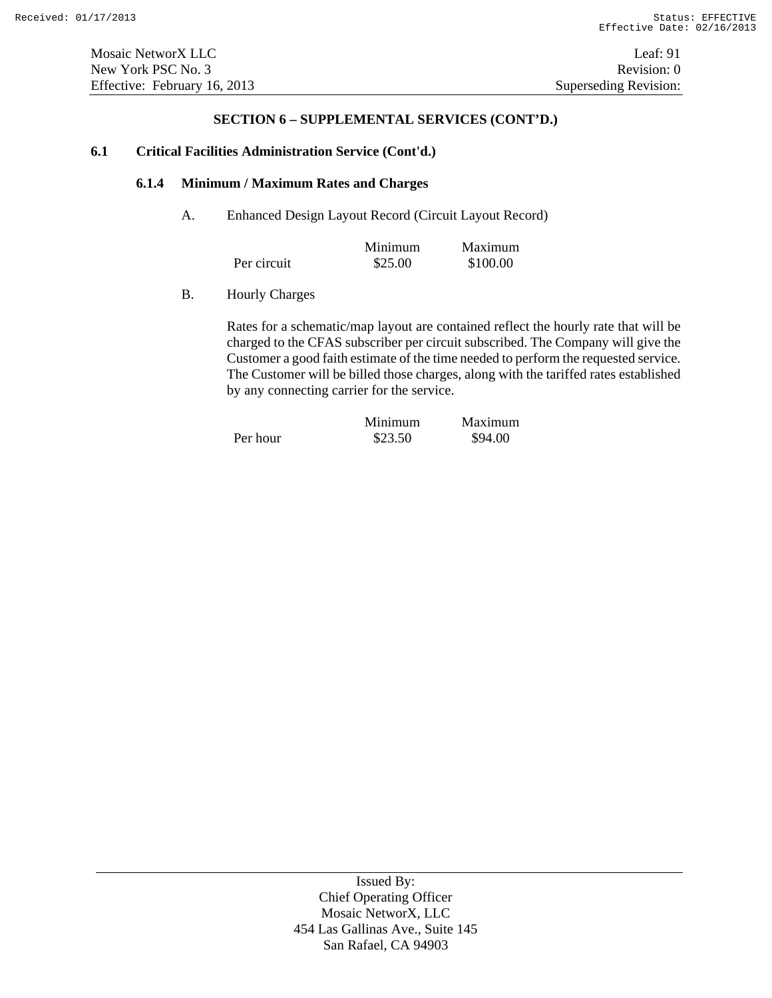#### **6.1 Critical Facilities Administration Service (Cont'd.)**

#### **6.1.4 Minimum / Maximum Rates and Charges**

A. Enhanced Design Layout Record (Circuit Layout Record)

|             | Minimum | Maximum  |
|-------------|---------|----------|
| Per circuit | \$25.00 | \$100.00 |

B. Hourly Charges

Rates for a schematic/map layout are contained reflect the hourly rate that will be charged to the CFAS subscriber per circuit subscribed. The Company will give the Customer a good faith estimate of the time needed to perform the requested service. The Customer will be billed those charges, along with the tariffed rates established by any connecting carrier for the service.

|          | Minimum | Maximum |
|----------|---------|---------|
| Per hour | \$23.50 | \$94.00 |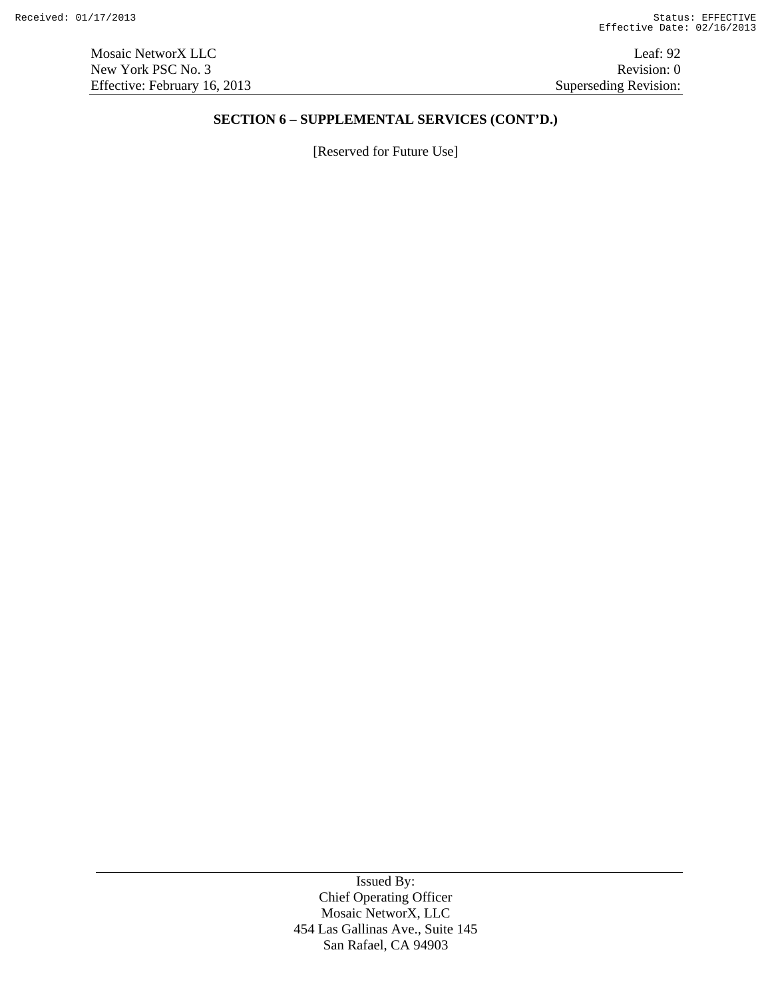[Reserved for Future Use]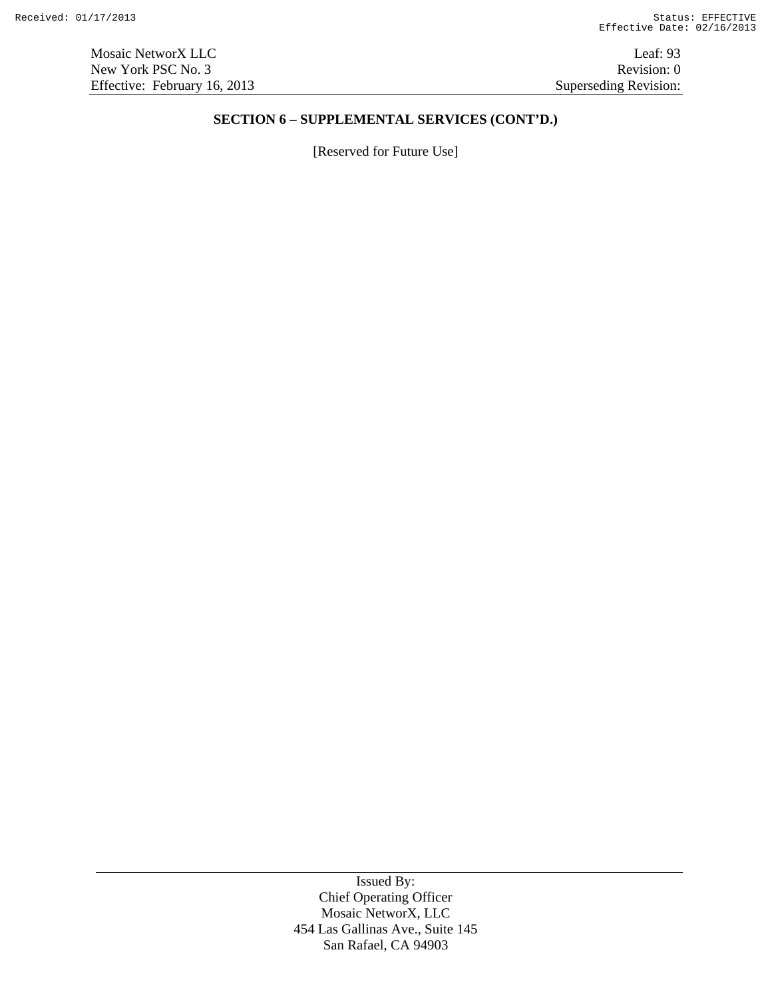[Reserved for Future Use]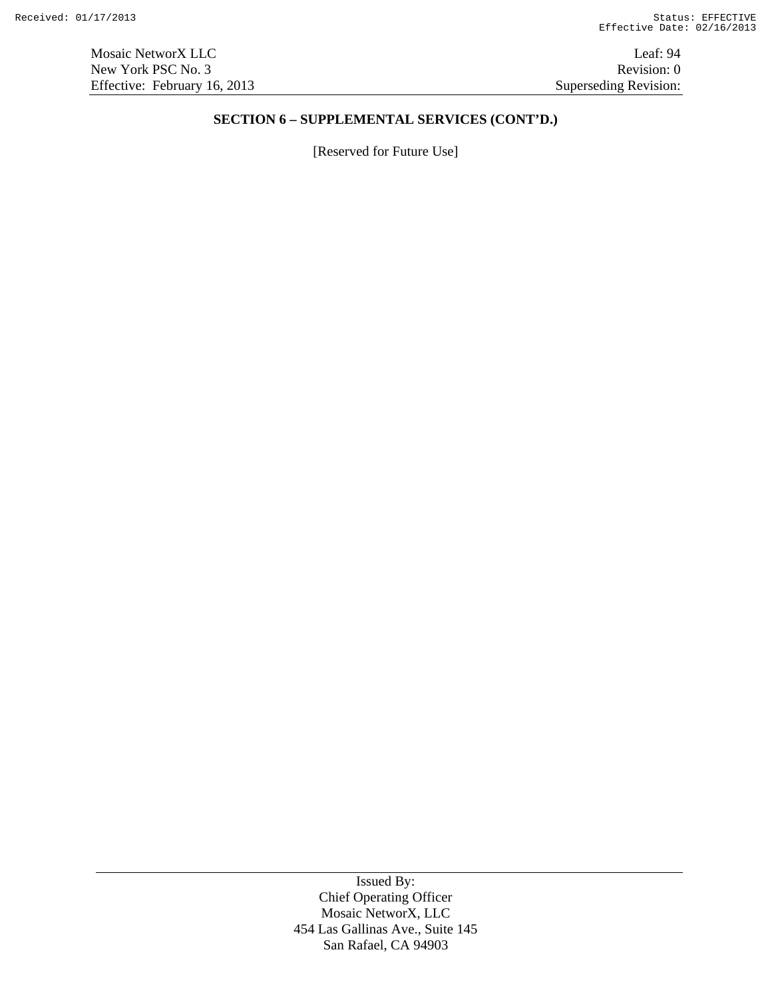[Reserved for Future Use]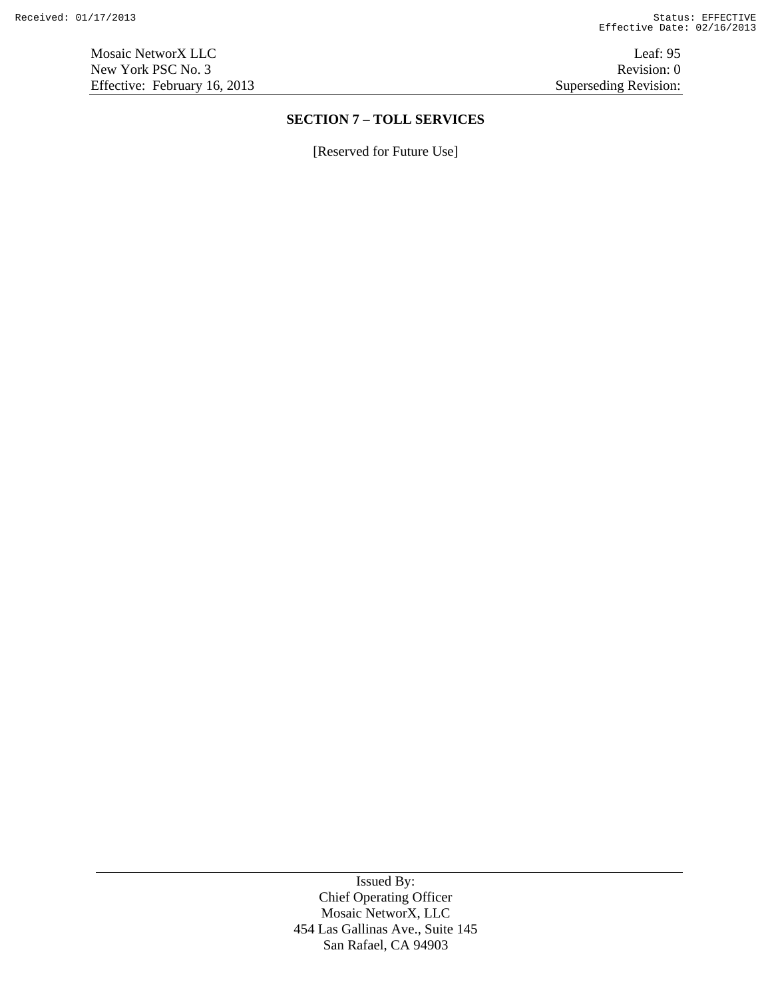Mosaic NetworX LLC Leaf: 95 New York PSC No. 3 Revision: 0<br>Effective: February 16, 2013 Superseding Revision: 0 Effective: February 16, 2013

# **SECTION 7 – TOLL SERVICES**

[Reserved for Future Use]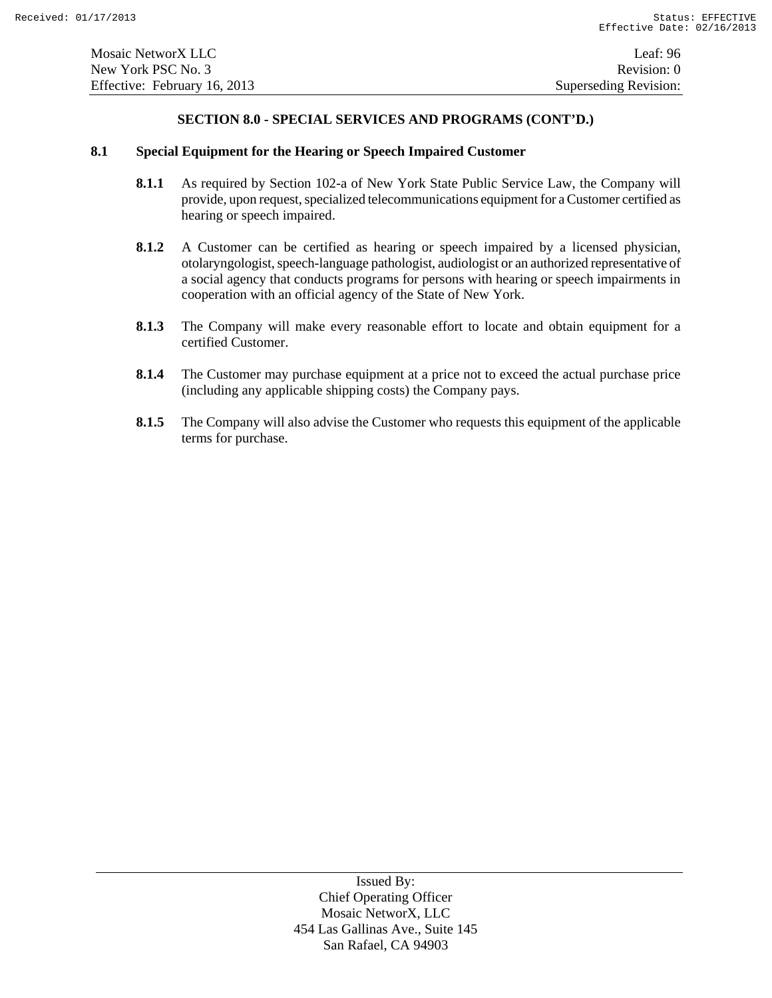## **8.1 Special Equipment for the Hearing or Speech Impaired Customer**

- **8.1.1** As required by Section 102-a of New York State Public Service Law, the Company will provide, upon request, specialized telecommunications equipment for a Customer certified as hearing or speech impaired.
- **8.1.2** A Customer can be certified as hearing or speech impaired by a licensed physician, otolaryngologist, speech-language pathologist, audiologist or an authorized representative of a social agency that conducts programs for persons with hearing or speech impairments in cooperation with an official agency of the State of New York.
- **8.1.3** The Company will make every reasonable effort to locate and obtain equipment for a certified Customer.
- **8.1.4** The Customer may purchase equipment at a price not to exceed the actual purchase price (including any applicable shipping costs) the Company pays.
- **8.1.5** The Company will also advise the Customer who requests this equipment of the applicable terms for purchase.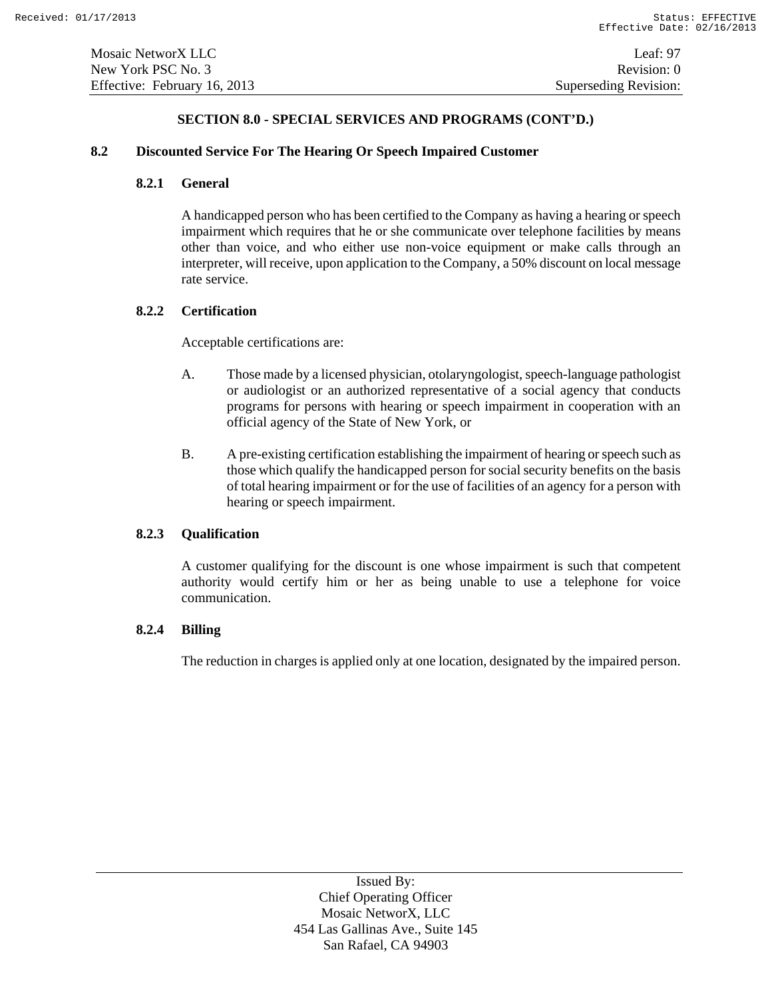# **8.2 Discounted Service For The Hearing Or Speech Impaired Customer**

# **8.2.1 General**

A handicapped person who has been certified to the Company as having a hearing or speech impairment which requires that he or she communicate over telephone facilities by means other than voice, and who either use non-voice equipment or make calls through an interpreter, will receive, upon application to the Company, a 50% discount on local message rate service.

# **8.2.2 Certification**

Acceptable certifications are:

- A. Those made by a licensed physician, otolaryngologist, speech-language pathologist or audiologist or an authorized representative of a social agency that conducts programs for persons with hearing or speech impairment in cooperation with an official agency of the State of New York, or
- B. A pre-existing certification establishing the impairment of hearing or speech such as those which qualify the handicapped person for social security benefits on the basis of total hearing impairment or for the use of facilities of an agency for a person with hearing or speech impairment.

# **8.2.3 Qualification**

A customer qualifying for the discount is one whose impairment is such that competent authority would certify him or her as being unable to use a telephone for voice communication.

# **8.2.4 Billing**

The reduction in charges is applied only at one location, designated by the impaired person.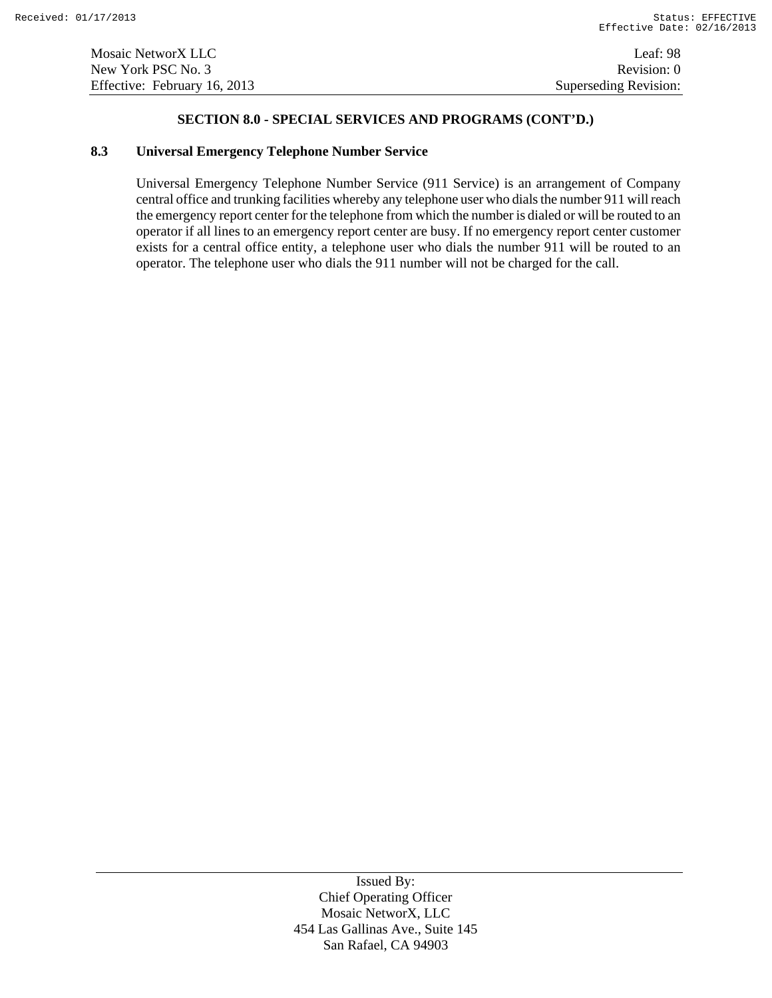#### **8.3 Universal Emergency Telephone Number Service**

Universal Emergency Telephone Number Service (911 Service) is an arrangement of Company central office and trunking facilities whereby any telephone user who dials the number 911 will reach the emergency report center for the telephone from which the number is dialed or will be routed to an operator if all lines to an emergency report center are busy. If no emergency report center customer exists for a central office entity, a telephone user who dials the number 911 will be routed to an operator. The telephone user who dials the 911 number will not be charged for the call.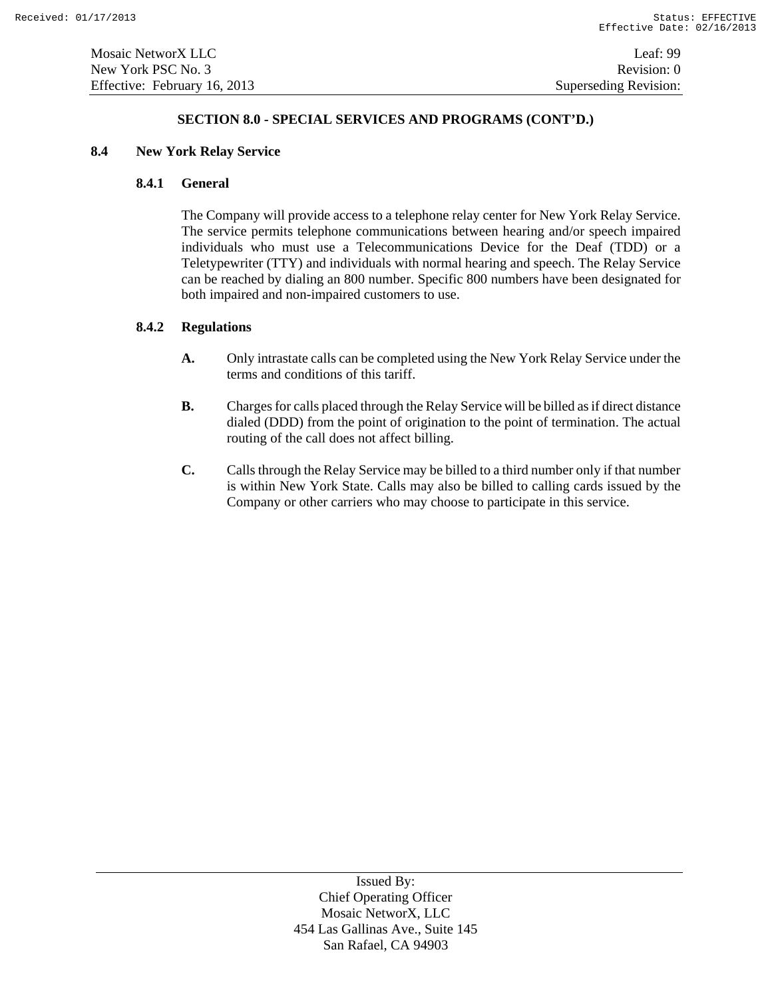# **8.4 New York Relay Service**

# **8.4.1 General**

The Company will provide access to a telephone relay center for New York Relay Service. The service permits telephone communications between hearing and/or speech impaired individuals who must use a Telecommunications Device for the Deaf (TDD) or a Teletypewriter (TTY) and individuals with normal hearing and speech. The Relay Service can be reached by dialing an 800 number. Specific 800 numbers have been designated for both impaired and non-impaired customers to use.

# **8.4.2 Regulations**

- **A.** Only intrastate calls can be completed using the New York Relay Service under the terms and conditions of this tariff.
- **B.** Charges for calls placed through the Relay Service will be billed as if direct distance dialed (DDD) from the point of origination to the point of termination. The actual routing of the call does not affect billing.
- **C.** Calls through the Relay Service may be billed to a third number only if that number is within New York State. Calls may also be billed to calling cards issued by the Company or other carriers who may choose to participate in this service.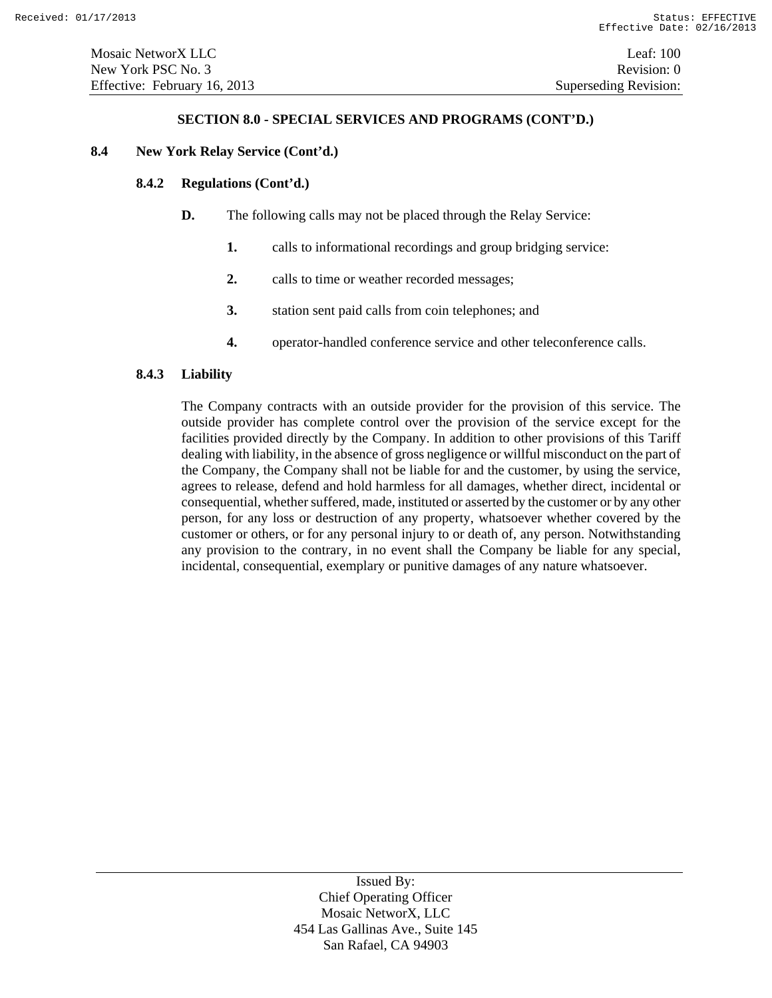# **8.4 New York Relay Service (Cont'd.)**

# **8.4.2 Regulations (Cont'd.)**

- **D.** The following calls may not be placed through the Relay Service:
	- **1.** calls to informational recordings and group bridging service:
	- **2.** calls to time or weather recorded messages;
	- **3.** station sent paid calls from coin telephones; and
	- **4.** operator-handled conference service and other teleconference calls.

# **8.4.3 Liability**

The Company contracts with an outside provider for the provision of this service. The outside provider has complete control over the provision of the service except for the facilities provided directly by the Company. In addition to other provisions of this Tariff dealing with liability, in the absence of gross negligence or willful misconduct on the part of the Company, the Company shall not be liable for and the customer, by using the service, agrees to release, defend and hold harmless for all damages, whether direct, incidental or consequential, whether suffered, made, instituted or asserted by the customer or by any other person, for any loss or destruction of any property, whatsoever whether covered by the customer or others, or for any personal injury to or death of, any person. Notwithstanding any provision to the contrary, in no event shall the Company be liable for any special, incidental, consequential, exemplary or punitive damages of any nature whatsoever.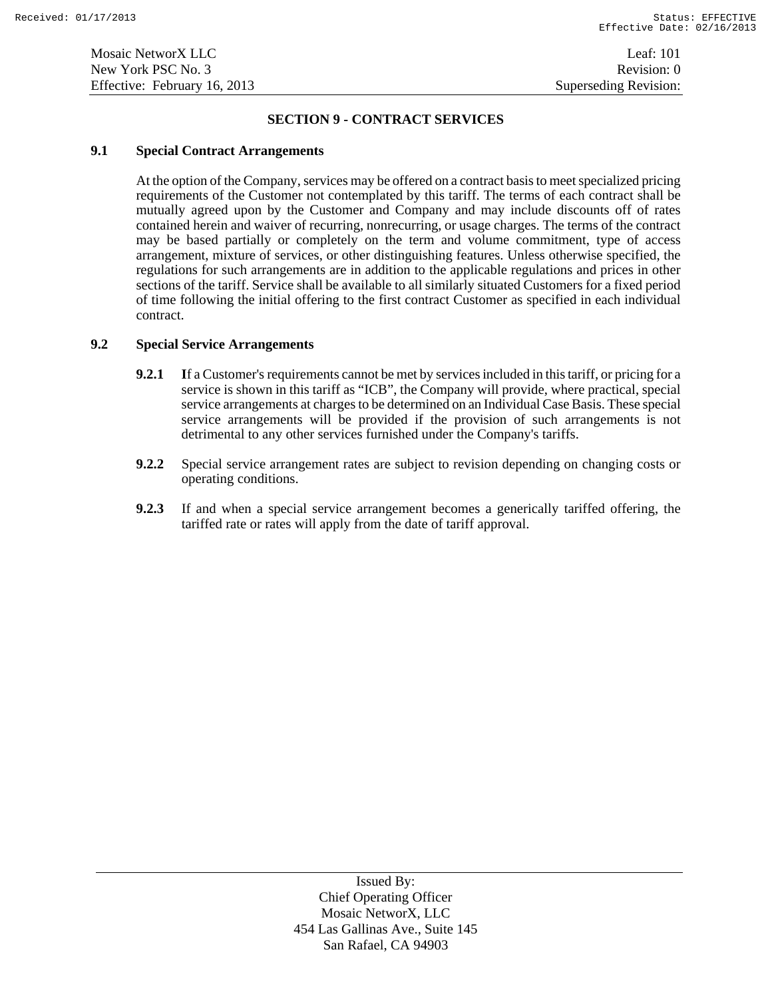#### **SECTION 9 - CONTRACT SERVICES**

#### **9.1 Special Contract Arrangements**

At the option of the Company, services may be offered on a contract basis to meet specialized pricing requirements of the Customer not contemplated by this tariff. The terms of each contract shall be mutually agreed upon by the Customer and Company and may include discounts off of rates contained herein and waiver of recurring, nonrecurring, or usage charges. The terms of the contract may be based partially or completely on the term and volume commitment, type of access arrangement, mixture of services, or other distinguishing features. Unless otherwise specified, the regulations for such arrangements are in addition to the applicable regulations and prices in other sections of the tariff. Service shall be available to all similarly situated Customers for a fixed period of time following the initial offering to the first contract Customer as specified in each individual contract.

# **9.2 Special Service Arrangements**

- **9.2.1** If a Customer's requirements cannot be met by services included in this tariff, or pricing for a service is shown in this tariff as "ICB", the Company will provide, where practical, special service arrangements at charges to be determined on an Individual Case Basis. These special service arrangements will be provided if the provision of such arrangements is not detrimental to any other services furnished under the Company's tariffs.
- **9.2.2** Special service arrangement rates are subject to revision depending on changing costs or operating conditions.
- **9.2.3** If and when a special service arrangement becomes a generically tariffed offering, the tariffed rate or rates will apply from the date of tariff approval.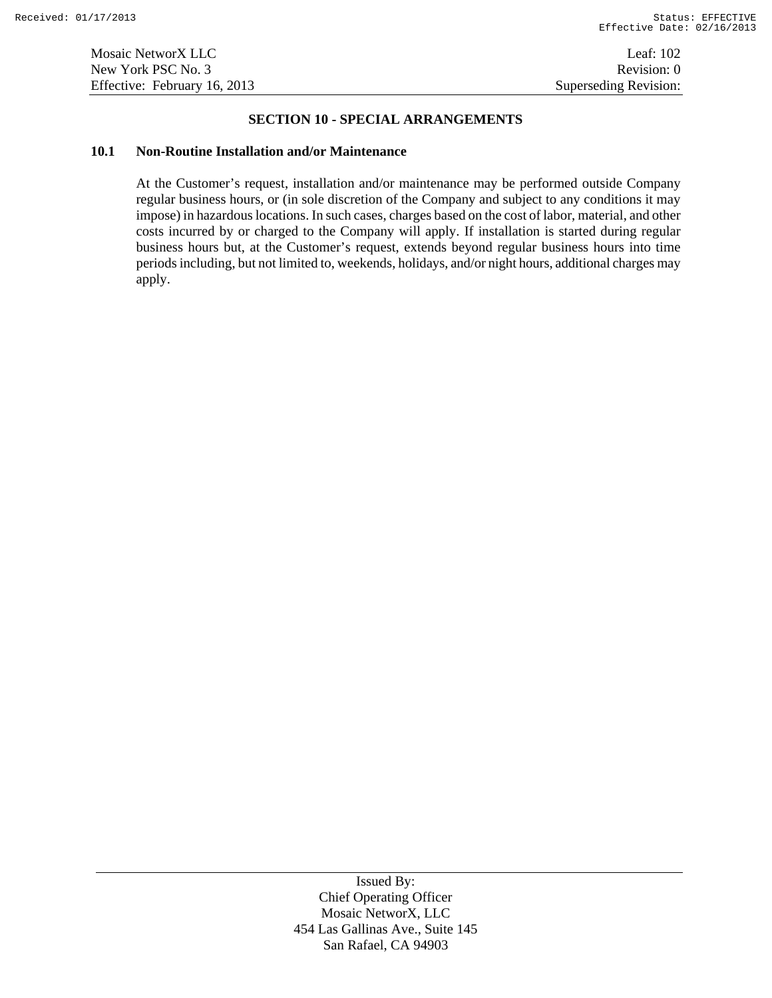# **SECTION 10 - SPECIAL ARRANGEMENTS**

#### **10.1 Non-Routine Installation and/or Maintenance**

At the Customer's request, installation and/or maintenance may be performed outside Company regular business hours, or (in sole discretion of the Company and subject to any conditions it may impose) in hazardous locations. In such cases, charges based on the cost of labor, material, and other costs incurred by or charged to the Company will apply. If installation is started during regular business hours but, at the Customer's request, extends beyond regular business hours into time periods including, but not limited to, weekends, holidays, and/or night hours, additional charges may apply.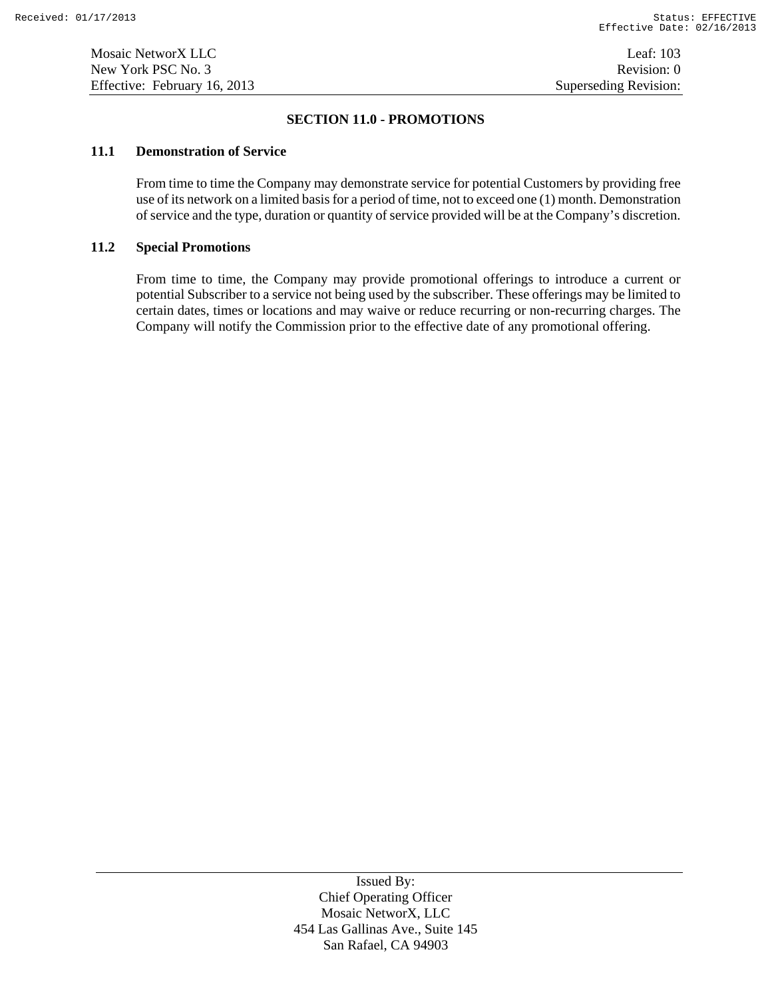# **SECTION 11.0 - PROMOTIONS**

#### **11.1 Demonstration of Service**

From time to time the Company may demonstrate service for potential Customers by providing free use of its network on a limited basis for a period of time, not to exceed one (1) month. Demonstration of service and the type, duration or quantity of service provided will be at the Company's discretion.

#### **11.2 Special Promotions**

From time to time, the Company may provide promotional offerings to introduce a current or potential Subscriber to a service not being used by the subscriber. These offerings may be limited to certain dates, times or locations and may waive or reduce recurring or non-recurring charges. The Company will notify the Commission prior to the effective date of any promotional offering.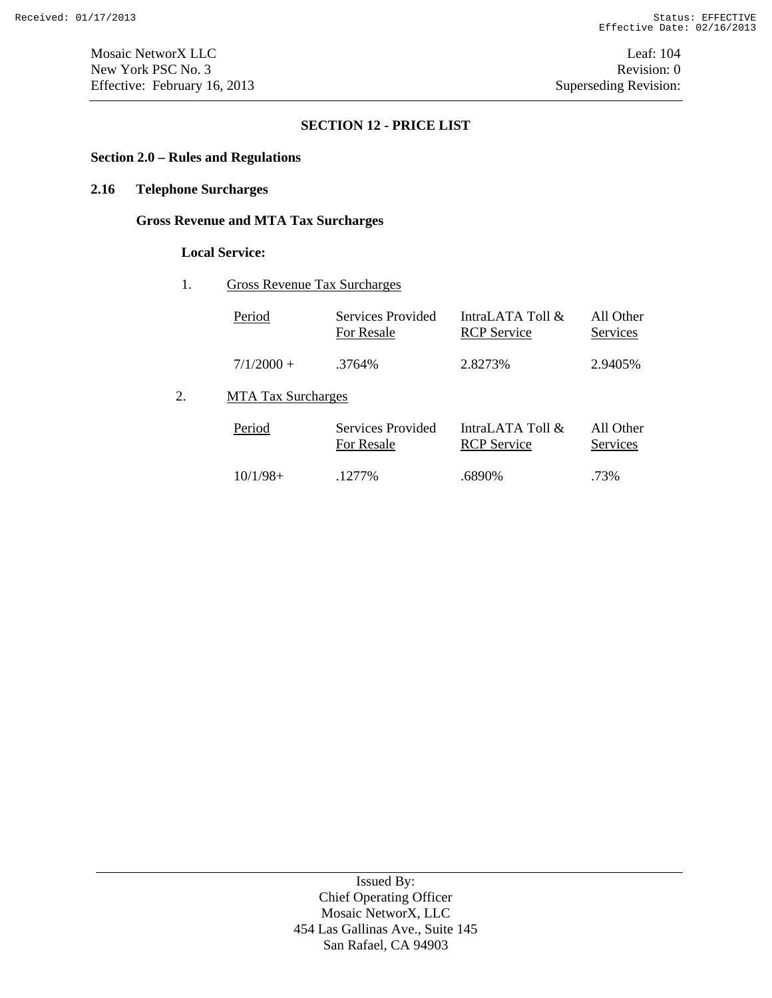# **SECTION 12 - PRICE LIST**

# **Section 2.0 – Rules and Regulations**

# **2.16 Telephone Surcharges**

# **Gross Revenue and MTA Tax Surcharges**

# **Local Service:**

# 1. Gross Revenue Tax Surcharges

| Period                    | Services Provided<br>For Resale | IntraLATA Toll &<br><b>RCP</b> Service | All Other<br>Services |
|---------------------------|---------------------------------|----------------------------------------|-----------------------|
| $7/1/2000 +$              | .3764%                          | 2.8273\%                               | 2.9405\%              |
| <b>MTA Tax Surcharges</b> |                                 |                                        |                       |

#### Period Services Provided For Resale IntraLATA Toll & RCP Service All Other **Services** 10/1/98+ .1277% .6890% .73%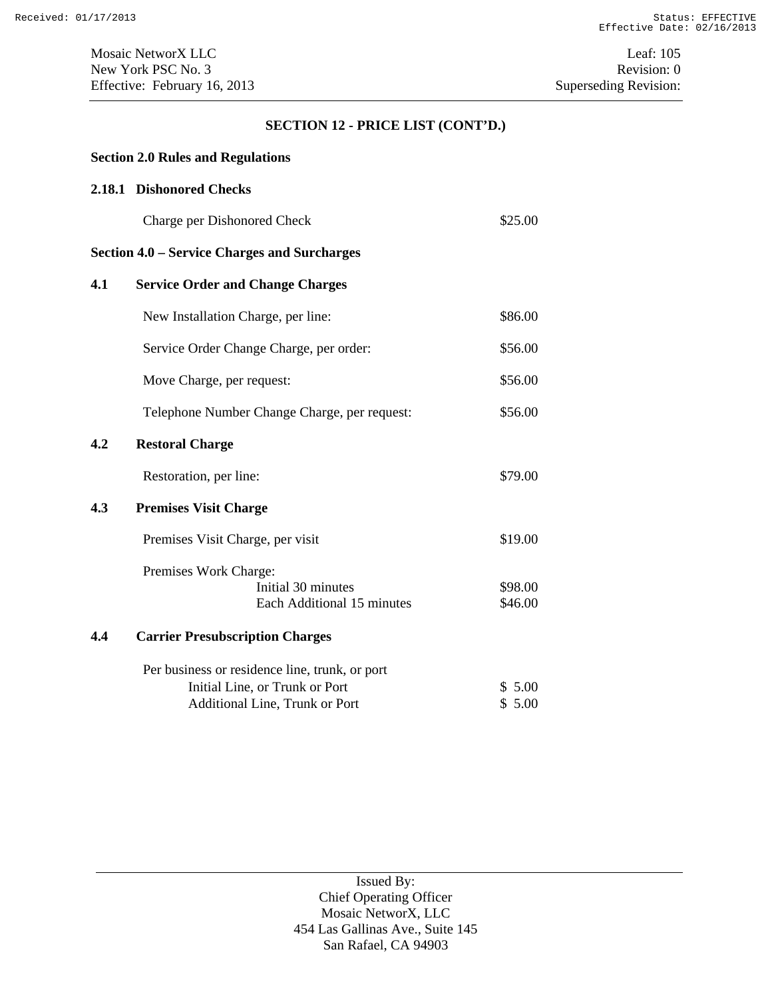# **SECTION 12 - PRICE LIST (CONT'D.)**

# **Section 2.0 Rules and Regulations**

# **2.18.1 Dishonored Checks**

| Charge per Dishonored Check | \$25.00 |
|-----------------------------|---------|
|-----------------------------|---------|

# **Section 4.0 – Service Charges and Surcharges**

| 4.1 | <b>Service Order and Change Charges</b>        |         |
|-----|------------------------------------------------|---------|
|     | New Installation Charge, per line:             | \$86.00 |
|     | Service Order Change Charge, per order:        | \$56.00 |
|     | Move Charge, per request:                      | \$56.00 |
|     | Telephone Number Change Charge, per request:   | \$56.00 |
| 4.2 | <b>Restoral Charge</b>                         |         |
|     | Restoration, per line:                         | \$79.00 |
| 4.3 | <b>Premises Visit Charge</b>                   |         |
|     | Premises Visit Charge, per visit               | \$19.00 |
|     | Premises Work Charge:                          |         |
|     | Initial 30 minutes                             | \$98.00 |
|     | Each Additional 15 minutes                     | \$46.00 |
| 4.4 | <b>Carrier Presubscription Charges</b>         |         |
|     | Per business or residence line, trunk, or port |         |
|     | Initial Line, or Trunk or Port                 | \$5.00  |
|     | Additional Line, Trunk or Port                 | \$5.00  |